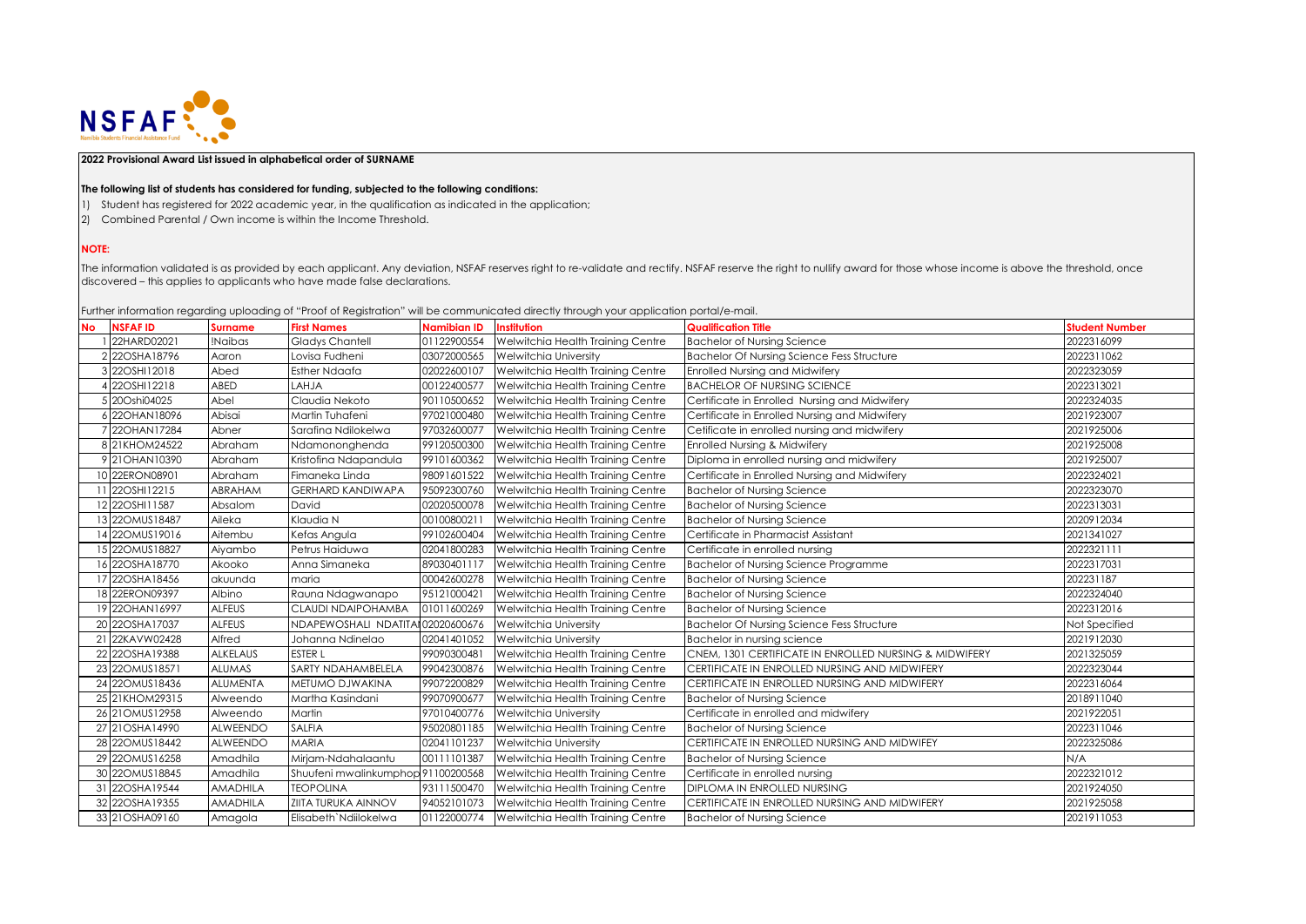

## **2022 Provisional Award List issued in alphabetical order of SURNAME**

## **The following list of students has considered for funding, subjected to the following conditions:**

- 1) Student has registered for 2022 academic year, in the qualification as indicated in the application;
- 2) Combined Parental / Own income is within the Income Threshold.

## **NOTE:**

The information validated is as provided by each applicant. Any deviation, NSFAF reserves right to re-validate and rectify. NSFAF reserve the right to nullify award for those whose income is above the threshold, once discovered – this applies to applicants who have made false declarations.

Further information regarding uploading of "Proof of Registration" will be communicated directly through your application portal/e-mail.

| <b>No</b> | <b>NSFAFID</b>   | <b>Surname</b>  | <b>First Names</b>                 | Namibian ID  | <b>Institution</b>                | <b>Qualification Title</b>                             | <b>Student Number</b> |
|-----------|------------------|-----------------|------------------------------------|--------------|-----------------------------------|--------------------------------------------------------|-----------------------|
|           | 22HARD02021      | !Naibas         | <b>Gladys Chantell</b>             | 01122900554  | Welwitchia Health Training Centre | <b>Bachelor of Nursing Science</b>                     | 2022316099            |
|           | 2 22OSHA18796    | Aaron           | Lovisa Fudheni                     | 03072000565  | <b>Welwitchia University</b>      | <b>Bachelor Of Nursing Science Fess Structure</b>      | 2022311062            |
|           | 3 22OSHI12018    | Abed            | <b>Esther Ndaafa</b>               | 02022600107  | Welwitchia Health Training Centre | Enrolled Nursing and Midwifery                         | 2022323059            |
|           | 22OSHI12218      | <b>ABED</b>     | <b>AHJA</b>                        | 00122400577  | Welwitchia Health Training Centre | <b>BACHELOR OF NURSING SCIENCE</b>                     | 2022313021            |
|           | 5 20Oshi04025    | Abel            | Claudia Nekoto                     | 90110500652  | Welwitchia Health Training Centre | Certificate in Enrolled Nursing and Midwifery          | 2022324035            |
|           | 22OHAN18096      | Abisai          | Martin Tuhafeni                    | 97021000480  | Welwitchia Health Training Centre | Certificate in Enrolled Nursing and Midwifery          | 2021923007            |
|           | 7 22OHAN17284    | Abner           | Sarafina Ndilokelwa                | 97032600077  | Welwitchia Health Training Centre | Cetificate in enrolled nursing and midwifery           | 2021925006            |
|           | 8 21KHOM24522    | Abraham         | Ndamononghenda                     | 99120500300  | Welwitchia Health Training Centre | <b>Enrolled Nursing &amp; Midwifery</b>                | 2021925008            |
|           | 9 21 OHAN 10390  | Abraham         | Kristofina Ndapandula              | 99101600362  | Welwitchia Health Training Centre | Diploma in enrolled nursing and midwifery              | 2021925007            |
|           | 10 22ERON08901   | Abraham         | Fimaneka Linda                     | 98091601522  | Welwitchia Health Training Centre | Certificate in Enrolled Nursing and Midwifery          | 2022324021            |
|           | 11 22OSHI12215   | <b>ABRAHAM</b>  | <b>GERHARD KANDIWAPA</b>           | 95092300760  | Welwitchia Health Training Centre | <b>Bachelor of Nursing Science</b>                     | 2022323070            |
|           | 12 22OSHI11587   | Absalom         | David                              | 02020500078  | Welwitchia Health Training Centre | <b>Bachelor of Nursing Science</b>                     | 2022313031            |
|           | 13 220 MUS18487  | Aileka          | Klaudia N                          | 00100800211  | Welwitchia Health Training Centre | <b>Bachelor of Nursing Science</b>                     | 2020912034            |
|           | 14 220MUS19016   | Aitembu         | Kefas Angula                       | 99102600404  | Welwitchia Health Training Centre | Certificate in Pharmacist Assistant                    | 2021341027            |
|           | 15 220MUS18827   | Aiyambo         | Petrus Haiduwa                     | 02041800283  | Welwitchia Health Training Centre | Certificate in enrolled nursing                        | 2022321111            |
|           | 22OSHA18770      | Akooko          | Anna Simaneka                      | 89030401117  | Welwitchia Health Training Centre | Bachelor of Nursing Science Programme                  | 2022317031            |
|           | 17 22OSHA18456   | akuunda         | maria                              | 00042600278  | Welwitchia Health Training Centre | <b>Bachelor of Nursing Science</b>                     | 202231187             |
|           | 18 22ERON09397   | Albino          | Rauna Ndagwanapo                   | 95121000421  | Welwitchia Health Training Centre | <b>Bachelor of Nursing Science</b>                     | 2022324040            |
|           | 19 22OHAN16997   | <b>ALFEUS</b>   | CLAUDI NDAIPOHAMBA                 | 01011600269  | Welwitchia Health Training Centre | <b>Bachelor of Nursing Science</b>                     | 2022312016            |
|           | 20 22OSHA17037   | <b>ALFEUS</b>   | NDAPEWOSHALI NDATIT                | 102020600676 | <b>Welwitchia University</b>      | <b>Bachelor Of Nursing Science Fess Structure</b>      | Not Specified         |
|           | 21 22KAVW02428   | Alfred          | Johanna Ndinelao                   | 02041401052  | <b>Welwitchia University</b>      | Bachelor in nursing science                            | 2021912030            |
|           | 22 22 OSHA19388  | <b>ALKELAUS</b> | <b>ESTER L</b>                     | 99090300481  | Welwitchia Health Training Centre | CNEM. 1301 CERTIFICATE IN ENROLLED NURSING & MIDWIFERY | 2021325059            |
|           | 23 220MUS18571   | <b>ALUMAS</b>   | SARTY NDAHAMBELELA                 | 99042300876  | Welwitchia Health Training Centre | CERTIFICATE IN ENROLLED NURSING AND MIDWIFERY          | 2022323044            |
|           | 24 220MUS18436   | <b>ALUMENTA</b> | METUMO DJWAKINA                    | 99072200829  | Welwitchia Health Training Centre | CERTIFICATE IN ENROLLED NURSING AND MIDWIFERY          | 2022316064            |
|           | 25 21KHOM29315   | Alweendo        | Martha Kasindani                   | 99070900677  | Welwitchia Health Training Centre | <b>Bachelor of Nursing Science</b>                     | 2018911040            |
|           | 26 21 OMUS1 2958 | Alweendo        | Martin                             | 97010400776  | <b>Welwitchia University</b>      | Certificate in enrolled and midwifery                  | 2021922051            |
|           | 27 21 OSHA14990  | <b>ALWEENDO</b> | <b>SALFIA</b>                      | 95020801185  | Welwitchia Health Training Centre | <b>Bachelor of Nursing Science</b>                     | 2022311046            |
|           | 28 22OMUS18442   | <b>ALWEENDO</b> | <b>MARIA</b>                       | 02041101237  | Welwitchia University             | CERTIFICATE IN ENROLLED NURSING AND MIDWIFEY           | 2022325086            |
|           | 29 220MUS16258   | Amadhila        | Mirjam-Ndahalaantu                 | 00111101387  | Welwitchia Health Training Centre | <b>Bachelor of Nursing Science</b>                     | N/A                   |
|           | 30 220 MUS18845  | Amadhila        | Shuufeni mwalinkumphop 91100200568 |              | Welwitchia Health Training Centre | Certificate in enrolled nursing                        | 2022321012            |
|           | 31 22OSHA19544   | <b>AMADHILA</b> | <b>TEOPOLINA</b>                   | 93111500470  | Welwitchia Health Training Centre | DIPLOMA IN ENROLLED NURSING                            | 2021924050            |
|           | 32 22OSHA19355   | <b>AMADHILA</b> | <b>ZIITA TURUKA AINNOV</b>         | 94052101073  | Welwitchia Health Training Centre | CERTIFICATE IN ENROLLED NURSING AND MIDWIFERY          | 2021925058            |
|           | 33 21 OSHA09160  | Amagola         | Elisabeth Ndiilokelwa              | 01122000774  | Welwitchia Health Training Centre | <b>Bachelor of Nursing Science</b>                     | 2021911053            |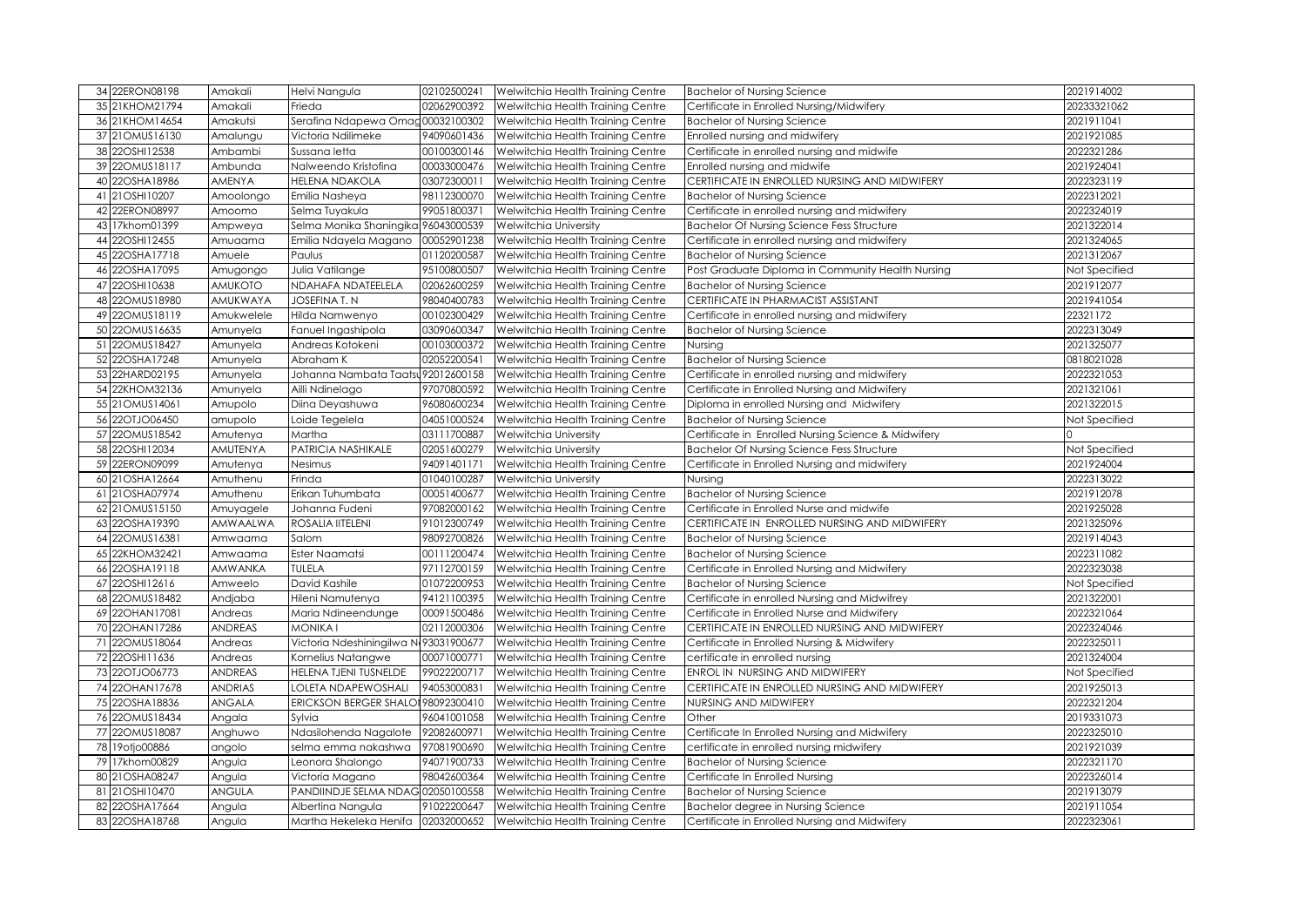| 34 22ERON08198                   | Amakali          | Helvi Nangula                                           | 02102500241 | Welwitchia Health Training Centre                                      | <b>Bachelor of Nursing Science</b>                                                  | 2021914002               |
|----------------------------------|------------------|---------------------------------------------------------|-------------|------------------------------------------------------------------------|-------------------------------------------------------------------------------------|--------------------------|
| 35 21KHOM21794                   | Amakali          | Frieda                                                  | 02062900392 | Welwitchia Health Training Centre                                      | Certificate in Enrolled Nursing/Midwifery                                           | 20233321062              |
| 36 21KHOM14654                   | Amakutsi         | Serafina Ndapewa Omag00032100302                        |             | Welwitchia Health Training Centre                                      | <b>Bachelor of Nursing Science</b>                                                  | 2021911041               |
| 37 21 OMUS16130                  | Amalungu         | Victoria Ndilimeke                                      | 94090601436 | Welwitchia Health Training Centre                                      | Enrolled nursing and midwifery                                                      | 2021921085               |
| 38 22OSHI12538                   | Ambambi          | Sussana letta                                           | 00100300146 | Welwitchia Health Training Centre                                      | Certificate in enrolled nursing and midwife                                         | 2022321286               |
| 39 220MUS18117                   | Ambunda          | Nalweendo Kristofina                                    | 00033000476 | Welwitchia Health Training Centre                                      | Enrolled nursing and midwife                                                        | 2021924041               |
| 22OSHA18986<br>40                | <b>AMENYA</b>    | <b>HELENA NDAKOLA</b>                                   | 03072300011 | Welwitchia Health Training Centre                                      | CERTIFICATE IN ENROLLED NURSING AND MIDWIFERY                                       | 2022323119               |
| 21OSHI10207<br>41                | Amoolongo        | Emilia Nasheya                                          | 98112300070 | Welwitchia Health Training Centre                                      | <b>Bachelor of Nursing Science</b>                                                  | 2022312021               |
| 22ERON08997<br>42                | Amoomo           | Selma Tuyakula                                          | 99051800371 | Welwitchia Health Training Centre                                      | Certificate in enrolled nursing and midwifery                                       | 2022324019               |
| 17khom01399<br>43                | Ampweya          | Selma Monika Shaningika 96043000539                     |             | Welwitchia University                                                  | <b>Bachelor Of Nursing Science Fess Structure</b>                                   | 2021322014               |
| 22OSHI12455<br>44                | Amuaama          | Emilia Ndayela Magano                                   | 00052901238 | Welwitchia Health Training Centre                                      | Certificate in enrolled nursing and midwifery                                       | 2021324065               |
| 45 22OSHA17718                   | Amuele           | Paulus                                                  | 01120200587 | Welwitchia Health Training Centre                                      | <b>Bachelor of Nursing Science</b>                                                  | 2021312067               |
| 22OSHA17095<br>46                | Amugongo         | Julia Vatilange                                         | 95100800507 | Welwitchia Health Training Centre                                      | Post Graduate Diploma in Community Health Nursing                                   | Not Specified            |
| 47 22OSHI10638                   | <b>AMUKOTO</b>   | NDAHAFA NDATEELELA                                      | 02062600259 | Welwitchia Health Training Centre                                      | <b>Bachelor of Nursing Science</b>                                                  | 2021912077               |
| 22OMUS18980<br>48                | AMUKWAYA         | JOSEFINA T. N                                           | 98040400783 | Welwitchia Health Training Centre                                      | CERTIFICATE IN PHARMACIST ASSISTANT                                                 | 2021941054               |
| 49 220MUS18119                   | Amukwelele       | Hilda Namwenyo                                          | 00102300429 | Welwitchia Health Training Centre                                      | Certificate in enrolled nursing and midwifery                                       | 22321172                 |
| 22OMUS16635<br>50                | Amunyela         | Fanuel Ingashipola                                      | 03090600347 | Welwitchia Health Training Centre                                      | <b>Bachelor of Nursing Science</b>                                                  | 2022313049               |
| 51 220 MUS18427                  | Amunyela         | Andreas Kotokeni                                        | 00103000372 | Welwitchia Health Training Centre                                      | Nursing                                                                             | 2021325077               |
| 52 22OSHA17248                   | Amunyela         | Abraham K                                               | 02052200541 | Welwitchia Health Training Centre                                      | <b>Bachelor of Nursing Science</b>                                                  | 0818021028               |
| 53 22HARD02195                   | Amunyela         | Johanna Nambata Taatsu 92012600158                      |             | Welwitchia Health Training Centre                                      | Certificate in enrolled nursing and midwifery                                       | 2022321053               |
| 54 22KHOM32136                   | Amunyela         | Ailli Ndinelago                                         | 97070800592 | Welwitchia Health Training Centre                                      | Certificate in Enrolled Nursing and Midwifery                                       | 2021321061               |
| 55 21 OMUS14061                  | Amupolo          | Diina Deyashuwa                                         | 96080600234 | Welwitchia Health Training Centre                                      | Diploma in enrolled Nursing and Midwifery                                           | 2021322015               |
| 56 22OTJO06450                   | amupolo          | Loide Tegelela                                          | 04051000524 | Welwitchia Health Training Centre                                      | <b>Bachelor of Nursing Science</b>                                                  | Not Specified            |
| 57 220MUS18542                   | Amutenya         | Martha                                                  | 03111700887 | Welwitchia University                                                  | Certificate in Enrolled Nursing Science & Midwifery                                 |                          |
| 58 22OSHI12034                   | AMUTENYA         | PATRICIA NASHIKALE                                      | 02051600279 | Welwitchia University                                                  | <b>Bachelor Of Nursing Science Fess Structure</b>                                   | Not Specified            |
| 59 22ERON09099                   | Amutenya         | Nesimus                                                 | 94091401171 | Welwitchia Health Training Centre                                      | Certificate in Enrolled Nursing and midwifery                                       | 2021924004               |
| 60 21 OSHA1 2664                 | Amuthenu         | Frinda                                                  | 01040100287 | Welwitchia University                                                  | Nursing                                                                             | 2022313022               |
| 61 21 OSHA07974                  | Amuthenu         | Erikan Tuhumbata                                        | 00051400677 | Welwitchia Health Training Centre                                      | <b>Bachelor of Nursing Science</b>                                                  | 2021912078               |
| 62 21 OMUS15150                  |                  |                                                         |             |                                                                        |                                                                                     |                          |
|                                  | Amuyagele        | Johanna Fudeni                                          | 97082000162 | Welwitchia Health Training Centre                                      | Certificate in Enrolled Nurse and midwife                                           | 2021925028               |
| 63 22OSHA19390                   | AMWAALWA         | ROSALIA IITELENI                                        | 91012300749 | Welwitchia Health Training Centre                                      | CERTIFICATE IN ENROLLED NURSING AND MIDWIFERY                                       | 2021325096               |
| 64 220MUS16381                   | Amwaama          | Salom                                                   | 98092700826 | Welwitchia Health Training Centre                                      | <b>Bachelor of Nursing Science</b>                                                  | 2021914043               |
| 65 22KHOM32421                   | Amwaama          | Ester Naamatsi                                          | 00111200474 | Welwitchia Health Training Centre                                      | <b>Bachelor of Nursing Science</b>                                                  | 2022311082               |
| 66 22OSHA19118                   | <b>AMWANKA</b>   | <b>TULELA</b>                                           | 97112700159 | Welwitchia Health Training Centre                                      | Certificate in Enrolled Nursing and Midwifery                                       | 2022323038               |
| 67 22OSHI12616                   | Amweelo          | David Kashile                                           | 01072200953 | Welwitchia Health Training Centre                                      | <b>Bachelor of Nursing Science</b>                                                  | Not Specified            |
| 68 220 MUS18482                  | Andjaba          | Hileni Namutenya                                        | 94121100395 | Welwitchia Health Training Centre                                      | Certificate in enrolled Nursing and Midwifrey                                       | 2021322001               |
| 69 22OHAN17081                   | Andreas          | Maria Ndineendunge                                      | 00091500486 | Welwitchia Health Training Centre                                      | Certificate in Enrolled Nurse and Midwifery                                         | 2022321064               |
| 70 22OHAN17286                   | <b>ANDREAS</b>   | <b>MONIKA I</b>                                         | 02112000306 | Welwitchia Health Training Centre                                      | CERTIFICATE IN ENROLLED NURSING AND MIDWIFERY                                       | 2022324046               |
| 71 220 MUS18064                  | Andreas          | Victoria Ndeshiningilwa N493031900677                   |             | Welwitchia Health Training Centre                                      | Certificate in Enrolled Nursing & Midwifery                                         | 2022325011               |
| 72 22OSHI11636                   | Andreas          | Kornelius Natangwe                                      | 00071000771 | Welwitchia Health Training Centre                                      | certificate in enrolled nursing                                                     | 2021324004               |
| 73 22OTJO06773                   | <b>ANDREAS</b>   | HELENA TJENI TUSNELDE                                   | 99022200717 | Welwitchia Health Training Centre                                      | ENROL IN NURSING AND MIDWIFERY                                                      | Not Specified            |
| 74 22OHAN17678                   | <b>ANDRIAS</b>   | LOLETA NDAPEWOSHALI                                     | 94053000831 | Welwitchia Health Training Centre                                      | CERTIFICATE IN ENROLLED NURSING AND MIDWIFERY                                       | 2021925013               |
| 75 22OSHA18836                   | ANGALA           | ERICKSON BERGER SHALOI 98092300410                      |             | Welwitchia Health Training Centre                                      | NURSING AND MIDWIFERY                                                               | 2022321204               |
| 76 220MUS18434                   | Angala           | Sylvia                                                  | 96041001058 | Welwitchia Health Training Centre                                      | Other                                                                               | 2019331073               |
| 77 220MUS18087                   | Anghuwo          | Ndasilohenda Nagalote                                   | 92082600971 | Welwitchia Health Training Centre                                      | Certificate In Enrolled Nursing and Midwifery                                       | 2022325010               |
| 78 19 otjo00886                  | angolo           | selma emma nakashwa                                     | 97081900690 | Welwitchia Health Training Centre                                      | certificate in enrolled nursing midwifery                                           | 2021921039               |
| 79 17khom00829                   | Angula           | Leonora Shalongo                                        | 94071900733 | Welwitchia Health Training Centre                                      | <b>Bachelor of Nursing Science</b>                                                  | 2022321170               |
| 80 21 OSHA08247                  | Angula           | Victoria Magano                                         | 98042600364 | Welwitchia Health Training Centre                                      | Certificate In Enrolled Nursing                                                     | 2022326014               |
| 81 21 OSHI 10470                 | <b>ANGULA</b>    | PANDIINDJE SELMA NDAG 02050100558                       |             | Welwitchia Health Training Centre                                      | <b>Bachelor of Nursing Science</b>                                                  | 2021913079               |
| 82 22OSHA17664<br>83 22OSHA18768 | Angula<br>Angula | Albertina Nangula<br>Martha Hekeleka Henifa 02032000652 | 91022200647 | Welwitchia Health Training Centre<br>Welwitchia Health Training Centre | Bachelor degree in Nursing Science<br>Certificate in Enrolled Nursing and Midwifery | 2021911054<br>2022323061 |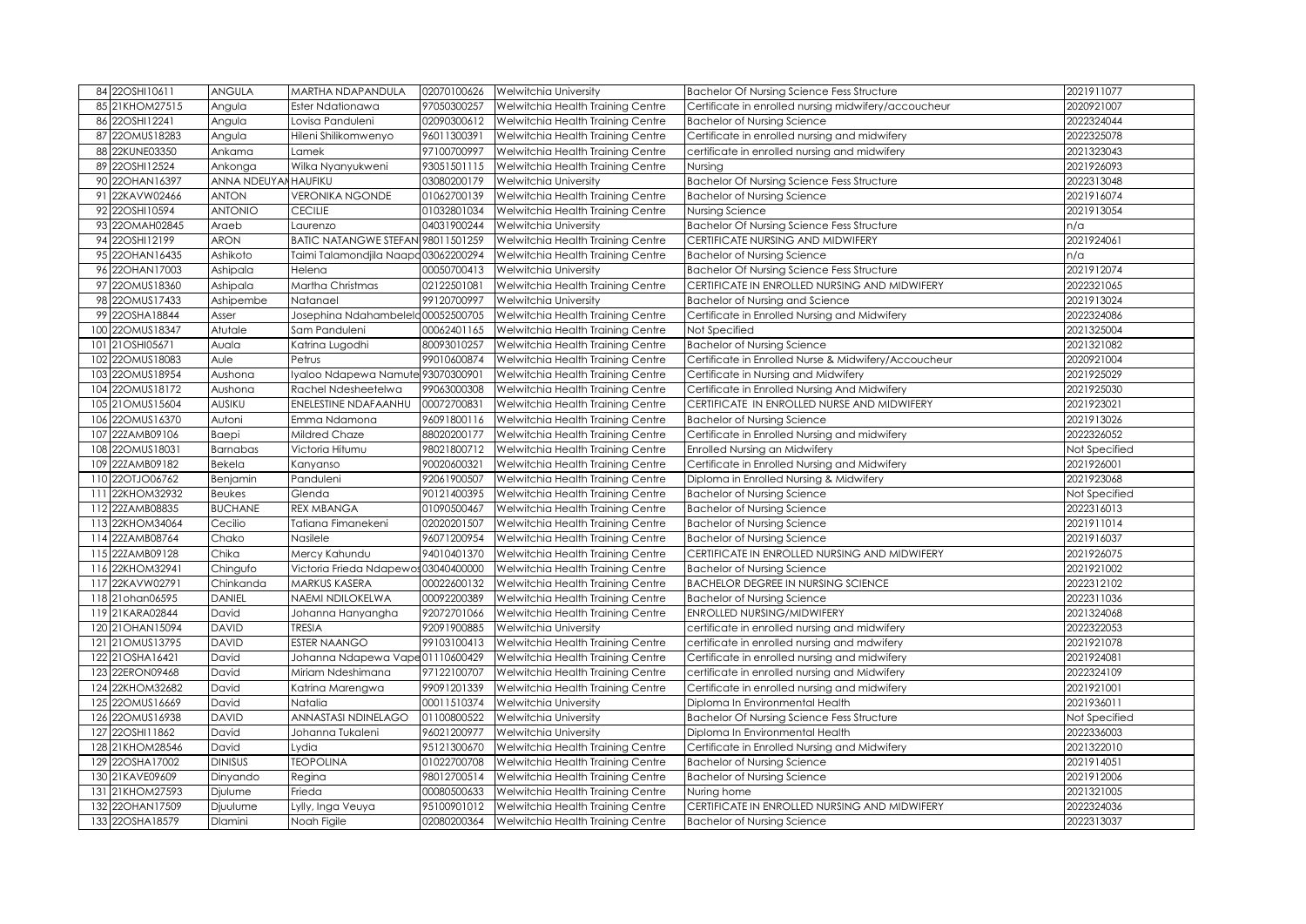| 84 22OSHI10611                     | <b>ANGULA</b>        | MARTHA NDAPANDULA                   | 02070100626 | <b>Welwitchia University</b>                  | <b>Bachelor Of Nursing Science Fess Structure</b>            | 2021911077               |
|------------------------------------|----------------------|-------------------------------------|-------------|-----------------------------------------------|--------------------------------------------------------------|--------------------------|
| 85 21KHOM27515                     | Angula               | Ester Ndationawa                    | 97050300257 | Welwitchia Health Training Centre             | Certificate in enrolled nursing midwifery/accoucheur         | 2020921007               |
| 22OSHI12241<br>86                  | Angula               | Lovisa Panduleni                    | 02090300612 | Welwitchia Health Training Centre             | <b>Bachelor of Nursing Science</b>                           | 2022324044               |
| 87 220 MUS18283                    | Angula               | Hileni Shilikomwenyo                | 96011300391 | Welwitchia Health Training Centre             | Certificate in enrolled nursing and midwifery                | 2022325078               |
| 22KUNE03350<br>88                  | Ankama               | Lamek                               | 97100700997 | Welwitchia Health Training Centre             | certificate in enrolled nursing and midwifery                | 2021323043               |
| 89 22OSHI12524                     | Ankonga              | Wilka Nyanyukweni                   | 93051501115 | Welwitchia Health Training Centre             | Nursing                                                      | 2021926093               |
| 22OHAN16397<br>90                  | ANNA NDEUYAN HAUFIKU |                                     | 03080200179 | Welwitchia University                         | <b>Bachelor Of Nursing Science Fess Structure</b>            | 2022313048               |
| 91 22KAVW02466                     | <b>ANTON</b>         | <b>VERONIKA NGONDE</b>              | 01062700139 | Welwitchia Health Training Centre             | <b>Bachelor of Nursing Science</b>                           | 2021916074               |
| 92 22OSHI10594                     | <b>ANTONIO</b>       | <b>CECILIE</b>                      | 01032801034 | Welwitchia Health Training Centre             | Nursing Science                                              | 2021913054               |
| 93 22OMAH02845                     | Araeb                | Laurenzo                            | 04031900244 | Welwitchia University                         | <b>Bachelor Of Nursing Science Fess Structure</b>            | n/a                      |
| 94 22OSHI12199                     | <b>ARON</b>          | BATIC NATANGWE STEFAN 98011501259   |             | Welwitchia Health Training Centre             | CERTIFICATE NURSING AND MIDWIFERY                            | 2021924061               |
| 95 22OHAN16435                     | Ashikoto             | Taimi Talamondjila Naapa03062200294 |             | Welwitchia Health Training Centre             | <b>Bachelor of Nursing Science</b>                           | n/a                      |
| 96 22OHAN17003                     | Ashipala             | Helena                              | 00050700413 | Welwitchia University                         | <b>Bachelor Of Nursing Science Fess Structure</b>            | 2021912074               |
| 97 220 MUS18360                    | Ashipala             | Martha Christmas                    | 02122501081 | Welwitchia Health Training Centre             | CERTIFICATE IN ENROLLED NURSING AND MIDWIFERY                | 2022321065               |
| 22OMUS17433<br>98                  | Ashipembe            | Natanael                            | 99120700997 | Welwitchia University                         | <b>Bachelor of Nursing and Science</b>                       | 2021913024               |
| 99 22OSHA18844                     | Asser                | Josephina Ndahambelela 00052500705  |             | Welwitchia Health Training Centre             | Certificate in Enrolled Nursing and Midwifery                | 2022324086               |
| 22OMUS18347<br>100                 | Atutale              | Sam Panduleni                       | 00062401165 | Welwitchia Health Training Centre             | Not Specified                                                | 2021325004               |
| 21OSHI05671<br>101                 | Auala                | Katrina Lugodhi                     | 80093010257 | Welwitchia Health Training Centre             | <b>Bachelor of Nursing Science</b>                           | 2021321082               |
| 22OMUS18083<br>102                 | Aule                 | Petrus                              | 99010600874 | Welwitchia Health Training Centre             | Certificate in Enrolled Nurse & Midwifery/Accoucheur         | 2020921004               |
| 22OMUS18954<br>103                 | Aushona              | Iyaloo Ndapewa Namute 93070300901   |             | Welwitchia Health Training Centre             | Certificate in Nursing and Midwifery                         | 2021925029               |
| 22OMUS18172<br>104                 | Aushona              | Rachel Ndesheetelwa                 | 99063000308 | Welwitchia Health Training Centre             | Certificate in Enrolled Nursing And Midwifery                | 2021925030               |
| 105 21OMUS15604                    | AUSIKU               | ENELESTINE NDAFAANHU                | 00072700831 | Welwitchia Health Training Centre             | CERTIFICATE IN ENROLLED NURSE AND MIDWIFERY                  | 2021923021               |
| 22OMUS16370<br>106                 | Autoni               | Emma Ndamona                        | 96091800116 | Welwitchia Health Training Centre             | <b>Bachelor of Nursing Science</b>                           | 2021913026               |
| 22ZAMB09106<br>107                 | Baepi                | Mildred Chaze                       | 88020200177 | Welwitchia Health Training Centre             | Certificate in Enrolled Nursing and midwifery                | 2022326052               |
| 22OMUS18031<br>108                 | Barnabas             | Victoria Hitumu                     | 98021800712 | Welwitchia Health Training Centre             | Enrolled Nursing an Midwifery                                | Not Specified            |
| 22ZAMB09182<br>109                 | Bekela               | Kanyanso                            | 90020600321 | Welwitchia Health Training Centre             | Certificate in Enrolled Nursing and Midwifery                | 2021926001               |
| 22OTJO06762<br>110                 | Benjamin             | Panduleni                           | 92061900507 | Welwitchia Health Training Centre             | Diploma in Enrolled Nursing & Midwifery                      | 2021923068               |
| 22KHOM32932<br>111                 | Beukes               | Glenda                              | 90121400395 | Welwitchia Health Training Centre             | <b>Bachelor of Nursing Science</b>                           | Not Specified            |
| 22ZAMB08835<br>112                 | <b>BUCHANE</b>       | <b>REX MBANGA</b>                   | 01090500467 | Welwitchia Health Training Centre             | <b>Bachelor of Nursing Science</b>                           | 2022316013               |
| 113 22KHOM34064                    | Cecilio              | Tatiana Fimanekeni                  | 02020201507 | Welwitchia Health Training Centre             | <b>Bachelor of Nursing Science</b>                           | 2021911014               |
| 114 22ZAMB08764                    | Chako                | Nasilele                            | 96071200954 | Welwitchia Health Training Centre             | <b>Bachelor of Nursing Science</b>                           | 2021916037               |
| 115 22ZAMB09128                    | Chika                | Mercy Kahundu                       | 94010401370 | Welwitchia Health Training Centre             | CERTIFICATE IN ENROLLED NURSING AND MIDWIFERY                | 2021926075               |
| 116 22KHOM32941                    | Chingufo             | Victoria Frieda Ndapewos03040400000 |             | Welwitchia Health Training Centre             | <b>Bachelor of Nursing Science</b>                           | 2021921002               |
| 117 22KAVW02791                    | Chinkanda            | <b>MARKUS KASERA</b>                | 00022600132 | Welwitchia Health Training Centre             | <b>BACHELOR DEGREE IN NURSING SCIENCE</b>                    | 2022312102               |
| 118 21 ohan 06595                  | <b>DANIEL</b>        | NAEMI NDILOKELWA                    | 00092200389 | Welwitchia Health Training Centre             | <b>Bachelor of Nursing Science</b>                           | 2022311036               |
| 119 21KARA02844                    | David                | Johanna Hanyangha                   | 92072701066 | Welwitchia Health Training Centre             | <b>ENROLLED NURSING/MIDWIFERY</b>                            | 2021324068               |
| 21OHAN15094<br>120 <sup>1</sup>    | <b>DAVID</b>         | <b>TRESIA</b>                       | 92091900885 | Welwitchia University                         | certificate in enrolled nursing and midwifery                | 2022322053               |
| 121 21OMUS13795                    | <b>DAVID</b>         | <b>ESTER NAANGO</b>                 | 99103100413 | Welwitchia Health Training Centre             | certificate in enrolled nursing and mdwifery                 | 2021921078               |
| 122 21OSHA16421                    | David                | Johanna Ndapewa Vape01110600429     |             | Welwitchia Health Training Centre             | Certificate in enrolled nursing and midwifery                | 2021924081               |
| 123 22ERON09468                    | David                | Miriam Ndeshimana                   | 97122100707 | Welwitchia Health Training Centre             | certificate in enrolled nursing and Midwifery                | 2022324109               |
| 124 22KHOM32682                    | David                | Katrina Marengwa                    | 99091201339 | Welwitchia Health Training Centre             | Certificate in enrolled nursing and midwifery                | 2021921001               |
| 125 22OMUS16669                    | David                | Natalia                             | 00011510374 | Welwitchia University                         | Diploma In Environmental Health                              | 2021936011               |
| 126 22OMUS16938                    | <b>DAVID</b>         | ANNASTASI NDINELAGO                 | 01100800522 | Welwitchia University                         | Bachelor Of Nursing Science Fess Structure                   | Not Specified            |
| 127 22OSHI11862                    | David                | Johanna Tukaleni                    | 96021200977 | Welwitchia University                         | Diploma In Environmental Health                              | 2022336003               |
| 128 21KHOM28546                    | David                | Lydia                               | 95121300670 | Welwitchia Health Training Centre             | Certificate in Enrolled Nursing and Midwifery                | 2021322010               |
| 129 22OSHA17002                    | <b>DINISUS</b>       | <b>TEOPOLINA</b>                    | 01022700708 | Welwitchia Health Training Centre             | <b>Bachelor of Nursing Science</b>                           | 2021914051               |
| 130 21KAVE09609                    | Dinyando             | Regina                              | 98012700514 | Welwitchia Health Training Centre             | <b>Bachelor of Nursing Science</b>                           | 2021912006               |
| 131 21KHOM27593<br>132 22OHAN17509 | Djulume              | Frieda                              | 00080500633 | Welwitchia Health Training Centre             | Nuring home<br>CERTIFICATE IN ENROLLED NURSING AND MIDWIFERY | 2021321005<br>2022324036 |
|                                    | Djuulume             | Lylly, Inga Veuya                   | 95100901012 | Welwitchia Health Training Centre             |                                                              |                          |
| 133 22OSHA18579                    | <b>Dlamini</b>       | Noah Figile                         |             | 02080200364 Welwitchia Health Training Centre | <b>Bachelor of Nursing Science</b>                           | 2022313037               |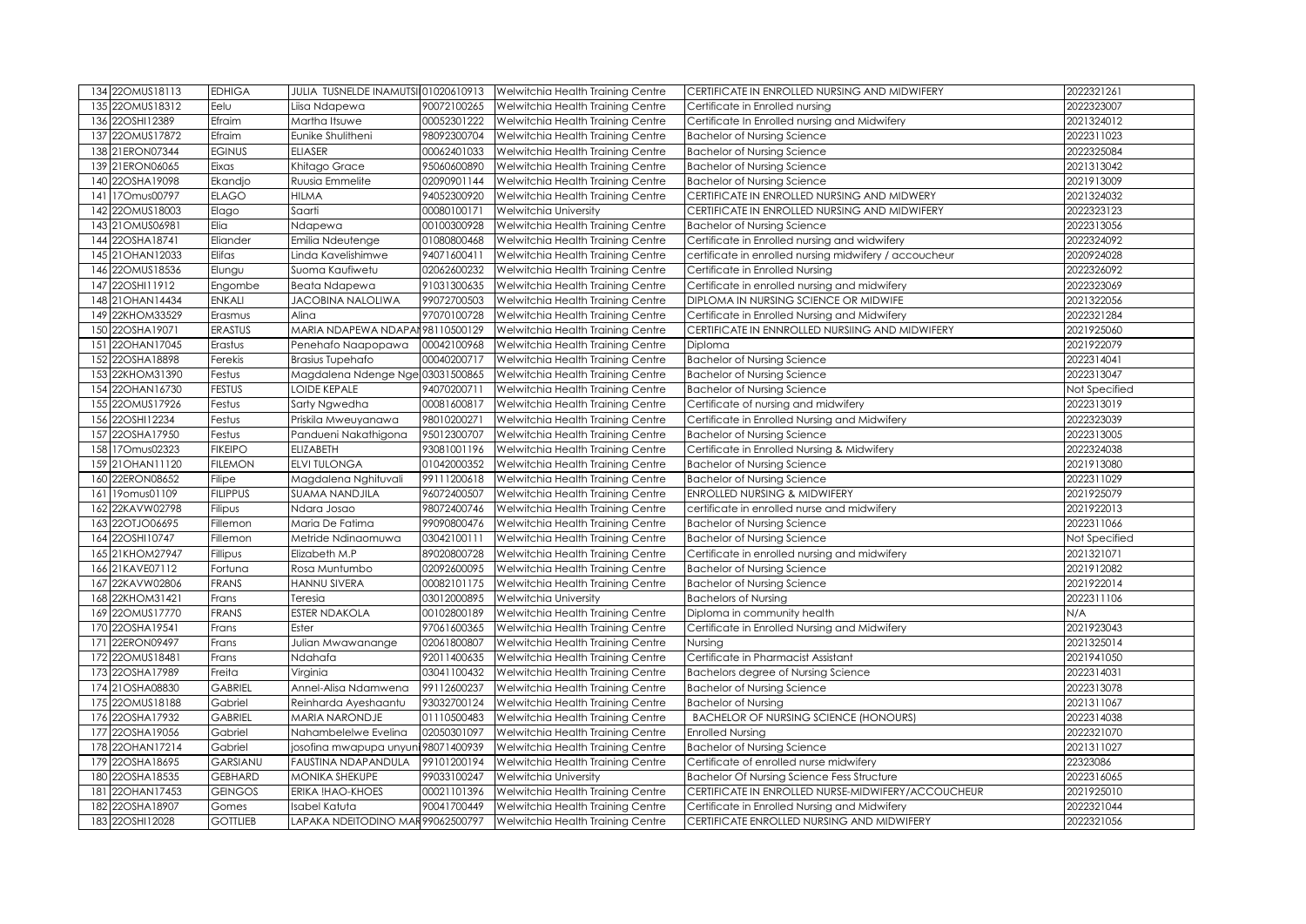|     | 134 220MUS18113    | <b>EDHIGA</b>   | JULIA TUSNELDE INAMUTSI 01020610913 |             | Welwitchia Health Training Centre | CERTIFICATE IN ENROLLED NURSING AND MIDWIFERY          | 2022321261    |
|-----|--------------------|-----------------|-------------------------------------|-------------|-----------------------------------|--------------------------------------------------------|---------------|
|     | 135 220 MUS18312   | Eelu            | Liisa Ndapewa                       | 90072100265 | Welwitchia Health Training Centre | Certificate in Enrolled nursing                        | 2022323007    |
|     | 136 22OSHI12389    | Efraim          | Martha Itsuwe                       | 00052301222 | Welwitchia Health Training Centre | Certificate In Enrolled nursing and Midwifery          | 2021324012    |
|     | 137 22OMUS17872    | Efraim          | Eunike Shulitheni                   | 98092300704 | Welwitchia Health Training Centre | <b>Bachelor of Nursing Science</b>                     | 2022311023    |
|     | 138 21ERON07344    | <b>EGINUS</b>   | <b>ELIASER</b>                      | 00062401033 | Welwitchia Health Training Centre | <b>Bachelor of Nursing Science</b>                     | 2022325084    |
|     | 139 21ERON06065    | Eixas           | Khitago Grace                       | 95060600890 | Welwitchia Health Training Centre | <b>Bachelor of Nursing Science</b>                     | 2021313042    |
|     | 140 22OSHA19098    | Ekandjo         | Ruusia Emmelite                     | 02090901144 | Welwitchia Health Training Centre | <b>Bachelor of Nursing Science</b>                     | 2021913009    |
|     | 141 170mus00797    | <b>ELAGO</b>    | <b>HILMA</b>                        | 94052300920 | Welwitchia Health Training Centre | CERTIFICATE IN ENROLLED NURSING AND MIDWERY            | 2021324032    |
|     | 142 22OMUS18003    | Elago           | Saarti                              | 00080100171 | <b>Welwitchia University</b>      | CERTIFICATE IN ENROLLED NURSING AND MIDWIFERY          | 2022323123    |
|     | 143 21 OMUS 06981  | Elia            | Ndapewa                             | 00100300928 | Welwitchia Health Training Centre | <b>Bachelor of Nursing Science</b>                     | 2022313056    |
|     | 144 22OSHA18741    | Eliander        | Emilia Ndeutenge                    | 01080800468 | Welwitchia Health Training Centre | Certificate in Enrolled nursing and widwifery          | 2022324092    |
|     | 145 21 OHAN 12033  | Elifas          | Linda Kavelishimwe                  | 94071600411 | Welwitchia Health Training Centre | certificate in enrolled nursing midwifery / accoucheur | 2020924028    |
|     | 146 22OMUS18536    | Elungu          | Suoma Kaufiwetu                     | 02062600232 | Welwitchia Health Training Centre | Certificate in Enrolled Nursing                        | 2022326092    |
|     | 147 22OSHI11912    | Engombe         | Beata Ndapewa                       | 91031300635 | Welwitchia Health Training Centre | Certificate in enrolled nursing and midwifery          | 2022323069    |
|     | 148 21 OHAN 14434  | <b>ENKALI</b>   | <b>JACOBINA NALOLIWA</b>            | 99072700503 | Welwitchia Health Training Centre | DIPLOMA IN NURSING SCIENCE OR MIDWIFE                  | 2021322056    |
|     | 149 22KHOM33529    | Erasmus         | Alina                               | 97070100728 | Welwitchia Health Training Centre | Certificate in Enrolled Nursing and Midwifery          | 2022321284    |
|     | 150 22OSHA19071    | <b>ERASTUS</b>  | MARIA NDAPEWA NDAPAI 98110500129    |             | Welwitchia Health Training Centre | CERTIFICATE IN ENNROLLED NURSIING AND MIDWIFERY        | 2021925060    |
|     | 151 22OHAN17045    | Erastus         | Penehafo Naapopawa                  | 00042100968 | Welwitchia Health Training Centre | Diploma                                                | 2021922079    |
|     | 152 22OSHA18898    | Ferekis         | Brasius Tupehafo                    | 00040200717 | Welwitchia Health Training Centre | <b>Bachelor of Nursing Science</b>                     | 2022314041    |
|     | 153 22KHOM31390    | Festus          | Magdalena Ndenge Nge 03031500865    |             | Welwitchia Health Training Centre | <b>Bachelor of Nursing Science</b>                     | 2022313047    |
|     | 154 22OHAN16730    | <b>FESTUS</b>   | <b>LOIDE KEPALE</b>                 | 94070200711 | Welwitchia Health Training Centre | <b>Bachelor of Nursing Science</b>                     | Not Specified |
|     | 155 22OMUS17926    | Festus          | Sarty Ngwedha                       | 00081600817 | Welwitchia Health Training Centre | Certificate of nursing and midwifery                   | 2022313019    |
|     | 156 22OSHI12234    | Festus          | Priskila Mweuyanawa                 | 98010200271 | Welwitchia Health Training Centre | Certificate in Enrolled Nursing and Midwifery          | 2022323039    |
|     | 157 22OSHA17950    | Festus          | Pandueni Nakathigona                | 95012300707 | Welwitchia Health Training Centre | <b>Bachelor of Nursing Science</b>                     | 2022313005    |
|     | 158 170mus02323    | <b>FIKEIPO</b>  | ELIZABETH                           | 93081001196 | Welwitchia Health Training Centre | Certificate in Enrolled Nursing & Midwifery            | 2022324038    |
|     | 159 21 OHAN 1120   | <b>FILEMON</b>  | ELVI TULONGA                        | 01042000352 | Welwitchia Health Training Centre | <b>Bachelor of Nursing Science</b>                     | 2021913080    |
|     | 160 22ERON08652    | Filipe          | Magdalena Nghituvali                | 99111200618 | Welwitchia Health Training Centre | <b>Bachelor of Nursing Science</b>                     | 2022311029    |
|     | 161 19 omus 01 109 | <b>FILIPPUS</b> | SUAMA NANDJILA                      | 96072400507 | Welwitchia Health Training Centre | ENROLLED NURSING & MIDWIFERY                           | 2021925079    |
| 162 | 22KAVW02798        | Filipus         | Ndara Josao                         | 98072400746 | Welwitchia Health Training Centre | certificate in enrolled nurse and midwifery            | 2021922013    |
|     | 163 22OTJO06695    | Fillemon        | Maria De Fatima                     | 99090800476 | Welwitchia Health Training Centre | <b>Bachelor of Nursing Science</b>                     | 2022311066    |
|     | 164 22OSHI10747    | Fillemon        | Metride Ndinaomuwa                  | 03042100111 | Welwitchia Health Training Centre | <b>Bachelor of Nursing Science</b>                     | Not Specified |
|     | 165 21KHOM27947    | Fillipus        | Elizabeth M.P                       | 89020800728 | Welwitchia Health Training Centre | Certificate in enrolled nursing and midwifery          | 2021321071    |
|     | 166 21KAVE07112    | Fortuna         | Rosa Muntumbo                       | 02092600095 | Welwitchia Health Training Centre | <b>Bachelor of Nursing Science</b>                     | 2021912082    |
|     | 167 22KAVW02806    | FRANS           | HANNU SIVERA                        | 00082101175 | Welwitchia Health Training Centre | <b>Bachelor of Nursing Science</b>                     | 2021922014    |
|     | 168 22KHOM31421    | Frans           | Teresia                             | 03012000895 | <b>Welwitchia University</b>      | <b>Bachelors of Nursing</b>                            | 2022311106    |
|     | 169 22OMUS17770    | <b>FRANS</b>    | <b>ESTER NDAKOLA</b>                | 00102800189 | Welwitchia Health Training Centre | Diploma in community health                            | N/A           |
|     | 170 22OSHA19541    | Frans           | Ester                               | 97061600365 | Welwitchia Health Training Centre | Certificate in Enrolled Nursing and Midwifery          | 2021923043    |
|     | 171 22ERON09497    | Frans           | Julian Mwawanange                   | 02061800807 | Welwitchia Health Training Centre | Nursing                                                | 2021325014    |
|     | 172 22OMUS18481    | Frans           | Ndahafa                             | 92011400635 | Welwitchia Health Training Centre | Certificate in Pharmacist Assistant                    | 2021941050    |
|     | 173 22OSHA17989    | Freita          | Virginia                            | 03041100432 | Welwitchia Health Training Centre | Bachelors degree of Nursing Science                    | 2022314031    |
|     | 174 21 OSHA08830   | <b>GABRIEL</b>  | Annel-Alisa Ndamwena                | 99112600237 | Welwitchia Health Training Centre | <b>Bachelor of Nursing Science</b>                     | 2022313078    |
|     | 175 22OMUS18188    | Gabriel         | Reinharda Ayeshaantu                | 93032700124 | Welwitchia Health Training Centre | <b>Bachelor of Nursing</b>                             | 2021311067    |
|     | 176 22OSHA17932    | <b>GABRIEL</b>  | MARIA NARONDJE                      | 01110500483 | Welwitchia Health Training Centre | <b>BACHELOR OF NURSING SCIENCE (HONOURS)</b>           | 2022314038    |
|     | 177 22OSHA19056    | Gabriel         | Nahambelelwe Evelina                | 02050301097 | Welwitchia Health Training Centre | <b>Enrolled Nursing</b>                                | 2022321070    |
|     | 178 22OHAN17214    | Gabriel         | josofina mwapupa unyuni 98071400939 |             | Welwitchia Health Training Centre | <b>Bachelor of Nursing Science</b>                     | 2021311027    |
|     | 179 22OSHA18695    | <b>GARSIANU</b> | FAUSTINA NDAPANDULA                 | 99101200194 | Welwitchia Health Training Centre | Certificate of enrolled nurse midwifery                | 22323086      |
|     | 180 22OSHA18535    | <b>GEBHARD</b>  | MONIKA SHEKUPE                      | 99033100247 | Welwitchia University             | Bachelor Of Nursing Science Fess Structure             | 2022316065    |
| 181 | 22OHAN17453        | <b>GEINGOS</b>  | ERIKA !HAO-KHOES                    | 00021101396 | Welwitchia Health Training Centre | CERTIFICATE IN ENROLLED NURSE-MIDWIFERY/ACCOUCHEUR     | 2021925010    |
|     | 182 22OSHA18907    | Gomes           | Isabel Katuta                       | 90041700449 | Welwitchia Health Training Centre | Certificate in Enrolled Nursing and Midwifery          | 2022321044    |
|     | 183 22OSHI12028    | <b>GOTTLIEB</b> | LAPAKA NDEITODINO MAR99062500797    |             | Welwitchia Health Training Centre | CERTIFICATE ENROLLED NURSING AND MIDWIFERY             | 2022321056    |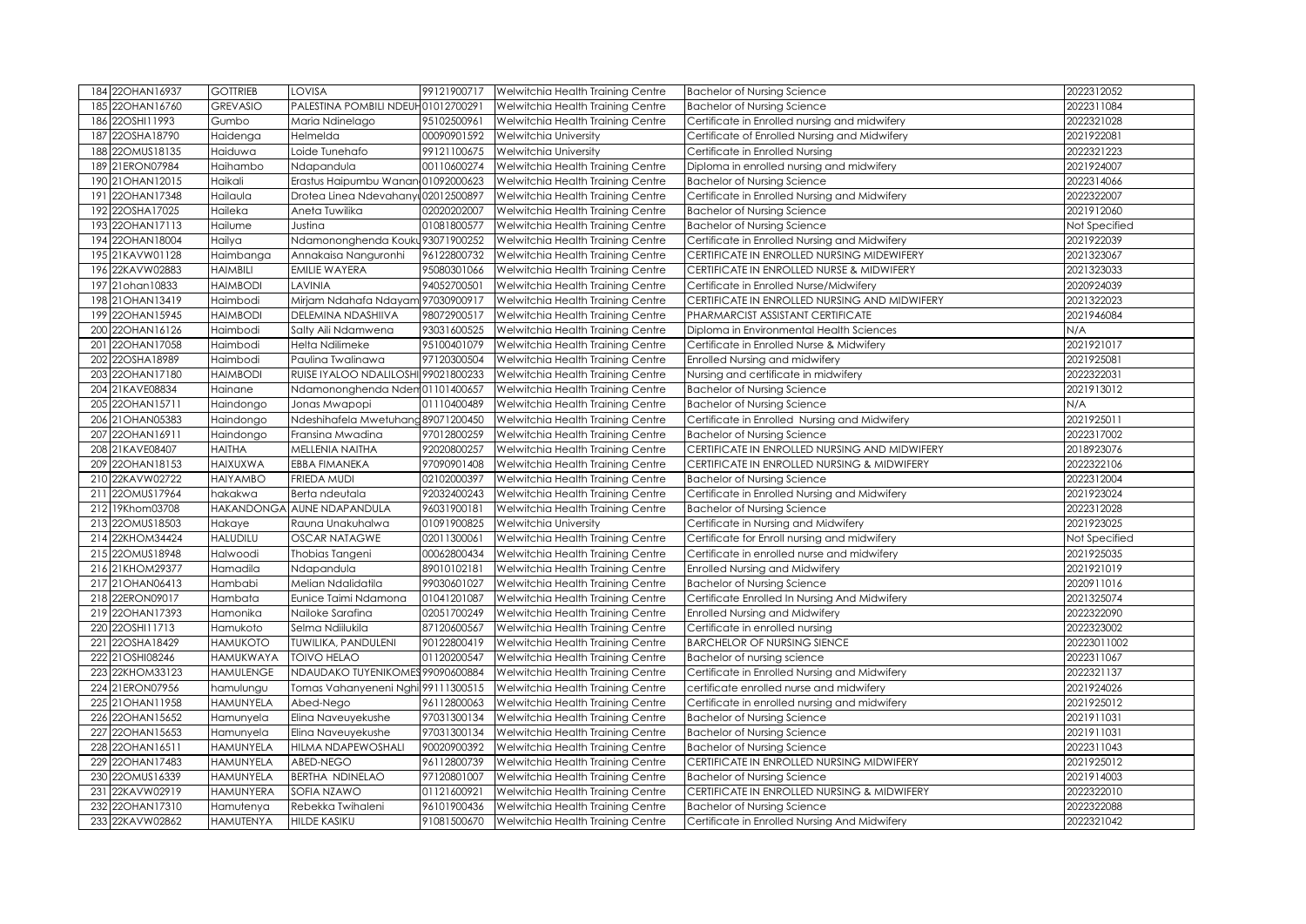|     | 184 22OHAN16937                | <b>GOTTRIEB</b>               | LOVISA                              | 99121900717                | Welwitchia Health Training Centre                                      | <b>Bachelor of Nursing Science</b>                                                  | 2022312052               |
|-----|--------------------------------|-------------------------------|-------------------------------------|----------------------------|------------------------------------------------------------------------|-------------------------------------------------------------------------------------|--------------------------|
|     | 185 22OHAN16760                | <b>GREVASIO</b>               | PALESTINA POMBILI NDEUH01012700291  |                            | Welwitchia Health Training Centre                                      | <b>Bachelor of Nursing Science</b>                                                  | 2022311084               |
| 186 | 22OSHI11993                    | Gumbo                         | Maria Ndinelago                     | 95102500961                | Welwitchia Health Training Centre                                      | Certificate in Enrolled nursing and midwifery                                       | 2022321028               |
|     | 187 22OSHA18790                | Haidenga                      | Helmelda                            | 00090901592                | Welwitchia University                                                  | Certificate of Enrolled Nursing and Midwifery                                       | 2021922081               |
| 188 | 22OMUS18135                    | Haiduwa                       | Loide Tunehafo                      | 99121100675                | <b>Welwitchia University</b>                                           | Certificate in Enrolled Nursing                                                     | 2022321223               |
|     | 189 21ERON07984                | Haihambo                      | Ndapandula                          | 00110600274                | Welwitchia Health Training Centre                                      | Diploma in enrolled nursing and midwifery                                           | 2021924007               |
|     | 190 21 OHAN 12015              | Haikali                       | Erastus Haipumbu Wanan              | 01092000623                | Welwitchia Health Training Centre                                      | <b>Bachelor of Nursing Science</b>                                                  | 2022314066               |
|     | 191 22OHAN17348                | Hailaula                      | Drotea Linea Ndevahany              | 02012500897                | Welwitchia Health Training Centre                                      | Certificate in Enrolled Nursing and Midwifery                                       | 2022322007               |
|     | 192 22OSHA17025                | Haileka                       | Aneta Tuwilika                      | 02020202007                | Welwitchia Health Training Centre                                      | <b>Bachelor of Nursing Science</b>                                                  | 2021912060               |
|     | 193 22OHAN17113                | Hailume                       | Justina                             | 01081800577                | Welwitchia Health Training Centre                                      | <b>Bachelor of Nursing Science</b>                                                  | Not Specified            |
|     | 194 22OHAN18004                | Hailya                        | Ndamononghenda Kouku 93071900252    |                            | Welwitchia Health Training Centre                                      | Certificate in Enrolled Nursing and Midwifery                                       | 2021922039               |
|     | 195 21KAVW01128                | Haimbanga                     | Annakaisa Nanguronhi                | 96122800732                | Welwitchia Health Training Centre                                      | CERTIFICATE IN ENROLLED NURSING MIDEWIFERY                                          | 2021323067               |
|     | 196 22KAVW02883                | <b>HAIMBILI</b>               | EMILIE WAYERA                       | 95080301066                | Welwitchia Health Training Centre                                      | CERTIFICATE IN ENROLLED NURSE & MIDWIFERY                                           | 2021323033               |
|     | 197 21 ohan 10833              | <b>HAIMBODI</b>               | LAVINIA                             | 94052700501                | Welwitchia Health Training Centre                                      | Certificate in Enrolled Nurse/Midwifery                                             | 2020924039               |
|     | 198 21 OHAN 13419              | Haimbodi                      | Mirjam Ndahafa Ndayam 97030900917   |                            | Welwitchia Health Training Centre                                      | CERTIFICATE IN ENROLLED NURSING AND MIDWIFERY                                       | 2021322023               |
|     | 199 22OHAN15945                | <b>HAIMBODI</b>               | DELEMINA NDASHIIVA                  | 98072900517                | Welwitchia Health Training Centre                                      | PHARMARCIST ASSISTANT CERTIFICATE                                                   | 2021946084               |
|     | 200 22OHAN16126                | Haimbodi                      | Salty Aili Ndamwena                 | 93031600525                | Welwitchia Health Training Centre                                      | Diploma in Environmental Health Sciences                                            | N/A                      |
|     | 201 22OHAN17058                | Haimbodi                      | Helta Ndilimeke                     | 95100401079                | Welwitchia Health Training Centre                                      | Certificate in Enrolled Nurse & Midwifery                                           | 2021921017               |
| 202 | 22OSHA18989                    | Haimbodi                      | Paulina Twalinawa                   | 97120300504                | Welwitchia Health Training Centre                                      | Enrolled Nursing and midwifery                                                      | 2021925081               |
|     | 203 22OHAN17180                | <b>HAIMBODI</b>               | RUISE IYALOO NDALILOSHI 99021800233 |                            | Welwitchia Health Training Centre                                      | Nursing and certificate in midwifery                                                | 2022322031               |
|     | 204 21KAVE08834                | Hainane                       | Ndamononghenda Ndem 01101400657     |                            | Welwitchia Health Training Centre                                      | <b>Bachelor of Nursing Science</b>                                                  | 2021913012               |
|     | 205 22OHAN15711                | Haindongo                     | Jonas Mwapopi                       | 01110400489                | Welwitchia Health Training Centre                                      | <b>Bachelor of Nursing Science</b>                                                  | N/A                      |
|     | 206 21 OHAN 05383              | Haindongo                     | Ndeshihafela Mwetuhang 89071200450  |                            | Welwitchia Health Training Centre                                      | Certificate in Enrolled Nursing and Midwifery                                       | 2021925011               |
|     | 207 22OHAN16911                | Haindongo                     | Fransina Mwadina                    | 97012800259                | Welwitchia Health Training Centre                                      | <b>Bachelor of Nursing Science</b>                                                  | 2022317002               |
|     | 208 21KAVE08407                | HAITHA                        | MELLENIA NAITHA                     | 92020800257                | Welwitchia Health Training Centre                                      | CERTIFICATE IN ENROLLED NURSING AND MIDWIFERY                                       | 2018923076               |
|     |                                |                               |                                     |                            |                                                                        |                                                                                     |                          |
|     | 209 22OHAN18153                | <b>HAIXUXWA</b>               | EBBA FIMANEKA                       | 97090901408                | Welwitchia Health Training Centre                                      | CERTIFICATE IN ENROLLED NURSING & MIDWIFERY                                         | 2022322106               |
|     | 210 22KAVW02722                | <b>HAIYAMBO</b>               | FRIEDA MUDI                         | 02102000397                | Welwitchia Health Training Centre                                      | <b>Bachelor of Nursing Science</b>                                                  | 2022312004               |
|     | 211 22OMUS17964                | hakakwa                       | Berta ndeutala                      | 92032400243                | Welwitchia Health Training Centre                                      | Certificate in Enrolled Nursing and Midwifery                                       | 2021923024               |
| 212 | 19Khom03708                    | <b>HAKANDONGA</b>             | AUNE NDAPANDULA                     | 96031900181                | Welwitchia Health Training Centre                                      | <b>Bachelor of Nursing Science</b>                                                  | 2022312028               |
|     | 213 22OMUS18503                | Hakaye                        | Rauna Unakuhalwa                    | 01091900825                | Welwitchia University                                                  | Certificate in Nursing and Midwifery                                                | 2021923025               |
|     | 214 22KHOM34424                | <b>HALUDILU</b>               | <b>OSCAR NATAGWE</b>                | 02011300061                | Welwitchia Health Training Centre                                      | Certificate for Enroll nursing and midwifery                                        | Not Specified            |
|     | 215 22OMUS18948                | Halwoodi                      | Thobias Tangeni                     | 00062800434                | Welwitchia Health Training Centre                                      | Certificate in enrolled nurse and midwifery                                         | 2021925035               |
|     | 216 21KHOM29377                | Hamadila                      | Ndapandula                          | 89010102181                | Welwitchia Health Training Centre                                      | Enrolled Nursing and Midwifery                                                      | 2021921019               |
|     | 217 21 OHAN 06413              | Hambabi                       | Melian Ndalidatila                  | 99030601027                | Welwitchia Health Training Centre                                      | <b>Bachelor of Nursing Science</b>                                                  | 2020911016               |
|     | 218 22ERON09017                | Hambata                       | Eunice Taimi Ndamona                | 01041201087                | Welwitchia Health Training Centre                                      | Certificate Enrolled In Nursing And Midwifery                                       | 2021325074               |
|     | 219 22OHAN17393                | Hamonika                      | Nailoke Sarafina                    | 02051700249                | Welwitchia Health Training Centre                                      | <b>Enrolled Nursing and Midwifery</b>                                               | 2022322090               |
|     | 220 22OSHI11713                | Hamukoto                      | Selma Ndiilukila                    | 87120600567                | Welwitchia Health Training Centre                                      | Certificate in enrolled nursing                                                     | 2022323002               |
|     | 221 22OSHA18429                | <b>HAMUKOTO</b>               | TUWILIKA, PANDULENI                 | 90122800419                | Welwitchia Health Training Centre                                      | <b>BARCHELOR OF NURSING SIENCE</b>                                                  | 20223011002              |
|     | 222 21 OSHI08246               | <b>HAMUKWAYA</b>              | <b>TOIVO HELAO</b>                  | 01120200547                | Welwitchia Health Training Centre                                      | Bachelor of nursing science                                                         | 2022311067               |
|     | 223 22KHOM33123                | <b>HAMULENGE</b>              | NDAUDAKO TUYENIKOMES 99090600884    |                            | Welwitchia Health Training Centre                                      | Certificate in Enrolled Nursing and Midwifery                                       | 2022321137               |
|     | 224 21ERON07956                | hamulungu                     | Tomas Vahanyeneni Nghi 99111300515  |                            | Welwitchia Health Training Centre                                      | certificate enrolled nurse and midwifery                                            | 2021924026               |
|     | 225 21 OHAN 11958              | HAMUNYELA                     | Abed-Nego                           | 96112800063                | Welwitchia Health Training Centre                                      | Certificate in enrolled nursing and midwifery                                       | 2021925012               |
|     | 226 22OHAN15652                | Hamunyela                     | Elina Naveuyekushe                  | 97031300134                | Welwitchia Health Training Centre                                      | <b>Bachelor of Nursing Science</b>                                                  | 2021911031               |
|     | 227 22OHAN15653                | Hamunyela                     | Elina Naveuyekushe                  | 97031300134                | Welwitchia Health Training Centre                                      | <b>Bachelor of Nursing Science</b>                                                  | 2021911031               |
|     | 228 22OHAN16511                | <b>HAMUNYELA</b>              | HILMA NDAPEWOSHALI                  | 90020900392                | Welwitchia Health Training Centre                                      | <b>Bachelor of Nursing Science</b>                                                  | 2022311043               |
|     | 229 22OHAN17483                | HAMUNYELA                     | ABED-NEGO                           | 96112800739                | Welwitchia Health Training Centre                                      | CERTIFICATE IN ENROLLED NURSING MIDWIFERY                                           | 2021925012               |
|     | 230 22OMUS16339                | <b>HAMUNYELA</b>              | BERTHA NDINELAO                     | 97120801007                | Welwitchia Health Training Centre                                      | <b>Bachelor of Nursing Science</b>                                                  | 2021914003               |
| 231 | 22KAVW02919                    | <b>HAMUNYERA</b>              | SOFIA NZAWO                         | 01121600921                | Welwitchia Health Training Centre                                      | CERTIFICATE IN ENROLLED NURSING & MIDWIFERY                                         | 2022322010               |
| 232 | 22OHAN17310<br>233 22KAVW02862 | Hamutenya<br><b>HAMUTENYA</b> | Rebekka Twihaleni<br>HILDE KASIKU   | 96101900436<br>91081500670 | Welwitchia Health Training Centre<br>Welwitchia Health Training Centre | <b>Bachelor of Nursing Science</b><br>Certificate in Enrolled Nursing And Midwifery | 2022322088<br>2022321042 |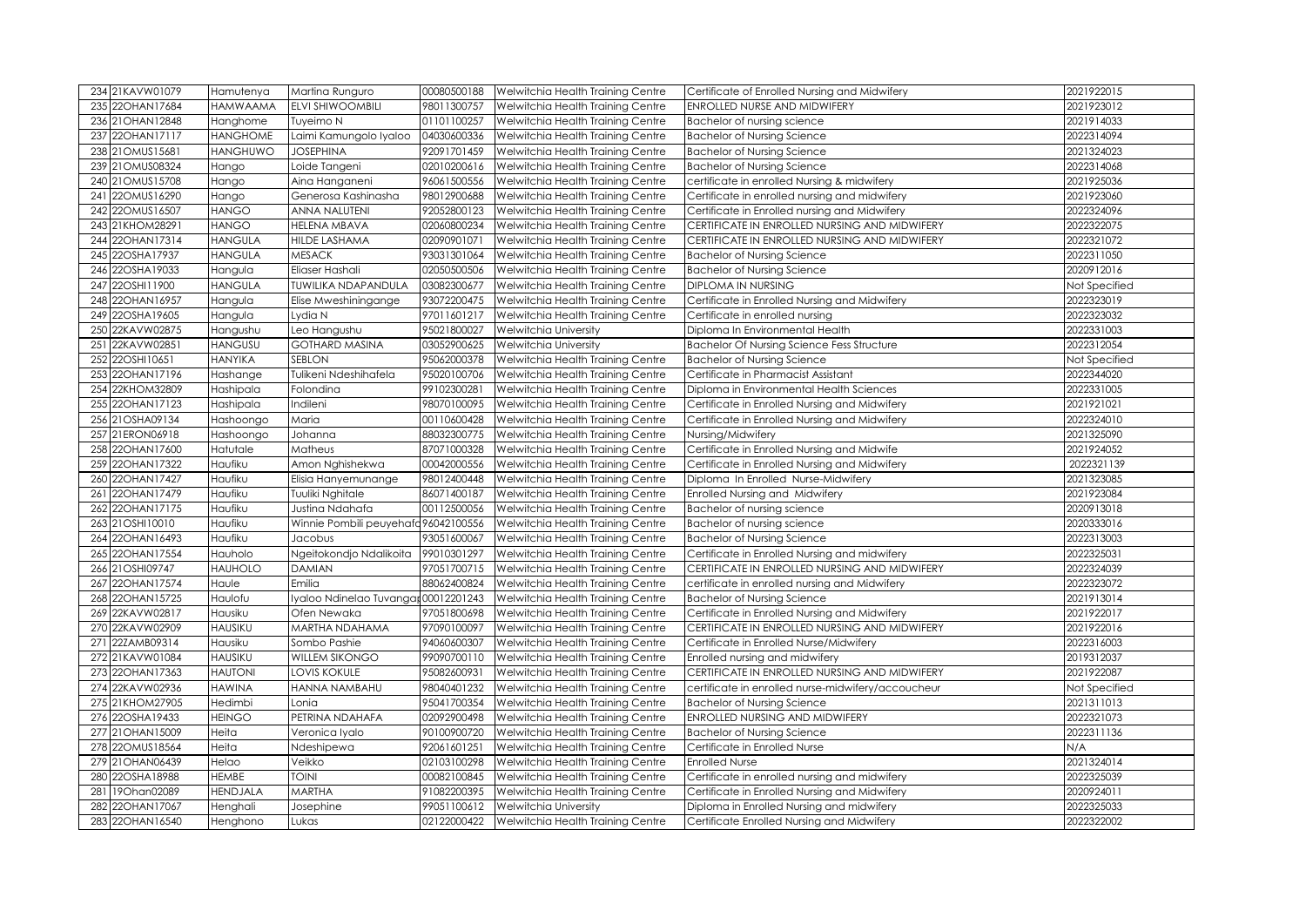| 234 21KAVW01079     | Hamutenya                 | Martina Runguro                     | 00080500188 | Welwitchia Health Training Centre | Certificate of Enrolled Nursing and Midwifery      | 2021922015    |
|---------------------|---------------------------|-------------------------------------|-------------|-----------------------------------|----------------------------------------------------|---------------|
| 235 22OHAN17684     | <b>HAMWAAMA</b>           | <b>ELVI SHIWOOMBILI</b>             | 98011300757 | Welwitchia Health Training Centre | ENROLLED NURSE AND MIDWIFERY                       | 2021923012    |
| 236 21 OHAN 12848   |                           | Tuyeimo N                           | 01101100257 |                                   |                                                    | 2021914033    |
|                     | Hanghome                  |                                     |             | Welwitchia Health Training Centre | Bachelor of nursing science                        |               |
| 22OHAN17117<br>237  | <b>HANGHOME</b>           | Laimi Kamungolo Iyaloo              | 04030600336 | Welwitchia Health Training Centre | <b>Bachelor of Nursing Science</b>                 | 2022314094    |
| 238 21 OMUS15681    | <b>HANGHUWO</b>           | <b>JOSEPHINA</b>                    | 92091701459 | Welwitchia Health Training Centre | <b>Bachelor of Nursing Science</b>                 | 2021324023    |
| 239 21 OMUS 08324   | Hango                     | Loide Tangeni                       | 02010200616 | Welwitchia Health Training Centre | <b>Bachelor of Nursing Science</b>                 | 2022314068    |
| 21OMUS15708<br>240  | Hango                     | Aina Hanganeni                      | 96061500556 | Welwitchia Health Training Centre | certificate in enrolled Nursing & midwifery        | 2021925036    |
| 22OMUS16290<br>241  | Hango                     | Generosa Kashinasha                 | 98012900688 | Welwitchia Health Training Centre | Certificate in enrolled nursing and midwifery      | 2021923060    |
| 22OMUS16507<br>242  | <b>HANGO</b>              | <b>ANNA NALUTENI</b>                | 92052800123 | Welwitchia Health Training Centre | Certificate in Enrolled nursing and Midwifery      | 2022324096    |
| 243 21KHOM28291     | <b>HANGO</b>              | <b>HELENA MBAVA</b>                 | 02060800234 | Welwitchia Health Training Centre | CERTIFICATE IN ENROLLED NURSING AND MIDWIFERY      | 2022322075    |
| 22OHAN17314<br>244  | <b>HANGULA</b>            | <b>HILDE LASHAMA</b>                | 02090901071 | Welwitchia Health Training Centre | CERTIFICATE IN ENROLLED NURSING AND MIDWIFERY      | 2022321072    |
| 22OSHA17937<br>245  | <b>HANGULA</b>            | <b>MESACK</b>                       | 93031301064 | Welwitchia Health Training Centre | <b>Bachelor of Nursing Science</b>                 | 2022311050    |
| 22OSHA19033<br>246  | Hangula                   | Eliaser Hashali                     | 02050500506 | Welwitchia Health Training Centre | <b>Bachelor of Nursing Science</b>                 | 2020912016    |
| 22OSHI11900<br>247  | <b>HANGULA</b>            | TUWILIKA NDAPANDULA                 | 03082300677 | Welwitchia Health Training Centre | <b>DIPLOMA IN NURSING</b>                          | Not Specified |
| 22OHAN16957<br>248  | Hangula                   | Elise Mweshiningange                | 93072200475 | Welwitchia Health Training Centre | Certificate in Enrolled Nursing and Midwifery      | 2022323019    |
| 22OSHA19605<br>249  | Hangula                   | Lydia N                             | 97011601217 | Welwitchia Health Training Centre | Certificate in enrolled nursing                    | 2022323032    |
| 22KAVW02875<br>250  | Hangushu                  | Leo Hangushu                        | 95021800027 | <b>Welwitchia University</b>      | Diploma In Environmental Health                    | 2022331003    |
| 22KAVW02851<br>251  | <b>HANGUSU</b>            | <b>GOTHARD MASINA</b>               | 03052900625 | <b>Welwitchia University</b>      | <b>Bachelor Of Nursing Science Fess Structure</b>  | 2022312054    |
| 22OSHI10651<br>252  | <b>HANYIKA</b>            | <b>SEBLON</b>                       | 95062000378 | Welwitchia Health Training Centre | <b>Bachelor of Nursing Science</b>                 | Not Specified |
| 253 22OHAN17196     | Hashange                  | Tulikeni Ndeshihafela               | 95020100706 | Welwitchia Health Training Centre | Certificate in Pharmacist Assistant                | 2022344020    |
| 254 22KHOM32809     | Hashipala                 | Folondina                           | 99102300281 | Welwitchia Health Training Centre | Diploma in Environmental Health Sciences           | 2022331005    |
| 255 22OHAN17123     | Hashipala                 | Indileni                            | 98070100095 | Welwitchia Health Training Centre | Certificate in Enrolled Nursing and Midwifery      | 2021921021    |
| 256 21OSHA09134     | Hashoongo                 | Maria                               | 00110600428 | Welwitchia Health Training Centre | Certificate in Enrolled Nursing and Midwifery      | 2022324010    |
| 257 21ERON06918     | Hashoongo                 | Johanna                             | 88032300775 | Welwitchia Health Training Centre | Nursing/Midwifery                                  | 2021325090    |
| 258 22OHAN17600     | Hatutale                  | Matheus                             | 87071000328 | Welwitchia Health Training Centre | Certificate in Enrolled Nursing and Midwife        | 2021924052    |
| 259 22OHAN17322     | Haufiku                   | Amon Nghishekwa                     | 00042000556 | Welwitchia Health Training Centre | Certificate in Enrolled Nursing and Midwifery      | 2022321139    |
| 22OHAN17427<br>260  | Haufiku                   | Elisia Hanyemunange                 | 98012400448 | Welwitchia Health Training Centre | Diploma In Enrolled Nurse-Midwifery                | 2021323085    |
| 22OHAN17479<br>261  | Haufiku                   | <b>Tuuliki Nghitale</b>             | 86071400187 | Welwitchia Health Training Centre | Enrolled Nursing and Midwifery                     | 2021923084    |
| 22OHAN17175<br>262  | Haufiku                   | Justina Ndahafa                     | 00112500056 | Welwitchia Health Training Centre | Bachelor of nursing science                        | 2020913018    |
| 263 21OSHI10010     | Haufiku                   | Winnie Pombili peuyehafd96042100556 |             | Welwitchia Health Training Centre | Bachelor of nursing science                        | 2020333016    |
| 22OHAN16493<br>264I | Haufiku                   | Jacobus                             | 93051600067 | Welwitchia Health Training Centre | <b>Bachelor of Nursing Science</b>                 | 2022313003    |
| 265 22OHAN17554     | Hauholo                   | Ngeitokondjo Ndalikoita             | 99010301297 | Welwitchia Health Training Centre | Certificate in Enrolled Nursing and midwifery      | 2022325031    |
| 266 21OSHI09747     | <b>HAUHOLO</b>            | <b>DAMIAN</b>                       | 97051700715 | Welwitchia Health Training Centre | CERTIFICATE IN ENROLLED NURSING AND MIDWIFERY      | 2022324039    |
| 267 22OHAN17574     | Haule                     | Emilia                              | 88062400824 | Welwitchia Health Training Centre | certificate in enrolled nursing and Midwifery      | 2022323072    |
| 268 22OHAN15725     | Haulofu                   | Iyaloo Ndinelao Tuvangar00012201243 |             | Welwitchia Health Training Centre | <b>Bachelor of Nursing Science</b>                 | 2021913014    |
| 269 22KAVW02817     | Hausiku                   | Ofen Newaka                         | 97051800698 | Welwitchia Health Training Centre | Certificate in Enrolled Nursing and Midwifery      | 2021922017    |
| 22KAVW02909<br>270  | <b>HAUSIKU</b>            | MARTHA NDAHAMA                      | 97090100097 | Welwitchia Health Training Centre | CERTIFICATE IN ENROLLED NURSING AND MIDWIFERY      | 2021922016    |
| 271 22ZAMB09314     |                           | Sombo Pashie                        | 94060600307 |                                   | Certificate in Enrolled Nurse/Midwifery            | 2022316003    |
| 272 21KAVW01084     | Hausiku<br><b>HAUSIKU</b> | <b>WILLEM SIKONGO</b>               | 99090700110 | Welwitchia Health Training Centre |                                                    | 2019312037    |
|                     |                           |                                     |             | Welwitchia Health Training Centre | Enrolled nursing and midwifery                     |               |
| 273 22OHAN17363     | <b>HAUTONI</b>            | <b>LOVIS KOKULE</b>                 | 95082600931 | Welwitchia Health Training Centre | CERTIFICATE IN ENROLLED NURSING AND MIDWIFERY      | 2021922087    |
| 274 22KAVW02936     | <b>HAWINA</b>             | HANNA NAMBAHU                       | 98040401232 | Welwitchia Health Training Centre | certificate in enrolled nurse-midwifery/accoucheur | Not Specified |
| 275 21KHOM27905     | Hedimbi                   | Lonia                               | 95041700354 | Welwitchia Health Training Centre | <b>Bachelor of Nursing Science</b>                 | 2021311013    |
| 276 22OSHA19433     | <b>HEINGO</b>             | PETRINA NDAHAFA                     | 02092900498 | Welwitchia Health Training Centre | ENROLLED NURSING AND MIDWIFERY                     | 2022321073    |
| 277 21 OHAN 15009   | Heita                     | Veronica Iyalo                      | 90100900720 | Welwitchia Health Training Centre | <b>Bachelor of Nursing Science</b>                 | 2022311136    |
| 278 22OMUS18564     | Heita                     | Ndeshipewa                          | 92061601251 | Welwitchia Health Training Centre | Certificate in Enrolled Nurse                      | N/A           |
| 279 21 OHAN 06439   | Helao                     | Veikko                              | 02103100298 | Welwitchia Health Training Centre | <b>Enrolled Nurse</b>                              | 2021324014    |
| 280 22OSHA18988     | <b>HEMBE</b>              | <b>TOINI</b>                        | 00082100845 | Welwitchia Health Training Centre | Certificate in enrolled nursing and midwifery      | 2022325039    |
| 19Ohan02089<br>281  | <b>HENDJALA</b>           | <b>MARTHA</b>                       | 91082200395 | Welwitchia Health Training Centre | Certificate in Enrolled Nursing and Midwifery      | 2020924011    |
| 282 22OHAN17067     | Henghali                  | Josephine                           | 99051100612 | <b>Welwitchia University</b>      | Diploma in Enrolled Nursing and midwifery          | 2022325033    |
| 283 22OHAN16540     | Henghono                  | Lukas                               | 02122000422 | Welwitchia Health Training Centre | Certificate Enrolled Nursing and Midwifery         | 2022322002    |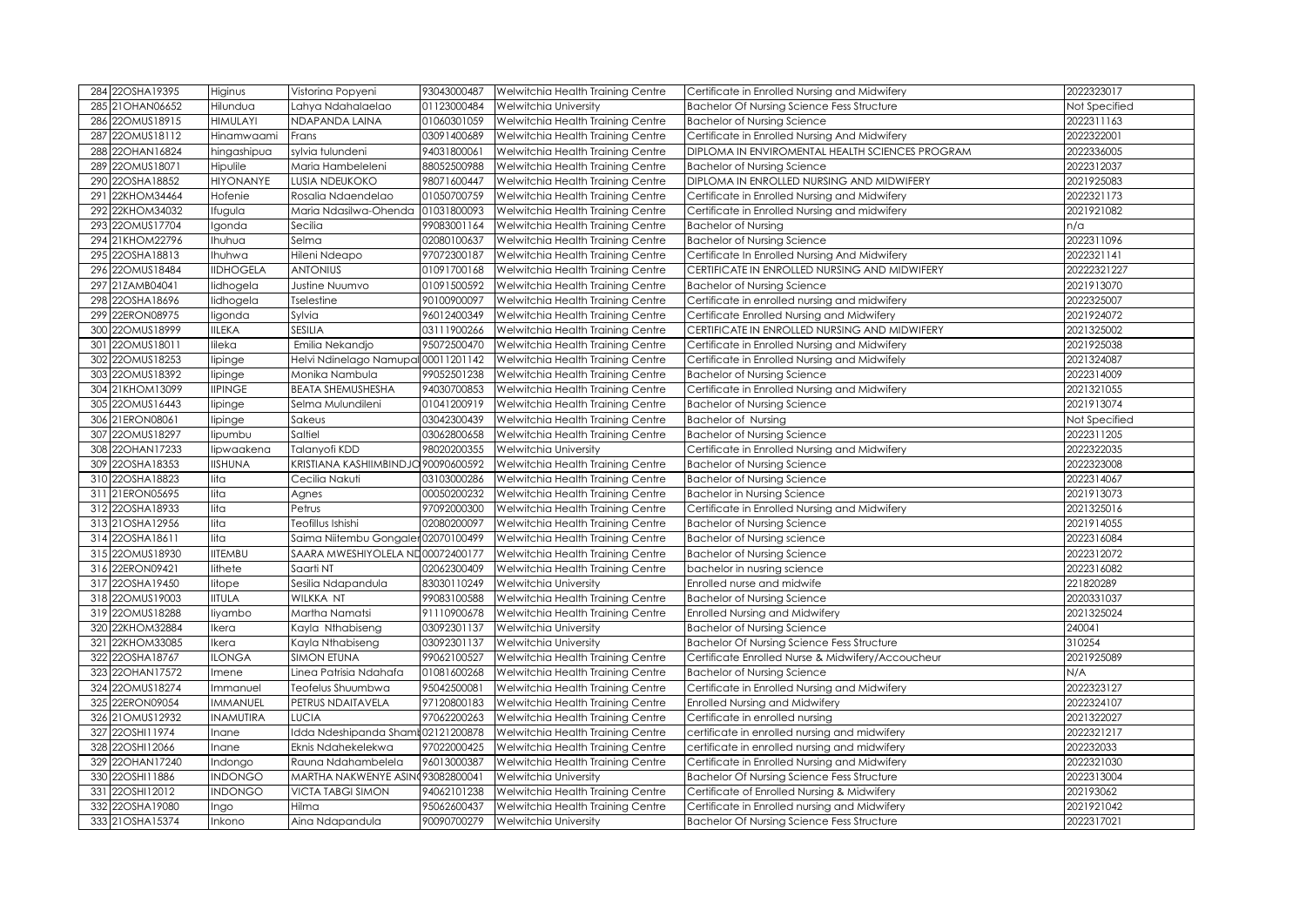| 284 22OSHA19395    | Higinus          | Vistorina Popyeni                   | 93043000487 | Welwitchia Health Training Centre | Certificate in Enrolled Nursing and Midwifery     | 2022323017    |
|--------------------|------------------|-------------------------------------|-------------|-----------------------------------|---------------------------------------------------|---------------|
| 285 21 OHAN 06652  | Hilundua         | Lahya Ndahalaelao                   | 01123000484 | <b>Welwitchia University</b>      | <b>Bachelor Of Nursing Science Fess Structure</b> | Not Specified |
| 22OMUS18915<br>286 | <b>HIMULAYI</b>  | NDAPANDA LAINA                      | 01060301059 | Welwitchia Health Training Centre | <b>Bachelor of Nursing Science</b>                | 2022311163    |
| 22OMUS18112<br>287 | Hinamwaami       | Frans                               | 03091400689 | Welwitchia Health Training Centre | Certificate in Enrolled Nursing And Midwifery     | 2022322001    |
| 22OHAN16824<br>288 | hingashipua      | sylvia tulundeni                    | 94031800061 | Welwitchia Health Training Centre | DIPLOMA IN ENVIROMENTAL HEALTH SCIENCES PROGRAM   | 2022336005    |
| 22OMUS18071<br>289 | Hipulile         | Maria Hambeleleni                   | 88052500988 | Welwitchia Health Training Centre | <b>Bachelor of Nursing Science</b>                | 2022312037    |
| 22OSHA18852<br>290 | <b>HIYONANYE</b> | <b>LUSIA NDEUKOKO</b>               | 98071600447 | Welwitchia Health Training Centre | DIPLOMA IN ENROLLED NURSING AND MIDWIFERY         | 2021925083    |
| 22KHOM34464<br>291 | Hofenie          | Rosalia Ndaendelao                  | 01050700759 | Welwitchia Health Training Centre | Certificate in Enrolled Nursing and Midwifery     | 2022321173    |
| 22KHOM34032<br>292 | Ifugula          | Maria Ndasilwa-Ohenda               | 01031800093 | Welwitchia Health Training Centre | Certificate in Enrolled Nursing and midwifery     | 2021921082    |
| 22OMUS17704<br>293 | Igonda           | Secilia                             | 99083001164 | Welwitchia Health Training Centre | <b>Bachelor of Nursing</b>                        | n/a           |
| 21KHOM22796<br>294 | Ihuhua           | Selma                               | 02080100637 | Welwitchia Health Training Centre | <b>Bachelor of Nursing Science</b>                | 2022311096    |
| 295 22OSHA18813    | Ihuhwa           | Hileni Ndeapo                       | 97072300187 | Welwitchia Health Training Centre | Certificate In Enrolled Nursing And Midwifery     | 2022321141    |
| 22OMUS18484<br>296 | <b>IIDHOGELA</b> | <b>ANTONIUS</b>                     | 01091700168 | Welwitchia Health Training Centre | CERTIFICATE IN ENROLLED NURSING AND MIDWIFERY     | 20222321227   |
| 297 21ZAMB04041    | lidhogela        | Justine Nuumvo                      | 01091500592 | Welwitchia Health Training Centre | <b>Bachelor of Nursing Science</b>                | 2021913070    |
| 22OSHA18696<br>298 | lidhogela        | <b>Tselestine</b>                   | 90100900097 | Welwitchia Health Training Centre | Certificate in enrolled nursing and midwifery     | 2022325007    |
| 299 22ERON08975    | ligonda          | Sylvia                              | 96012400349 | Welwitchia Health Training Centre | Certificate Enrolled Nursing and Midwifery        | 2021924072    |
| 22OMUS18999<br>300 | <b>IILEKA</b>    | <b>SESILIA</b>                      | 03111900266 | Welwitchia Health Training Centre | CERTIFICATE IN ENROLLED NURSING AND MIDWIFERY     | 2021325002    |
| 301 22OMUS18011    | lileka           | Emilia Nekandjo                     | 95072500470 | Welwitchia Health Training Centre | Certificate in Enrolled Nursing and Midwifery     | 2021925038    |
| 302 22OMUS18253    | lipinge          | Helvi Ndinelago Namupal 00011201142 |             | Welwitchia Health Training Centre | Certificate in Enrolled Nursing and Midwifely     | 2021324087    |
| 303 22OMUS18392    | lipinge          | Monika Nambula                      | 99052501238 | Welwitchia Health Training Centre | <b>Bachelor of Nursing Science</b>                | 2022314009    |
| 304 21KHOM13099    | <b>IIPINGE</b>   | <b>BEATA SHEMUSHESHA</b>            | 94030700853 | Welwitchia Health Training Centre | Certificate in Enrolled Nursing and Midwifery     | 2021321055    |
| 305 22OMUS16443    | lipinge          | Selma Mulundileni                   | 01041200919 | Welwitchia Health Training Centre | <b>Bachelor of Nursing Science</b>                | 2021913074    |
| 306 21ERON08061    | lipinge          | Sakeus                              | 03042300439 | Welwitchia Health Training Centre | <b>Bachelor of Nursing</b>                        | Not Specified |
| 307 22OMUS18297    | lipumbu          | Saltiel                             | 03062800658 | Welwitchia Health Training Centre | <b>Bachelor of Nursing Science</b>                | 2022311205    |
| 308 22OHAN17233    | lipwaakena       | Talanyofi KDD                       | 98020200355 | <b>Welwitchia University</b>      | Certificate in Enrolled Nursing and Midwifery     | 2022322035    |
| 309 22OSHA18353    | <b>IISHUNA</b>   | KRISTIANA KASHIIMBINDJO 90090600592 |             | Welwitchia Health Training Centre | <b>Bachelor of Nursing Science</b>                | 2022323008    |
| 22OSHA18823<br>310 | lita             | Cecilia Nakuti                      | 03103000286 | Welwitchia Health Training Centre | <b>Bachelor of Nursing Science</b>                | 2022314067    |
| 311 21ERON05695    | lita             | Agnes                               | 00050200232 | Welwitchia Health Training Centre | <b>Bachelor in Nursing Science</b>                | 2021913073    |
| 312 22OSHA18933    | lita             | Petrus                              | 97092000300 | Welwitchia Health Training Centre | Certificate in Enrolled Nursing and Midwifery     | 2021325016    |
| 313 21OSHA12956    | lita             | Teofillus Ishishi                   | 02080200097 | Welwitchia Health Training Centre | <b>Bachelor of Nursing Science</b>                | 2021914055    |
| 314 22OSHA18611    | lita             | Saima Niitembu Gongaler 02070100499 |             | Welwitchia Health Training Centre | <b>Bachelor of Nursing science</b>                | 2022316084    |
| 315 22OMUS18930    | <b>IITEMBU</b>   | SAARA MWESHIYOLELA ND00072400177    |             | Welwitchia Health Training Centre | <b>Bachelor of Nursing Science</b>                | 2022312072    |
| 316 22ERON09421    | lithete          | Saarti NT                           | 02062300409 | Welwitchia Health Training Centre | bachelor in nusring science                       | 2022316082    |
| 317 22OSHA19450    | litope           | Sesilia Ndapandula                  | 83030110249 | <b>Welwitchia University</b>      | Enrolled nurse and midwife                        | 221820289     |
| 318 22OMUS19003    | <b>IITULA</b>    | <b>WILKKA NT</b>                    | 99083100588 | Welwitchia Health Training Centre | <b>Bachelor of Nursing Science</b>                | 2020331037    |
| 319 22OMUS18288    | liyambo          | Martha Namatsi                      | 91110900678 | Welwitchia Health Training Centre | <b>Enrolled Nursing and Midwifery</b>             | 2021325024    |
| 22KHOM32884<br>320 | Ikera            | Kayla Nthabiseng                    | 03092301137 | <b>Welwitchia University</b>      | <b>Bachelor of Nursing Science</b>                | 240041        |
| 321 22KHOM33085    | Ikera            | Kayla Nthabiseng                    | 03092301137 | Welwitchia University             | <b>Bachelor Of Nursing Science Fess Structure</b> | 310254        |
| 322 22OSHA18767    | <b>ILONGA</b>    | <b>SIMON ETUNA</b>                  | 99062100527 | Welwitchia Health Training Centre | Certificate Enrolled Nurse & Midwifery/Accoucheur | 2021925089    |
| 323 22OHAN17572    | Imene            | Linea Patrisia Ndahafa              | 01081600268 | Welwitchia Health Training Centre | <b>Bachelor of Nursing Science</b>                | N/A           |
| 324 22OMUS18274    | Immanuel         | Teofelus Shuumbwa                   | 95042500081 | Welwitchia Health Training Centre | Certificate in Enrolled Nursing and Midwifery     | 2022323127    |
| 22ERON09054<br>325 | <b>IMMANUEL</b>  | PETRUS NDAITAVELA                   | 97120800183 | Welwitchia Health Training Centre | Enrolled Nursing and Midwifery                    | 2022324107    |
| 326 21OMUS12932    | <b>INAMUTIRA</b> | <b>LUCIA</b>                        | 97062200263 | Welwitchia Health Training Centre | Certificate in enrolled nursing                   | 2021322027    |
| 327 22OSHI11974    | Inane            | Idda Ndeshipanda Shamk02121200878   |             | Welwitchia Health Training Centre | certificate in enrolled nursing and midwifery     | 2022321217    |
| 328 22OSHI12066    | Inane            | Eknis Ndahekelekwa                  | 97022000425 | Welwitchia Health Training Centre | certificate in enrolled nursing and midwifery     | 202232033     |
| 329 22OHAN17240    | Indongo          | Rauna Ndahambelela                  | 96013000387 | Welwitchia Health Training Centre | Certificate in Enrolled Nursing and Midwifery     | 2022321030    |
| 22OSHI11886<br>330 | <b>INDONGO</b>   | MARTHA NAKWENYE ASINO 93082800041   |             | Welwitchia University             | <b>Bachelor Of Nursing Science Fess Structure</b> | 2022313004    |
| 22OSHI12012<br>331 | <b>INDONGO</b>   | <b>VICTA TABGI SIMON</b>            | 94062101238 | Welwitchia Health Training Centre | Certificate of Enrolled Nursing & Midwifery       | 202193062     |
| 332 22OSHA19080    | Ingo             | Hilma                               | 95062600437 | Welwitchia Health Training Centre | Certificate in Enrolled nursing and Midwifery     | 2021921042    |
| 333 21 OSHA15374   | Inkono           | Aina Ndapandula                     | 90090700279 | <b>Welwitchia University</b>      | <b>Bachelor Of Nursing Science Fess Structure</b> | 2022317021    |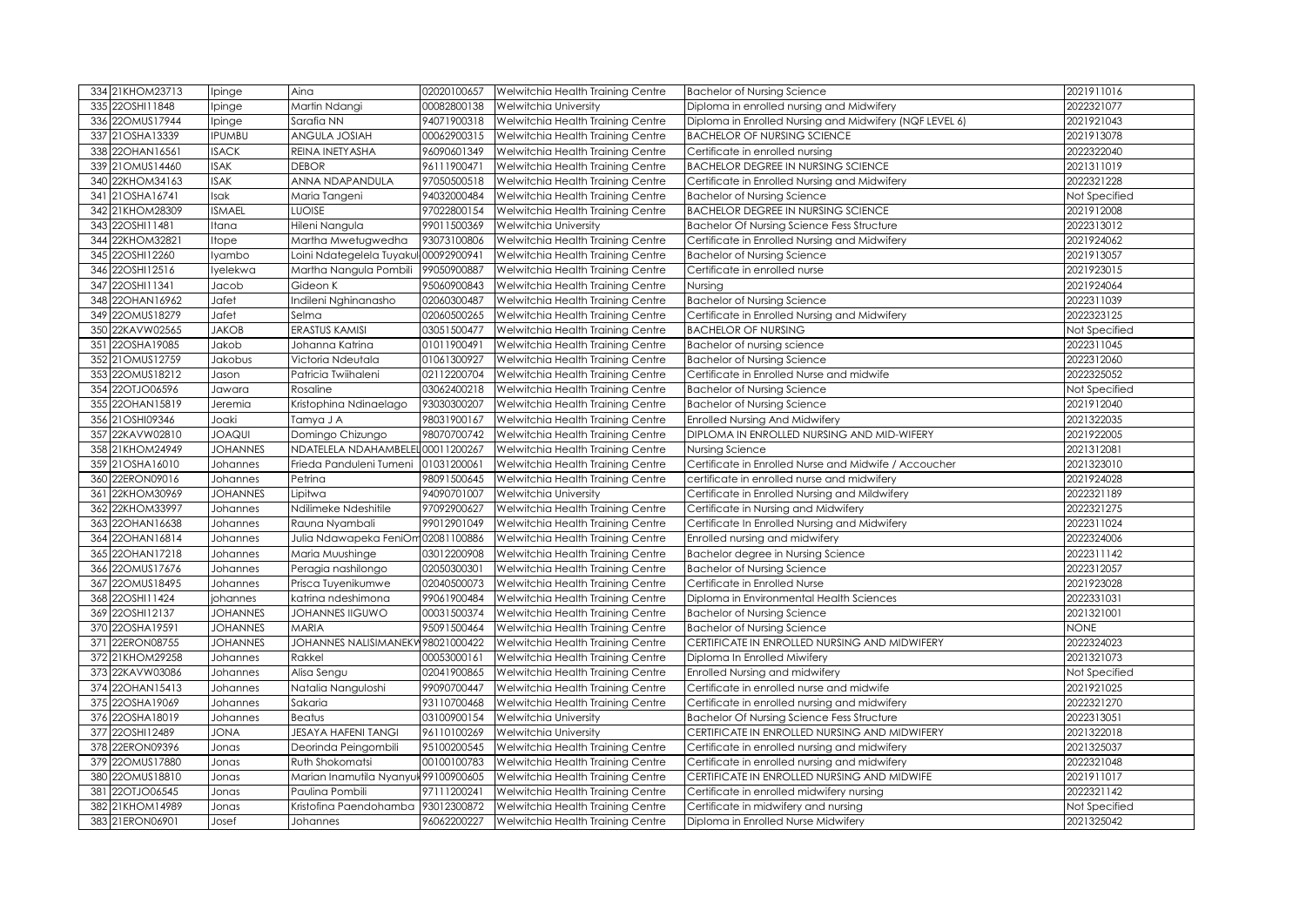|     | 334 21KHOM23713                | Ipinge          | Aina                                 | 02020100657                | Welwitchia Health Training Centre                                      | <b>Bachelor of Nursing Science</b>                                          | 2021911016                  |
|-----|--------------------------------|-----------------|--------------------------------------|----------------------------|------------------------------------------------------------------------|-----------------------------------------------------------------------------|-----------------------------|
|     | 335 22OSHI11848                | Ipinge          | Martin Ndangi                        | 00082800138                | Welwitchia University                                                  | Diploma in enrolled nursing and Midwifery                                   | 2022321077                  |
|     | 336 22OMUS17944                | Ipinge          | Sarafia NN                           | 94071900318                | Welwitchia Health Training Centre                                      | Diploma in Enrolled Nursing and Midwifery (NQF LEVEL 6)                     | 2021921043                  |
|     | 337 21OSHA13339                | <b>IPUMBU</b>   | ANGULA JOSIAH                        | 00062900315                | Welwitchia Health Training Centre                                      | <b>BACHELOR OF NURSING SCIENCE</b>                                          | 2021913078                  |
|     | 338 22OHAN16561                | <b>ISACK</b>    | REINA INETYASHA                      | 96090601349                | Welwitchia Health Training Centre                                      | Certificate in enrolled nursing                                             | 2022322040                  |
|     | 339 21 OMUS14460               | <b>ISAK</b>     | <b>DEBOR</b>                         | 96111900471                | Welwitchia Health Training Centre                                      | <b>BACHELOR DEGREE IN NURSING SCIENCE</b>                                   | 2021311019                  |
|     | 340 22KHOM34163                | <b>ISAK</b>     | ANNA NDAPANDULA                      | 97050500518                | Welwitchia Health Training Centre                                      | Certificate in Enrolled Nursing and Midwifery                               | 2022321228                  |
|     | 341 21OSHA16741                | Isak            | Maria Tangeni                        | 94032000484                | Welwitchia Health Training Centre                                      | <b>Bachelor of Nursing Science</b>                                          | Not Specified               |
|     | 342 21KHOM28309                | <b>ISMAEL</b>   | <b>LUOISE</b>                        | 97022800154                | Welwitchia Health Training Centre                                      | <b>BACHELOR DEGREE IN NURSING SCIENCE</b>                                   | 2021912008                  |
|     | 343 22OSHI11481                | Itana           | Hileni Nangula                       | 99011500369                | Welwitchia University                                                  | <b>Bachelor Of Nursing Science Fess Structure</b>                           | 2022313012                  |
|     | 344 22KHOM32821                | Itope           | Martha Mwetugwedha                   | 93073100806                | Welwitchia Health Training Centre                                      | Certificate in Enrolled Nursing and Midwifery                               | 2021924062                  |
|     | 345 22OSHI12260                | lyambo          | Loini Ndategelela Tuyaku             | 00092900941                | Welwitchia Health Training Centre                                      | <b>Bachelor of Nursing Science</b>                                          | 2021913057                  |
|     | 346 22OSHI12516                | lyelekwa        | Martha Nangula Pombili               | 99050900887                | Welwitchia Health Training Centre                                      | Certificate in enrolled nurse                                               | 2021923015                  |
|     | 347 22OSHI11341                | Jacob           | Gideon K                             | 95060900843                | Welwitchia Health Training Centre                                      | Nursing                                                                     | 2021924064                  |
|     | 348 22OHAN16962                | Jafet           | Indileni Nghinanasho                 | 02060300487                | Welwitchia Health Training Centre                                      | <b>Bachelor of Nursing Science</b>                                          | 2022311039                  |
|     | 349 22OMUS18279                | Jafet           | Selma                                | 02060500265                | Welwitchia Health Training Centre                                      | Certificate in Enrolled Nursing and Midwifery                               | 2022323125                  |
|     | 350 22KAVW02565                | <b>JAKOB</b>    | ERASTUS KAMISI                       | 03051500477                | Welwitchia Health Training Centre                                      | <b>BACHELOR OF NURSING</b>                                                  | Not Specified               |
|     | 351 22OSHA19085                | Jakob           | Johanna Katrina                      | 01011900491                | Welwitchia Health Training Centre                                      | Bachelor of nursing science                                                 | 2022311045                  |
|     | 352 21OMUS12759                | Jakobus         | Victoria Ndeutala                    | 01061300927                | Welwitchia Health Training Centre                                      | <b>Bachelor of Nursing Science</b>                                          | 2022312060                  |
|     | 353 22OMUS18212                | Jason           | Patricia Twiihaleni                  | 02112200704                | Welwitchia Health Training Centre                                      | Certificate in Enrolled Nurse and midwife                                   | 2022325052                  |
|     | 354 22OTJO06596                | Jawara          | Rosaline                             | 03062400218                | Welwitchia Health Training Centre                                      | <b>Bachelor of Nursing Science</b>                                          | Not Specified               |
|     | 355 22OHAN15819                | Jeremia         | Kristophina Ndinaelago               | 93030300207                | Welwitchia Health Training Centre                                      | <b>Bachelor of Nursing Science</b>                                          | 2021912040                  |
|     | 356 21OSHI09346                | Joaki           | Tamya J A                            | 98031900167                | Welwitchia Health Training Centre                                      | <b>Enrolled Nursing And Midwifery</b>                                       | 2021322035                  |
|     | 357 22KAVW02810                | <b>JOAQUI</b>   | Domingo Chizungo                     | 98070700742                | Welwitchia Health Training Centre                                      | DIPLOMA IN ENROLLED NURSING AND MID-WIFERY                                  | 2021922005                  |
|     | 358 21KHOM24949                | <b>JOHANNES</b> | NDATELELA NDAHAMBELEL                | 00011200267                | Welwitchia Health Training Centre                                      | Nursing Science                                                             | 2021312081                  |
|     | 359 21OSHA16010                | Johannes        | Frieda Panduleni Tumeni              | 01031200061                | Welwitchia Health Training Centre                                      | Certificate in Enrolled Nurse and Midwife / Accoucher                       | 2021323010                  |
| 360 |                                |                 |                                      |                            |                                                                        |                                                                             |                             |
|     | 22ERON09016                    | Johannes        | Petrina                              | 98091500645                | Welwitchia Health Training Centre                                      | certificate in enrolled nurse and midwifery                                 | 2021924028                  |
| 361 | 22KHOM30969                    | <b>JOHANNES</b> | Lipitwa                              | 94090701007                | Welwitchia University                                                  | Certificate in Enrolled Nursing and Mildwifery                              | 2022321189                  |
| 362 | 22KHOM33997                    | Johannes        | Ndilimeke Ndeshitile                 | 97092900627                | Welwitchia Health Training Centre                                      | Certificate in Nursing and Midwifery                                        | 2022321275                  |
| 363 | 22OHAN16638                    | Johannes        | Rauna Nyambali                       | 99012901049                | Welwitchia Health Training Centre                                      | Certificate In Enrolled Nursing and Midwifery                               | 2022311024                  |
| 364 | 22OHAN16814                    | Johannes        | Julia Ndawapeka FeniOm 02081100886   |                            | Welwitchia Health Training Centre                                      | Enrolled nursing and midwifery                                              | 2022324006                  |
| 365 | 22OHAN17218                    | Johannes        | Maria Muushinge                      | 03012200908                | Welwitchia Health Training Centre                                      | Bachelor degree in Nursing Science                                          | 2022311142                  |
| 366 | 22OMUS17676                    | Johannes        | Peragia nashilongo                   | 02050300301                | Welwitchia Health Training Centre                                      | <b>Bachelor of Nursing Science</b>                                          | 2022312057                  |
| 367 | 22OMUS18495                    | Johannes        | Prisca Tuyenikumwe                   | 02040500073                | Welwitchia Health Training Centre                                      | Certificate in Enrolled Nurse                                               | 2021923028                  |
|     | 368 22OSHI11424                | johannes        | katrina ndeshimona                   | 99061900484                | Welwitchia Health Training Centre                                      | Diploma in Environmental Health Sciences                                    | 2022331031                  |
|     | 369 22OSHI12137                | <b>JOHANNES</b> | <b>JOHANNES IIGUWO</b>               | 00031500374                | Welwitchia Health Training Centre                                      | <b>Bachelor of Nursing Science</b>                                          | 2021321001                  |
|     | 370 22OSHA19591                | <b>JOHANNES</b> | <b>MARIA</b>                         | 95091500464                | Welwitchia Health Training Centre                                      | <b>Bachelor of Nursing Science</b>                                          | <b>NONE</b>                 |
|     | 371 22ERON08755                | <b>JOHANNES</b> | JOHANNES NALISIMANEKW98021000422     |                            | Welwitchia Health Training Centre                                      | CERTIFICATE IN ENROLLED NURSING AND MIDWIFERY                               | 2022324023                  |
|     | 372 21KHOM29258                | Johannes        | Rakkel                               | 00053000161                | Welwitchia Health Training Centre                                      | Diploma In Enrolled Miwifery                                                | 2021321073                  |
|     | 373 22KAVW03086                | Johannes        | Alisa Sengu                          | 02041900865                | Welwitchia Health Training Centre                                      | Enrolled Nursing and midwifery                                              | Not Specified               |
|     | 374 22OHAN15413                | Johannes        | Natalia Nanguloshi                   | 99090700447                | Welwitchia Health Training Centre                                      | Certificate in enrolled nurse and midwife                                   | 2021921025                  |
|     | 375 22OSHA19069                | Johannes        | Sakaria                              | 93110700468                | Welwitchia Health Training Centre                                      | Certificate in enrolled nursing and midwifery                               | 2022321270                  |
|     | 376 22OSHA18019                | Johannes        | Beatus                               | 03100900154                | Welwitchia University                                                  | <b>Bachelor Of Nursing Science Fess Structure</b>                           | 2022313051                  |
|     | 377 22OSHI12489                | <b>JONA</b>     | <b>JESAYA HAFENI TANGI</b>           | 96110100269                | Welwitchia University                                                  | CERTIFICATE IN ENROLLED NURSING AND MIDWIFERY                               | 2021322018                  |
|     | 378 22ERON09396                | Jonas           | Deorinda Peingombili                 | 95100200545                | Welwitchia Health Training Centre                                      | Certificate in enrolled nursing and midwifery                               | 2021325037                  |
|     | 379 22OMUS17880                | Jonas           | Ruth Shokomatsi                      | 00100100783                | Welwitchia Health Training Centre                                      | Certificate in enrolled nursing and midwifery                               | 2022321048                  |
|     | 380 22OMUS18810                | Jonas           | Marian Inamutila Nyanyuk 99100900605 |                            | Welwitchia Health Training Centre                                      | CERTIFICATE IN ENROLLED NURSING AND MIDWIFE                                 | 2021911017                  |
| 381 | 22OTJO06545                    | Jonas           | Paulina Pombili                      | 97111200241                | Welwitchia Health Training Centre                                      | Certificate in enrolled midwifery nursing                                   | 2022321142                  |
| 382 | 21KHOM14989<br>383 21ERON06901 | Jonas<br>Josef  | Kristofina Paendohamba<br>Johannes   | 93012300872<br>96062200227 | Welwitchia Health Training Centre<br>Welwitchia Health Training Centre | Certificate in midwifery and nursing<br>Diploma in Enrolled Nurse Midwifery | Not Specified<br>2021325042 |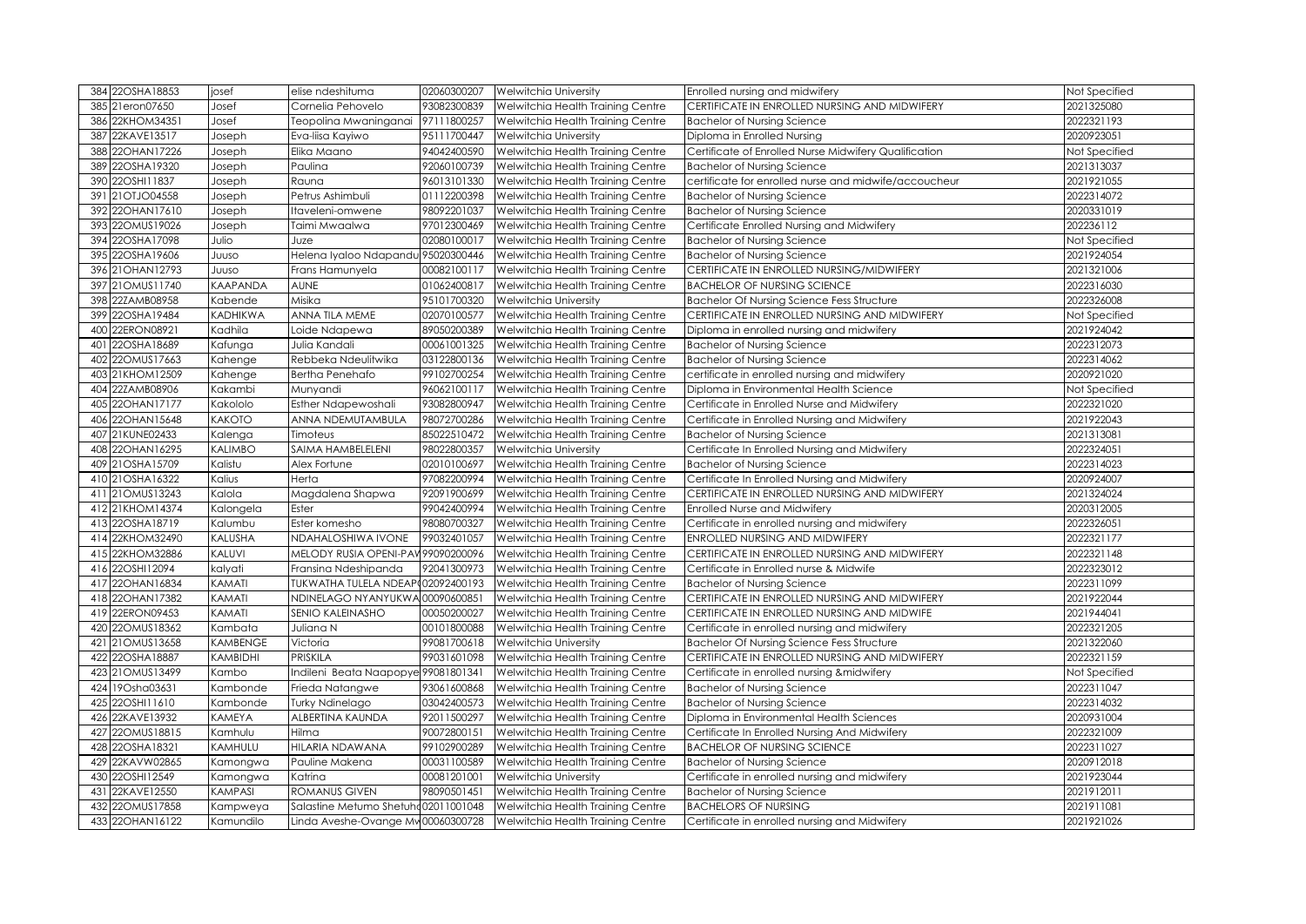| 384 22OSHA18853                    | josef                 | elise ndeshituma                                                           | 02060300207 | <b>Welwitchia University</b>                                           | Enrolled nursing and midwifery                                               | Not Specified            |
|------------------------------------|-----------------------|----------------------------------------------------------------------------|-------------|------------------------------------------------------------------------|------------------------------------------------------------------------------|--------------------------|
| 385 21eron07650                    | Josef                 | Cornelia Pehovelo                                                          | 93082300839 | Welwitchia Health Training Centre                                      | CERTIFICATE IN ENROLLED NURSING AND MIDWIFERY                                | 2021325080               |
| 22KHOM34351<br>386                 | Josef                 | Teopolina Mwaninganai                                                      | 97111800257 | Welwitchia Health Training Centre                                      | <b>Bachelor of Nursing Science</b>                                           | 2022321193               |
| 22KAVE13517<br>387                 | Joseph                | Eva-liisa Kayiwo                                                           | 95111700447 | Welwitchia University                                                  | Diploma in Enrolled Nursing                                                  | 2020923051               |
| 22OHAN17226<br>388                 | Joseph                | Elika Maano                                                                | 94042400590 | Welwitchia Health Training Centre                                      | Certificate of Enrolled Nurse Midwifery Qualification                        | Not Specified            |
| 22OSHA19320<br>389                 | Joseph                | Paulina                                                                    | 92060100739 | Welwitchia Health Training Centre                                      | <b>Bachelor of Nursing Science</b>                                           | 2021313037               |
| 22OSHI11837<br>390                 | Joseph                | Rauna                                                                      | 96013101330 | Welwitchia Health Training Centre                                      | certificate for enrolled nurse and midwife/accoucheur                        | 2021921055               |
| 391 21OTJO04558                    | Joseph                | Petrus Ashimbuli                                                           | 01112200398 | Welwitchia Health Training Centre                                      | <b>Bachelor of Nursing Science</b>                                           | 2022314072               |
| 22OHAN17610<br>392                 | Joseph                | Itaveleni-omwene                                                           | 98092201037 | Welwitchia Health Training Centre                                      | <b>Bachelor of Nursing Science</b>                                           | 2020331019               |
| 22OMUS19026<br>393                 | Joseph                | Taimi Mwaalwa                                                              | 97012300469 | Welwitchia Health Training Centre                                      | Certificate Enrolled Nursing and Midwifery                                   | 202236112                |
| 22OSHA17098<br>394                 | Julio                 | Juze                                                                       | 02080100017 | Welwitchia Health Training Centre                                      | <b>Bachelor of Nursing Science</b>                                           | Not Specified            |
| 395 22OSHA19606                    | JUUSO                 | Helena Iyaloo Ndapandu 95020300446                                         |             | Welwitchia Health Training Centre                                      | <b>Bachelor of Nursing Science</b>                                           | 2021924054               |
| 396 21 OHAN 12793                  | JUUSO                 | Frans Hamunyela                                                            | 00082100117 | Welwitchia Health Training Centre                                      | CERTIFICATE IN ENROLLED NURSING/MIDWIFERY                                    | 2021321006               |
| 397 21 OMUS11740                   | <b>KAAPANDA</b>       | <b>AUNE</b>                                                                | 01062400817 | Welwitchia Health Training Centre                                      | <b>BACHELOR OF NURSING SCIENCE</b>                                           | 2022316030               |
| 22ZAMB08958<br>398                 | Kabende               | Misika                                                                     | 95101700320 | Welwitchia University                                                  | <b>Bachelor Of Nursing Science Fess Structure</b>                            | 2022326008               |
| 399 22OSHA19484                    | <b>KADHIKWA</b>       | <b>ANNA TILA MEME</b>                                                      | 02070100577 | Welwitchia Health Training Centre                                      | CERTIFICATE IN ENROLLED NURSING AND MIDWIFERY                                | Not Specified            |
| 22ERON08921<br>400                 | Kadhila               | Loide Ndapewa                                                              | 89050200389 | Welwitchia Health Training Centre                                      | Diploma in enrolled nursing and midwifery                                    | 2021924042               |
| 22OSHA18689<br>401                 | Kafunga               | Julia Kandali                                                              | 00061001325 | Welwitchia Health Training Centre                                      | <b>Bachelor of Nursing Science</b>                                           | 2022312073               |
| 22OMUS17663<br>402                 | Kahenge               | Rebbeka Ndeulitwika                                                        | 03122800136 | Welwitchia Health Training Centre                                      | <b>Bachelor of Nursing Science</b>                                           | 2022314062               |
| 403 21KHOM12509                    | Kahenge               | <b>Bertha Penehafo</b>                                                     | 99102700254 | Welwitchia Health Training Centre                                      | certificate in enrolled nursing and midwifery                                | 2020921020               |
| 22ZAMB08906<br>404                 | Kakambi               | Munyandi                                                                   | 96062100117 | Welwitchia Health Training Centre                                      | Diploma in Environmental Health Science                                      | Not Specified            |
| 405 22OHAN17177                    | Kakololo              | <b>Esther Ndapewoshali</b>                                                 | 93082800947 | Welwitchia Health Training Centre                                      | Certificate in Enrolled Nurse and Midwifery                                  | 2022321020               |
| 22OHAN15648<br>406                 | <b>KAKOTO</b>         | ANNA NDEMUTAMBULA                                                          | 98072700286 | Welwitchia Health Training Centre                                      | Certificate in Enrolled Nursing and Midwifery                                | 2021922043               |
| 407 21KUNE02433                    | Kalenga               | Timoteus                                                                   | 85022510472 | Welwitchia Health Training Centre                                      | <b>Bachelor of Nursing Science</b>                                           | 2021313081               |
| 22OHAN16295<br>408                 | <b>KALIMBO</b>        | SAIMA HAMBELELENI                                                          | 98022800357 | Welwitchia University                                                  | Certificate In Enrolled Nursing and Midwifery                                | 2022324051               |
| 409 21OSHA15709                    | Kalistu               | Alex Fortune                                                               | 02010100697 | Welwitchia Health Training Centre                                      | <b>Bachelor of Nursing Science</b>                                           | 2022314023               |
| 410 21OSHA16322                    | Kalius                | Herta                                                                      | 97082200994 | Welwitchia Health Training Centre                                      | Certificate In Enrolled Nursing and Midwifery                                | 2020924007               |
|                                    |                       |                                                                            |             |                                                                        |                                                                              |                          |
| 411 21 OMUS13243                   | Kalola                | Magdalena Shapwa                                                           | 92091900699 | Welwitchia Health Training Centre                                      | CERTIFICATE IN ENROLLED NURSING AND MIDWIFERY                                | 2021324024               |
| 412 21KHOM14374                    | Kalongela             | Ester                                                                      | 99042400994 | Welwitchia Health Training Centre                                      | Enrolled Nurse and Midwifery                                                 | 2020312005               |
| 413 22OSHA18719                    | Kalumbu               | Ester komesho                                                              | 98080700327 | Welwitchia Health Training Centre                                      | Certificate in enrolled nursing and midwifery                                | 2022326051               |
| 414 22KHOM32490                    | KALUSHA               | NDAHALOSHIWA IVONE                                                         | 99032401057 | Welwitchia Health Training Centre                                      | ENROLLED NURSING AND MIDWIFERY                                               | 2022321177               |
| 22KHOM32886<br>415                 | KALUVI                | MELODY RUSIA OPENI-PAV 99090200096                                         |             | Welwitchia Health Training Centre                                      | CERTIFICATE IN ENROLLED NURSING AND MIDWIFERY                                | 2022321148               |
| 416 22OSHI12094                    | kalyati               | Fransina Ndeshipanda                                                       | 92041300973 | Welwitchia Health Training Centre                                      | Certificate in Enrolled nurse & Midwife                                      | 2022323012               |
| 417 22OHAN16834                    | KAMATI                | TUKWATHA TULELA NDEAP002092400193                                          |             | Welwitchia Health Training Centre                                      | <b>Bachelor of Nursing Science</b>                                           | 2022311099               |
| 418 22OHAN17382                    | KAMATI                | NDINELAGO NYANYUKWA 00090600851                                            |             | Welwitchia Health Training Centre                                      | CERTIFICATE IN ENROLLED NURSING AND MIDWIFERY                                | 2021922044               |
| 419 22ERON09453                    | KAMATI                | SENIO KALEINASHO                                                           | 00050200027 | Welwitchia Health Training Centre                                      | CERTIFICATE IN ENROLLED NURSING AND MIDWIFE                                  | 2021944041               |
| 22OMUS18362<br>420                 | Kambata               | Juliana N                                                                  | 00101800088 | Welwitchia Health Training Centre                                      | Certificate in enrolled nursing and midwifery                                | 2022321205               |
| 421 21 OMUS13658                   | <b>KAMBENGE</b>       | Victoria                                                                   | 99081700618 | Welwitchia University                                                  | <b>Bachelor Of Nursing Science Fess Structure</b>                            | 2021322060               |
| 422 22OSHA18887                    | KAMBIDHI              | <b>PRISKILA</b>                                                            | 99031601098 | Welwitchia Health Training Centre                                      | CERTIFICATE IN ENROLLED NURSING AND MIDWIFERY                                | 2022321159               |
| 423 21 OMUS13499                   | Kambo                 | Indileni Beata Naapopye 99081801341                                        |             | Welwitchia Health Training Centre                                      | Certificate in enrolled nursing & midwifery                                  | Not Specified            |
| 424 19Osha03631                    | Kambonde              | Frieda Natangwe                                                            | 93061600868 | Welwitchia Health Training Centre                                      | <b>Bachelor of Nursing Science</b>                                           | 2022311047               |
| 425 22OSHI11610                    | Kambonde              | <b>Turky Ndinelago</b>                                                     | 03042400573 | Welwitchia Health Training Centre                                      | <b>Bachelor of Nursing Science</b>                                           | 2022314032               |
| 22KAVE13932<br>426                 | <b>KAMEYA</b>         | ALBERTINA KAUNDA                                                           | 92011500297 | Welwitchia Health Training Centre                                      | Diploma in Environmental Health Sciences                                     | 2020931004               |
| 22OMUS18815<br>427                 | Kamhulu               | Hilma                                                                      | 90072800151 | Welwitchia Health Training Centre                                      | Certificate In Enrolled Nursing And Midwifery                                | 2022321009               |
| 428 22OSHA18321                    | KAMHULU               | HILARIA NDAWANA                                                            | 99102900289 | Welwitchia Health Training Centre                                      | <b>BACHELOR OF NURSING SCIENCE</b>                                           | 2022311027               |
| 429 22KAVW02865                    | Kamongwa              | Pauline Makena                                                             | 00031100589 | Welwitchia Health Training Centre                                      | <b>Bachelor of Nursing Science</b>                                           | 2020912018               |
| 430 22OSHI12549                    | Kamongwa              | Katrina                                                                    | 00081201001 | <b>Welwitchia University</b>                                           | Certificate in enrolled nursing and midwifery                                | 2021923044               |
| 431 22KAVE12550                    | KAMPASI               | <b>ROMANUS GIVEN</b>                                                       | 98090501451 | Welwitchia Health Training Centre                                      | <b>Bachelor of Nursing Science</b>                                           | 2021912011               |
| 432 22OMUS17858<br>433 22OHAN16122 | Kampweya<br>Kamundilo | Salastine Metumo Shetuho 02011001048<br>Linda Aveshe-Ovange Mw 00060300728 |             | Welwitchia Health Training Centre<br>Welwitchia Health Training Centre | <b>BACHELORS OF NURSING</b><br>Certificate in enrolled nursing and Midwifery | 2021911081<br>2021921026 |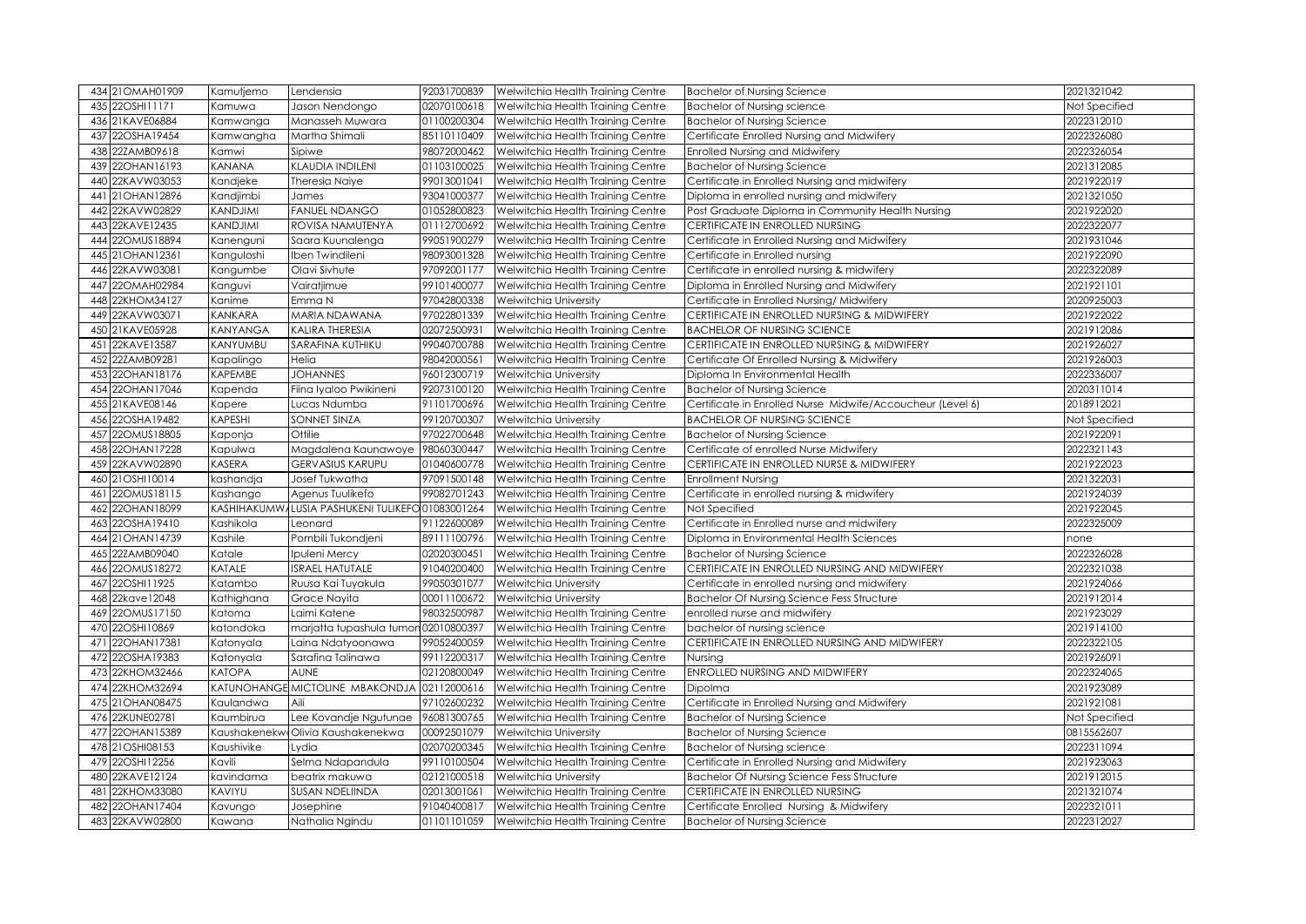| 434 21 OM AH01909  | Kamutjemo       | Lendensia                                       | 92031700839 | Welwitchia Health Training Centre | <b>Bachelor of Nursing Science</b>                         | 2021321042    |
|--------------------|-----------------|-------------------------------------------------|-------------|-----------------------------------|------------------------------------------------------------|---------------|
| 435 22OSHI1171     | Kamuwa          | Jason Nendongo                                  | 02070100618 | Welwitchia Health Training Centre | <b>Bachelor of Nursing science</b>                         | Not Specified |
| 21KAVE06884<br>436 | Kamwanga        | Manasseh Muwara                                 | 01100200304 | Welwitchia Health Training Centre | <b>Bachelor of Nursing Science</b>                         | 2022312010    |
| 22OSHA19454<br>437 | Kamwangha       | Martha Shimali                                  | 85110110409 | Welwitchia Health Training Centre | Certificate Enrolled Nursing and Midwifery                 | 2022326080    |
| 22ZAMB09618<br>438 | Kamwi           | Sipiwe                                          | 98072000462 | Welwitchia Health Training Centre | Enrolled Nursing and Midwifery                             | 2022326054    |
| 22OHAN16193<br>439 | KANANA          | <b>KLAUDIA INDILENI</b>                         | 01103100025 | Welwitchia Health Training Centre | <b>Bachelor of Nursing Science</b>                         | 2021312085    |
| 22KAVW03053<br>440 | Kandjeke        | Theresia Naiye                                  | 99013001041 | Welwitchia Health Training Centre | Certificate in Enrolled Nursing and midwifery              | 2021922019    |
| 21OHAN12896<br>441 | Kandjimbi       | James                                           | 93041000377 | Welwitchia Health Training Centre | Diploma in enrolled nursing and midwifery                  | 2021321050    |
| 22KAVW02829<br>442 | KANDJIMI        | <b>FANUEL NDANGO</b>                            | 01052800823 | Welwitchia Health Training Centre | Post Graduate Diploma in Community Health Nursing          | 2021922020    |
| 22KAVE12435<br>443 | <b>KANDJIMI</b> | ROVISA NAMUTENYA                                | 01112700692 | Welwitchia Health Training Centre | CERTIFICATE IN ENROLLED NURSING                            | 2022322077    |
| 22OMUS18894<br>444 | Kanenguni       | Saara Kuunalenga                                | 99051900279 | Welwitchia Health Training Centre | Certificate in Enrolled Nursing and Midwifery              | 2021931046    |
| 21OHAN12361<br>445 | Kanguloshi      | Iben Twindileni                                 | 98093001328 | Welwitchia Health Training Centre | Certificate in Enrolled nursing                            | 2021922090    |
| 22KAVW03081<br>446 | Kangumbe        | Olavi Sivhute                                   | 97092001177 | Welwitchia Health Training Centre | Certificate in enrolled nursing & midwifery                | 2022322089    |
| 22OMAH02984<br>447 | Kanguvi         | Vairatjimue                                     | 99101400077 | Welwitchia Health Training Centre | Diploma in Enrolled Nursing and Midwifery                  | 2021921101    |
| 22KHOM34127<br>448 | Kanime          | Emma N                                          | 97042800338 | <b>Welwitchia University</b>      | Certificate in Enrolled Nursing/Midwifery                  | 2020925003    |
| 449 22KAVW03071    | KANKARA         | MARIA NDAWANA                                   | 97022801339 | Welwitchia Health Training Centre | CERTIFICATE IN ENROLLED NURSING & MIDWIFERY                | 2021922022    |
| 21KAVE05928<br>450 | <b>KANYANGA</b> | <b>KALIRA THERESIA</b>                          | 02072500931 | Welwitchia Health Training Centre | <b>BACHELOR OF NURSING SCIENCE</b>                         | 2021912086    |
| 22KAVE13587<br>451 | KANYUMBU        | SARAFINA KUTHIKU                                | 99040700788 | Welwitchia Health Training Centre | CERTIFICATE IN ENROLLED NURSING & MIDWIFERY                | 2021926027    |
| 22ZAMB09281<br>452 | Kapalingo       | Helia                                           | 98042000561 | Welwitchia Health Training Centre | Certificate Of Enrolled Nursing & Midwifery                | 2021926003    |
| 453 22OHAN18176    | KAPEMBE         | <b>JOHANNES</b>                                 | 96012300719 | <b>Welwitchia University</b>      | Diploma In Environmental Health                            | 2022336007    |
| 454 22OHAN17046    | Kapenda         | Fiina Iyaloo Pwikineni                          | 92073100120 | Welwitchia Health Training Centre | <b>Bachelor of Nursing Science</b>                         | 2020311014    |
| 455 21KAVE08146    | Kapere          | Lucas Ndumba                                    | 91101700696 | Welwitchia Health Training Centre | Certificate in Enrolled Nurse Midwife/Accoucheur (Level 6) | 2018912021    |
| 456 22OSHA19482    | KAPESHI         | SONNET SINZA                                    | 99120700307 | Welwitchia University             | <b>BACHELOR OF NURSING SCIENCE</b>                         | Not Specified |
| 457 22OMUS18805    | Kaponja         | Ottilie                                         | 97022700648 | Welwitchia Health Training Centre | <b>Bachelor of Nursing Science</b>                         | 2021922091    |
| 458 22OHAN17228    | Kapulwa         | Magdalena Kaunawoye                             | 98060300447 | Welwitchia Health Training Centre | Certificate of enrolled Nurse Midwifery                    | 2022321143    |
| 459 22KAVW02890    | KASERA          | <b>GERVASIUS KARUPU</b>                         | 01040600778 | Welwitchia Health Training Centre | CERTIFICATE IN ENROLLED NURSE & MIDWIFERY                  | 2021922023    |
| 460 21OSHI10014    | kashandja       | Josef Tukwatha                                  | 97091500148 | Welwitchia Health Training Centre | <b>Enrollment Nursing</b>                                  | 2021322031    |
| 22OMUS18115<br>461 | Kashango        | Agenus Tuulikefo                                | 99082701243 | Welwitchia Health Training Centre | Certificate in enrolled nursing & midwifery                | 2021924039    |
| 22OHAN18099<br>462 |                 | KASHIHAKUMWALUSIA PASHUKENI TULIKEFO01083001264 |             | Welwitchia Health Training Centre | Not Specified                                              | 2021922045    |
| 463 22OSHA19410    | Kashikola       | Leonard                                         | 91122600089 | Welwitchia Health Training Centre | Certificate in Enrolled nurse and midwifery                | 2022325009    |
| 464 21 OHAN 14739  | Kashile         | Pombili Tukondjeni                              | 89111100796 | Welwitchia Health Training Centre | Diploma in Environmental Health Sciences                   | none          |
| 22ZAMB09040<br>465 | Katale          | Ipuleni Mercy                                   | 02020300451 | Welwitchia Health Training Centre | <b>Bachelor of Nursing Science</b>                         | 2022326028    |
| 466 22OMUS18272    | KATALE          | <b>ISRAEL HATUTALE</b>                          | 91040200400 | Welwitchia Health Training Centre | CERTIFICATE IN ENROLLED NURSING AND MIDWIFERY              | 2022321038    |
| 22OSHI11925<br>467 | Katambo         | Ruusa Kai Tuyakula                              | 99050301077 | <b>Welwitchia University</b>      | Certificate in enrolled nursing and midwifery              | 2021924066    |
| 468 22kave12048    | Kathighana      | Grace Nayita                                    | 00011100672 | <b>Welwitchia University</b>      | <b>Bachelor Of Nursing Science Fess Structure</b>          | 2021912014    |
| 469 22OMUS17150    | Katoma          | Laimi Katene                                    | 98032500987 | Welwitchia Health Training Centre | enrolled nurse and midwifery                               | 2021923029    |
| 470 22OSHI10869    | katondoka       | marjatta tupashula tumon 02010800397            |             | Welwitchia Health Training Centre | bachelor of nursing science                                | 2021914100    |
| 471 22OHAN17381    | Katonyala       | Laina Ndatyoonawa                               | 99052400059 | Welwitchia Health Training Centre | CERTIFICATE IN ENROLLED NURSING AND MIDWIFERY              | 2022322105    |
| 472 22OSHA19383    | Katonyala       | Sarafina Talinawa                               | 99112200317 | Welwitchia Health Training Centre | Nursing                                                    | 2021926091    |
| 473 22KHOM32466    | <b>KATOPA</b>   | <b>AUNE</b>                                     | 02120800049 | Welwitchia Health Training Centre | ENROLLED NURSING AND MIDWIFERY                             | 2022324065    |
| 474 22KHOM32694    |                 | KATUNOHANGE MICTOLINE MBAKONDJA                 | 02112000616 | Welwitchia Health Training Centre | Dipolma                                                    | 2021923089    |
| 475 21 OHAN 08475  | Kaulandwa       | Aili                                            | 97102600232 | Welwitchia Health Training Centre | Certificate in Enrolled Nursing and Midwifery              | 2021921081    |
| 476 22KUNE02781    | Kaumbirua       | Lee Kovandje Ngutunae                           | 96081300765 | Welwitchia Health Training Centre | <b>Bachelor of Nursing Science</b>                         | Not Specified |
| 477 22OHAN15389    |                 | KaushakenekwoOlivia Kaushakenekwa               | 00092501079 | Welwitchia University             | <b>Bachelor of Nursing Science</b>                         | 0815562607    |
| 478 21OSHI08153    | Kaushivike      | Lydia                                           | 02070200345 | Welwitchia Health Training Centre | <b>Bachelor of Nursing science</b>                         | 2022311094    |
| 479 22OSHI12256    | Kavili          | Selma Ndapandula                                | 99110100504 | Welwitchia Health Training Centre | Certificate in Enrolled Nursing and Midwifery              | 2021923063    |
| 22KAVE12124<br>480 | kavindama       | beatrix makuwa                                  | 02121000518 | <b>Welwitchia University</b>      | <b>Bachelor Of Nursing Science Fess Structure</b>          | 2021912015    |
| 22KHOM33080<br>481 | KAVIYU          | SUSAN NDELIINDA                                 | 02013001061 | Welwitchia Health Training Centre | CERTIFICATE IN ENROLLED NURSING                            | 2021321074    |
| 22OHAN17404<br>482 | Kavungo         | Josephine                                       | 91040400817 | Welwitchia Health Training Centre | Certificate Enrolled Nursing & Midwifery                   | 2022321011    |
| 483 22KAVW02800    | Kawana          | Nathalia Ngindu                                 | 01101101059 | Welwitchia Health Training Centre | <b>Bachelor of Nursing Science</b>                         | 2022312027    |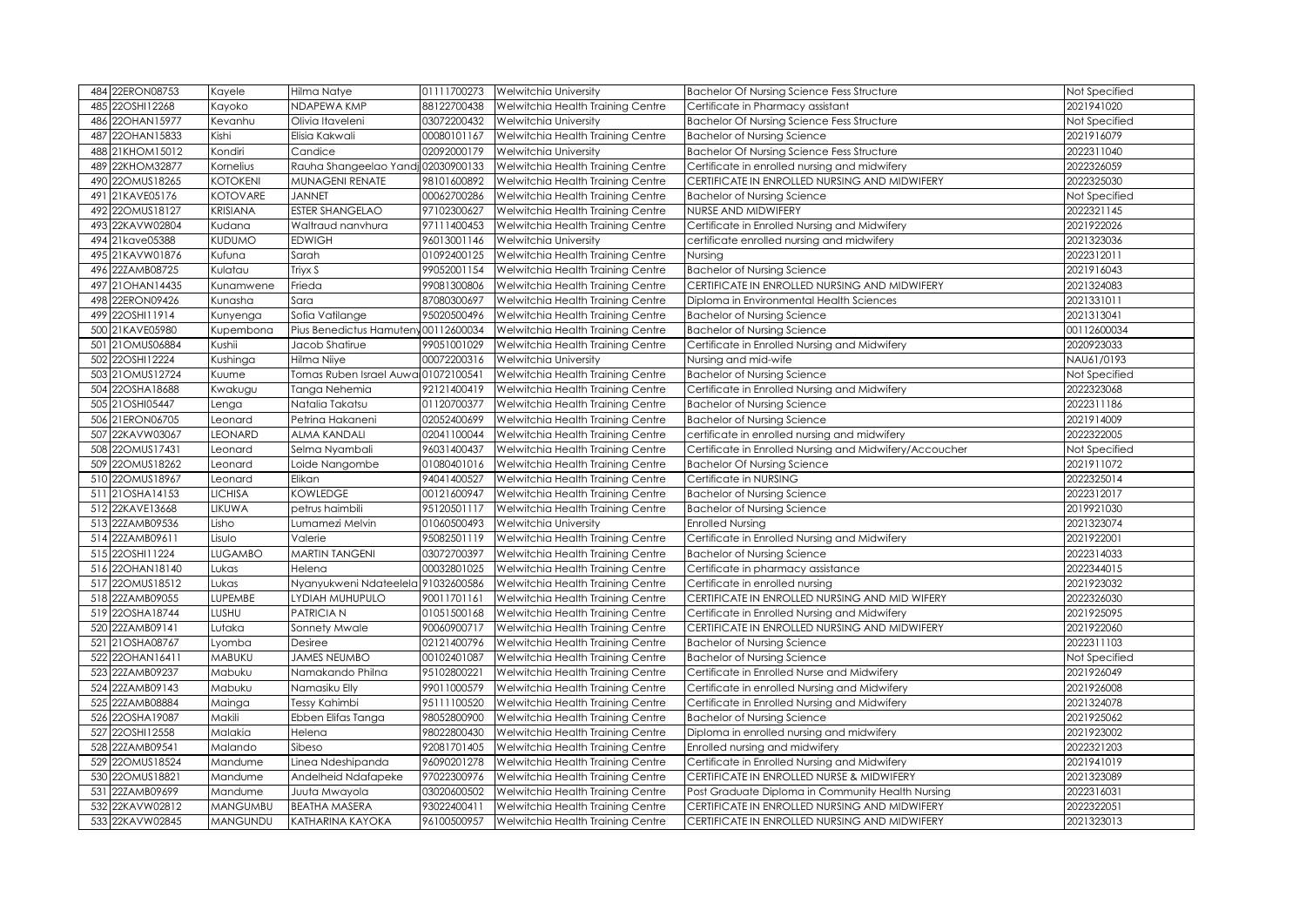| 484 22ERON08753    | Kayele          | Hilma Natye                         | 01111700273 | <b>Welwitchia University</b>      | <b>Bachelor Of Nursing Science Fess Structure</b>       | Not Specified |
|--------------------|-----------------|-------------------------------------|-------------|-----------------------------------|---------------------------------------------------------|---------------|
| 22OSHI12268<br>485 | Kayoko          | NDAPEWA KMP                         | 88122700438 | Welwitchia Health Training Centre | Certificate in Pharmacy assistant                       | 2021941020    |
| 22OHAN15977<br>486 | Kevanhu         | Olivia Itaveleni                    | 03072200432 | Welwitchia University             | <b>Bachelor Of Nursing Science Fess Structure</b>       | Not Specified |
| 22OHAN15833<br>487 | Kishi           | Elisia Kakwali                      | 00080101167 | Welwitchia Health Training Centre | <b>Bachelor of Nursing Science</b>                      | 2021916079    |
| 21KHOM15012<br>488 | Kondiri         | Candice                             | 02092000179 | Welwitchia University             | <b>Bachelor Of Nursing Science Fess Structure</b>       | 2022311040    |
| 22KHOM32877<br>489 | Kornelius       | Rauha Shangeelao Yandi 02030900133  |             | Welwitchia Health Training Centre | Certificate in enrolled nursing and midwifery           | 2022326059    |
| 22OMUS18265<br>490 | <b>KOTOKENI</b> | <b>MUNAGENI RENATE</b>              | 98101600892 | Welwitchia Health Training Centre | CERTIFICATE IN ENROLLED NURSING AND MIDWIFERY           | 2022325030    |
| 21KAVE05176<br>491 | <b>KOTOVARE</b> | <b>JANNET</b>                       | 00062700286 | Welwitchia Health Training Centre | <b>Bachelor of Nursing Science</b>                      | Not Specified |
| 22OMUS18127<br>492 | <b>KRISIANA</b> | <b>ESTER SHANGELAO</b>              | 97102300627 | Welwitchia Health Training Centre | NURSE AND MIDWIFERY                                     | 2022321145    |
| 22KAVW02804<br>493 | Kudana          | Waltraud nanvhura                   | 97111400453 | Welwitchia Health Training Centre | Certificate in Enrolled Nursing and Midwifery           | 2021922026    |
| 21kave05388<br>494 | <b>KUDUMO</b>   | <b>EDWIGH</b>                       | 96013001146 | Welwitchia University             | certificate enrolled nursing and midwifery              | 2021323036    |
| 495 21KAVW01876    | Kufuna          | Sarah                               | 01092400125 | Welwitchia Health Training Centre | Nursing                                                 | 2022312011    |
| 22ZAMB08725<br>496 | Kulatau         | Triyx S                             | 99052001154 | Welwitchia Health Training Centre | <b>Bachelor of Nursing Science</b>                      | 2021916043    |
| 497 21 OHAN 14435  | Kunamwene       | Frieda                              | 99081300806 | Welwitchia Health Training Centre | CERTIFICATE IN ENROLLED NURSING AND MIDWIFERY           | 2021324083    |
| 22ERON09426<br>498 | Kunasha         | Sara                                | 87080300697 | Welwitchia Health Training Centre | Diploma in Environmental Health Sciences                | 2021331011    |
| 499 22OSHI11914    | Kunyenga        | Sofia Vatilange                     | 95020500496 | Welwitchia Health Training Centre | <b>Bachelor of Nursing Science</b>                      | 2021313041    |
| 500 21KAVE05980    | Kupembona       | Pius Benedictus Hamuteny00112600034 |             | Welwitchia Health Training Centre | <b>Bachelor of Nursing Science</b>                      | 00112600034   |
| 501 21 OMUS 06884  | Kushii          | Jacob Shatirue                      | 99051001029 | Welwitchia Health Training Centre | Certificate in Enrolled Nursing and Midwifery           | 2020923033    |
| 22OSHI12224<br>502 | Kushinga        | Hilma Niiye                         | 00072200316 | Welwitchia University             | Nursing and mid-wife                                    | NAU61/0193    |
| 503 21OMUS12724    | Kuume           | Tomas Ruben Israel Auwar01072100541 |             | Welwitchia Health Training Centre | <b>Bachelor of Nursing Science</b>                      | Not Specified |
| 504 22OSHA18688    | Kwakugu         | Tanga Nehemia                       | 92121400419 | Welwitchia Health Training Centre | Certificate in Enrolled Nursing and Midwifery           | 2022323068    |
| 505 21 OSHI05447   | Lenga           | Natalia Takatsu                     | 01120700377 | Welwitchia Health Training Centre | <b>Bachelor of Nursing Science</b>                      | 2022311186    |
| 506 21ERON06705    | Leonard         | Petrina Hakaneni                    | 02052400699 | Welwitchia Health Training Centre | <b>Bachelor of Nursing Science</b>                      | 2021914009    |
| 22KAVW03067<br>507 | <b>LEONARD</b>  | <b>ALMA KANDALI</b>                 | 02041100044 | Welwitchia Health Training Centre | certificate in enrolled nursing and midwifery           | 2022322005    |
| 508 22OMUS17431    | Leonard         | Selma Nyambali                      | 96031400437 | Welwitchia Health Training Centre | Certificate in Enrolled Nursing and Midwifery/Accoucher | Not Specified |
| 509 22OMUS18262    | Leonard         | Loide Nangombe                      | 01080401016 | Welwitchia Health Training Centre | <b>Bachelor Of Nursing Science</b>                      | 2021911072    |
| 22OMUS18967<br>510 | Leonard         | Elikan                              | 94041400527 | Welwitchia Health Training Centre | Certificate in NURSING                                  | 2022325014    |
| 511 21OSHA14153    | <b>LICHISA</b>  | <b>KOWLEDGE</b>                     | 00121600947 | Welwitchia Health Training Centre | <b>Bachelor of Nursing Science</b>                      | 2022312017    |
| 512 22KAVE13668    | LIKUWA          | petrus haimbili                     | 95120501117 | Welwitchia Health Training Centre | <b>Bachelor of Nursing Science</b>                      | 2019921030    |
| 513 22ZAMB09536    | Lisho           | Lumamezi Melvin                     | 01060500493 | Welwitchia University             | <b>Enrolled Nursing</b>                                 | 2021323074    |
| 514 22ZAMB09611    | Lisulo          | Valerie                             | 95082501119 | Welwitchia Health Training Centre | Certificate in Enrolled Nursing and Midwifery           | 2021922001    |
| 515 22OSHI11224    | <b>LUGAMBO</b>  | <b>MARTIN TANGENI</b>               | 03072700397 | Welwitchia Health Training Centre | <b>Bachelor of Nursing Science</b>                      | 2022314033    |
| 516 22OHAN18140    | Lukas           | Helena                              | 00032801025 | Welwitchia Health Training Centre | Certificate in pharmacy assistance                      | 2022344015    |
| 517 22OMUS18512    | Lukas           | Nyanyukweni Ndateelela 91032600586  |             | Welwitchia Health Training Centre | Certificate in enrolled nursing                         | 2021923032    |
| 518 22ZAMB09055    | LUPEMBE         | LYDIAH MUHUPULO                     | 90011701161 | Welwitchia Health Training Centre | CERTIFICATE IN ENROLLED NURSING AND MID WIFERY          | 2022326030    |
| 519 22OSHA18744    | LUSHU           | <b>PATRICIAN</b>                    | 01051500168 | Welwitchia Health Training Centre | Certificate in Enrolled Nursing and Midwifery           | 2021925095    |
| 22ZAMB09141<br>520 | Lutaka          | Sonnety Mwale                       | 90060900717 | Welwitchia Health Training Centre | CERTIFICATE IN ENROLLED NURSING AND MIDWIFERY           | 2021922060    |
| 521 21OSHA08767    | Lyomba          | <b>Desiree</b>                      | 02121400796 | Welwitchia Health Training Centre | <b>Bachelor of Nursing Science</b>                      | 2022311103    |
| 22OHAN16411<br>522 | <b>MABUKU</b>   | <b>JAMES NEUMBO</b>                 | 00102401087 | Welwitchia Health Training Centre | <b>Bachelor of Nursing Science</b>                      | Not Specified |
| 523 22ZAMB09237    | Mabuku          | Namakando Philna                    | 95102800221 | Welwitchia Health Training Centre | Certificate in Enrolled Nurse and Midwifery             | 2021926049    |
| 524 22ZAMB09143    | Mabuku          | Namasiku Elly                       | 99011000579 | Welwitchia Health Training Centre | Certificate in enrolled Nursing and Midwifery           | 2021926008    |
| 22ZAMB08884<br>525 | Mainga          | Tessy Kahimbi                       | 95111100520 | Welwitchia Health Training Centre | Certificate in Enrolled Nursing and Midwifery           | 2021324078    |
| 526 22OSHA19087    | Makili          | Ebben Elifas Tanga                  | 98052800900 | Welwitchia Health Training Centre | <b>Bachelor of Nursing Science</b>                      | 2021925062    |
| 527 22OSHI12558    | Malakia         | Helena                              | 98022800430 | Welwitchia Health Training Centre | Diploma in enrolled nursing and midwifery               | 2021923002    |
| 22ZAMB09541<br>528 | Malando         | Sibeso                              | 92081701405 | Welwitchia Health Training Centre | Enrolled nursing and midwifery                          | 2022321203    |
| 529 22OMUS18524    | Mandume         | Linea Ndeshipanda                   | 96090201278 | Welwitchia Health Training Centre | Certificate in Enrolled Nursing and Midwifery           | 2021941019    |
| 22OMUS18821<br>530 | Mandume         | Andelheid Ndafapeke                 | 97022300976 | Welwitchia Health Training Centre | CERTIFICATE IN ENROLLED NURSE & MIDWIFERY               | 2021323089    |
| 22ZAMB09699<br>531 | Mandume         | Juuta Mwayola                       | 03020600502 | Welwitchia Health Training Centre | Post Graduate Diploma in Community Health Nursing       | 2022316031    |
| 532 22KAVW02812    | <b>MANGUMBU</b> | <b>BEATHA MASERA</b>                | 93022400411 | Welwitchia Health Training Centre | CERTIFICATE IN ENROLLED NURSING AND MIDWIFERY           | 2022322051    |
| 533 22KAVW02845    | <b>MANGUNDU</b> | KATHARINA KAYOKA                    | 96100500957 | Welwitchia Health Training Centre | CERTIFICATE IN ENROLLED NURSING AND MIDWIFERY           | 2021323013    |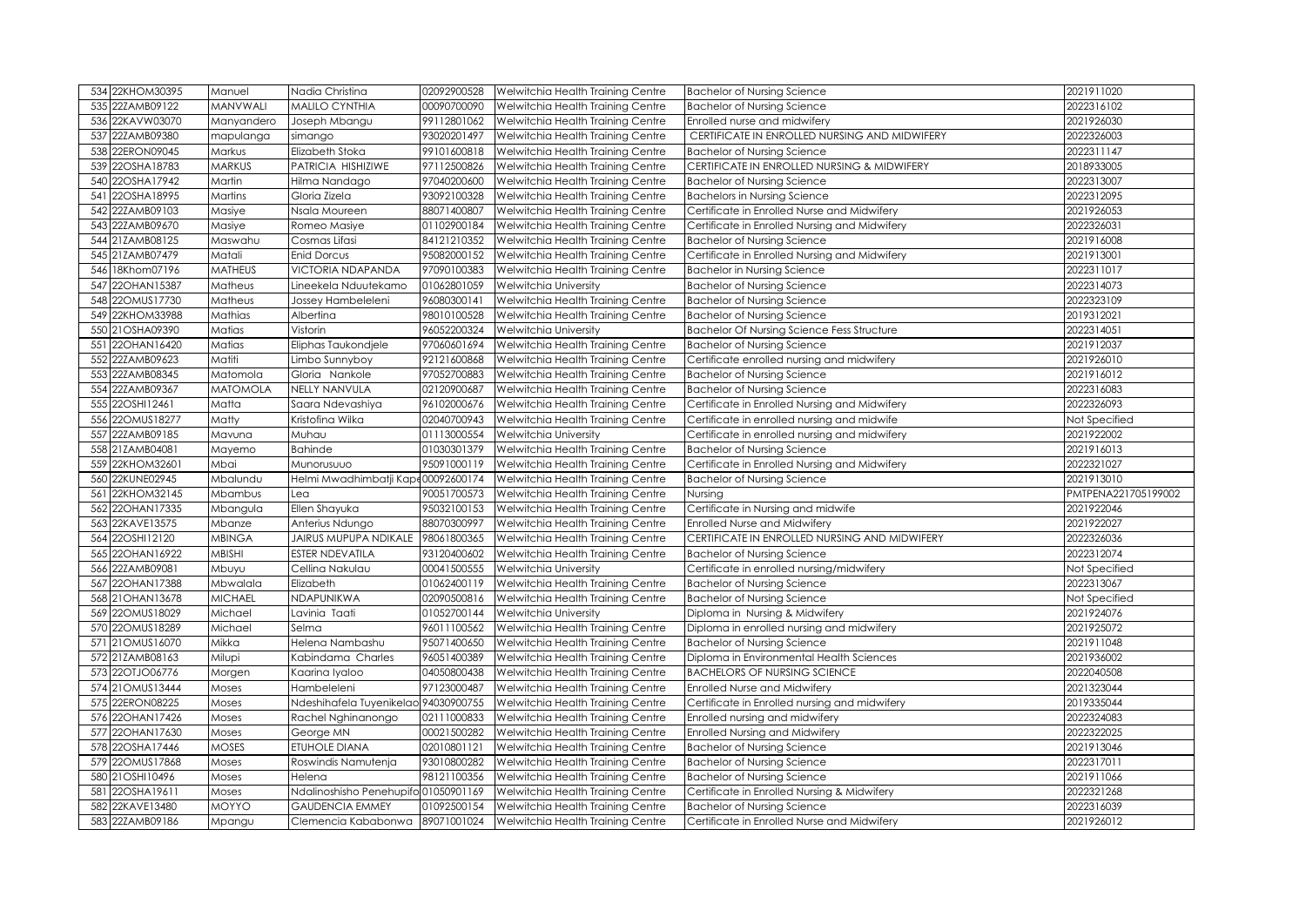|     | 534 22KHOM30395                | Manuel                 | Nadia Christina                      | 02092900528 | Welwitchia Health Training Centre                                                                      | <b>Bachelor of Nursing Science</b>                                                | 2021911020               |
|-----|--------------------------------|------------------------|--------------------------------------|-------------|--------------------------------------------------------------------------------------------------------|-----------------------------------------------------------------------------------|--------------------------|
|     | 535 22ZAMB09122                | MANVWALI               | <b>MALILO CYNTHIA</b>                | 00090700090 | Welwitchia Health Training Centre                                                                      | <b>Bachelor of Nursing Science</b>                                                | 2022316102               |
| 536 | 22KAVW03070                    | Manyandero             | Joseph Mbangu                        | 99112801062 | Welwitchia Health Training Centre                                                                      | Enrolled nurse and midwifery                                                      | 2021926030               |
| 537 | 22ZAMB09380                    | mapulanga              | simango                              | 93020201497 | Welwitchia Health Training Centre                                                                      | CERTIFICATE IN ENROLLED NURSING AND MIDWIFERY                                     | 2022326003               |
|     | 538 22ERON09045                | Markus                 | Elizabeth Stoka                      | 99101600818 | Welwitchia Health Training Centre                                                                      | <b>Bachelor of Nursing Science</b>                                                | 2022311147               |
| 539 | 22OSHA18783                    | <b>MARKUS</b>          | PATRICIA HISHIZIWE                   | 97112500826 | Welwitchia Health Training Centre                                                                      | CERTIFICATE IN ENROLLED NURSING & MIDWIFERY                                       | 2018933005               |
| 540 | 22OSHA17942                    | Martin                 | Hilma Nandago                        | 97040200600 | Welwitchia Health Training Centre                                                                      | <b>Bachelor of Nursing Science</b>                                                | 2022313007               |
| 541 | 22OSHA18995                    | Martins                | Gloria Zizela                        | 93092100328 | Welwitchia Health Training Centre                                                                      | <b>Bachelors in Nursing Science</b>                                               | 2022312095               |
| 542 | 22ZAMB09103                    | Masiye                 | Nsala Moureen                        | 88071400807 | Welwitchia Health Training Centre                                                                      | Certificate in Enrolled Nurse and Midwifery                                       | 2021926053               |
| 543 | 22ZAMB09670                    | Masiye                 | Romeo Masiye                         | 01102900184 | Welwitchia Health Training Centre                                                                      | Certificate in Enrolled Nursing and Midwifery                                     | 2022326031               |
| 544 | 21ZAMB08125                    | Maswahu                | Cosmas Lifasi                        | 84121210352 | Welwitchia Health Training Centre                                                                      | <b>Bachelor of Nursing Science</b>                                                | 2021916008               |
|     | 545 21ZAMB07479                | Matali                 | <b>Enid Dorcus</b>                   | 95082000152 | Welwitchia Health Training Centre                                                                      | Certificate in Enrolled Nursing and Midwifery                                     | 2021913001               |
| 546 | 18Khom07196                    | <b>MATHEUS</b>         | VICTORIA NDAPANDA                    | 97090100383 | Welwitchia Health Training Centre                                                                      | <b>Bachelor in Nursing Science</b>                                                | 2022311017               |
| 547 | 22OHAN15387                    | Matheus                | Lineekela Nduutekamo                 | 01062801059 | Welwitchia University                                                                                  | <b>Bachelor of Nursing Science</b>                                                | 2022314073               |
| 548 | 22OMUS17730                    | Matheus                | Jossey Hambeleleni                   | 96080300141 | Welwitchia Health Training Centre                                                                      | <b>Bachelor of Nursing Science</b>                                                | 2022323109               |
| 549 | 22KHOM33988                    | Mathias                | Albertina                            | 98010100528 | Welwitchia Health Training Centre                                                                      | <b>Bachelor of Nursing Science</b>                                                | 2019312021               |
|     | 550 21OSHA09390                | Matias                 | Vistorin                             | 96052200324 | Welwitchia University                                                                                  | <b>Bachelor Of Nursing Science Fess Structure</b>                                 | 2022314051               |
|     | 551 22OHAN16420                | Matias                 | Eliphas Taukondjele                  | 97060601694 | Welwitchia Health Training Centre                                                                      | <b>Bachelor of Nursing Science</b>                                                | 2021912037               |
| 552 | 22ZAMB09623                    | Matiti                 | Limbo Sunnyboy                       | 92121600868 | Welwitchia Health Training Centre                                                                      | Certificate enrolled nursing and midwifery                                        | 2021926010               |
|     | 553 22ZAMB08345                | Matomola               | Gloria Nankole                       | 97052700883 | Welwitchia Health Training Centre                                                                      | <b>Bachelor of Nursing Science</b>                                                | 2021916012               |
|     | 554 22ZAMB09367                | <b>MATOMOLA</b>        | NELLY NANVULA                        | 02120900687 | Welwitchia Health Training Centre                                                                      | <b>Bachelor of Nursing Science</b>                                                | 2022316083               |
|     | 555 22OSHI12461                | Matta                  | Saara Ndevashiya                     | 96102000676 | Welwitchia Health Training Centre                                                                      | Certificate in Enrolled Nursing and Midwifery                                     | 2022326093               |
|     | 556 22OMUS18277                | Matty                  | Kristofina Wilka                     | 02040700943 | Welwitchia Health Training Centre                                                                      | Certificate in enrolled nursing and midwife                                       | Not Specified            |
| 557 | 22ZAMB09185                    | Mavuna                 | Muhau                                | 01113000554 | Welwitchia University                                                                                  | Certificate in enrolled nursing and midwifery                                     | 2021922002               |
|     | 558 21ZAMB04081                | Mayemo                 | Bahinde                              | 01030301379 | Welwitchia Health Training Centre                                                                      | <b>Bachelor of Nursing Science</b>                                                | 2021916013               |
|     | 559 22KHOM32601                | Mbai                   | Munorusuuo                           | 95091000119 | Welwitchia Health Training Centre                                                                      | Certificate in Enrolled Nursing and Midwifery                                     | 2022321027               |
|     | 560 22KUNE02945                | Mbalundu               | Helmi Mwadhimbatji Kape00092600174   |             | Welwitchia Health Training Centre                                                                      | <b>Bachelor of Nursing Science</b>                                                | 2021913010               |
| 561 | 22KHOM32145                    | Mbambus                | Lea                                  | 90051700573 | Welwitchia Health Training Centre                                                                      | Nursing                                                                           | PMTPENA221705199002      |
| 562 | 22OHAN17335                    | Mbangula               | Ellen Shayuka                        | 95032100153 | Welwitchia Health Training Centre                                                                      | Certificate in Nursing and midwife                                                | 2021922046               |
|     | 563 22KAVE13575                | Mbanze                 |                                      | 88070300997 | Welwitchia Health Training Centre                                                                      | Enrolled Nurse and Midwifery                                                      | 2021922027               |
| 564 |                                |                        | Anterius Ndungo                      |             |                                                                                                        |                                                                                   |                          |
|     | 22OSHI12120                    | <b>MBINGA</b>          | JAIRUS MUPUPA NDIKALE                | 98061800365 | Welwitchia Health Training Centre                                                                      | CERTIFICATE IN ENROLLED NURSING AND MIDWIFERY                                     | 2022326036               |
|     | 565 22OHAN16922                | MBISHI                 | ESTER NDEVATILA                      | 93120400602 | Welwitchia Health Training Centre                                                                      | <b>Bachelor of Nursing Science</b>                                                | 2022312074               |
|     | 566 22ZAMB09081                | Mbuyu                  | Cellina Nakulau                      | 00041500555 | Welwitchia University                                                                                  | Certificate in enrolled nursing/midwifery                                         | Not Specified            |
| 567 | 22OHAN17388                    | Mbwalala               | Elizabeth                            | 01062400119 | Welwitchia Health Training Centre                                                                      | <b>Bachelor of Nursing Science</b>                                                | 2022313067               |
|     | 568 21 OHAN 13678              | <b>MICHAEL</b>         | NDAPUNIKWA                           | 02090500816 | Welwitchia Health Training Centre                                                                      | <b>Bachelor of Nursing Science</b>                                                | Not Specified            |
|     | 569 22OMUS18029                | Michael                | Lavinia Taati                        | 01052700144 | Welwitchia University                                                                                  | Diploma in Nursing & Midwifery                                                    | 2021924076               |
|     | 570 22OMUS18289                | Michael                | Selma                                | 96011100562 | Welwitchia Health Training Centre                                                                      | Diploma in enrolled nursing and midwifery                                         | 2021925072               |
|     | 571 21 OMUS16070               | Mikka                  | Helena Nambashu                      | 95071400650 | Welwitchia Health Training Centre                                                                      | <b>Bachelor of Nursing Science</b>                                                | 2021911048               |
|     | 572 21ZAMB08163                | Milupi                 | Kabindama Charles                    | 96051400389 | Welwitchia Health Training Centre                                                                      | Diploma in Environmental Health Sciences                                          | 2021936002               |
|     | 573 22OTJO06776                | Morgen                 | Kaarina Iyaloo                       | 04050800438 | Welwitchia Health Training Centre                                                                      | <b>BACHELORS OF NURSING SCIENCE</b>                                               | 2022040508               |
|     | 574 21OMUS13444                | Moses                  | Hambeleleni                          | 97123000487 | Welwitchia Health Training Centre                                                                      | Enrolled Nurse and Midwifery                                                      | 2021323044               |
|     | 575 22ERON08225                | Moses                  | Ndeshihafela Tuyenikelao 94030900755 |             | Welwitchia Health Training Centre                                                                      | Certificate in Enrolled nursing and midwifery                                     | 2019335044               |
|     | 576 22OHAN17426                | Moses                  | Rachel Nghinanongo                   | 02111000833 | Welwitchia Health Training Centre                                                                      | Enrolled nursing and midwifery                                                    | 2022324083               |
|     | 577 22OHAN17630                | Moses                  | George MN                            | 00021500282 | Welwitchia Health Training Centre                                                                      | <b>Enrolled Nursing and Midwifery</b>                                             | 2022322025               |
|     | 578 22OSHA17446                | <b>MOSES</b>           | ETUHOLE DIANA                        | 02010801121 | Welwitchia Health Training Centre                                                                      | <b>Bachelor of Nursing Science</b>                                                | 2021913046               |
|     | 579 22OMUS17868                | Moses                  | Roswindis Namutenja                  | 93010800282 | Welwitchia Health Training Centre                                                                      | <b>Bachelor of Nursing Science</b>                                                | 2022317011               |
|     | 580 21OSHI10496                | Moses                  | Helena                               | 98121100356 | Welwitchia Health Training Centre                                                                      | <b>Bachelor of Nursing Science</b>                                                | 2021911066               |
| 581 | 22OSHA19611                    | Moses                  | Ndalinoshisho Penehupifo 01050901169 |             | Welwitchia Health Training Centre                                                                      | Certificate in Enrolled Nursing & Midwifery                                       | 2022321268               |
| 582 | 22KAVE13480<br>583 22ZAMB09186 | <b>MOYYO</b><br>Mpangu | <b>GAUDENCIA EMMEY</b>               | 01092500154 | Welwitchia Health Training Centre<br>Clemencia Kababonwa 89071001024 Welwitchia Health Training Centre | <b>Bachelor of Nursing Science</b><br>Certificate in Enrolled Nurse and Midwifery | 2022316039<br>2021926012 |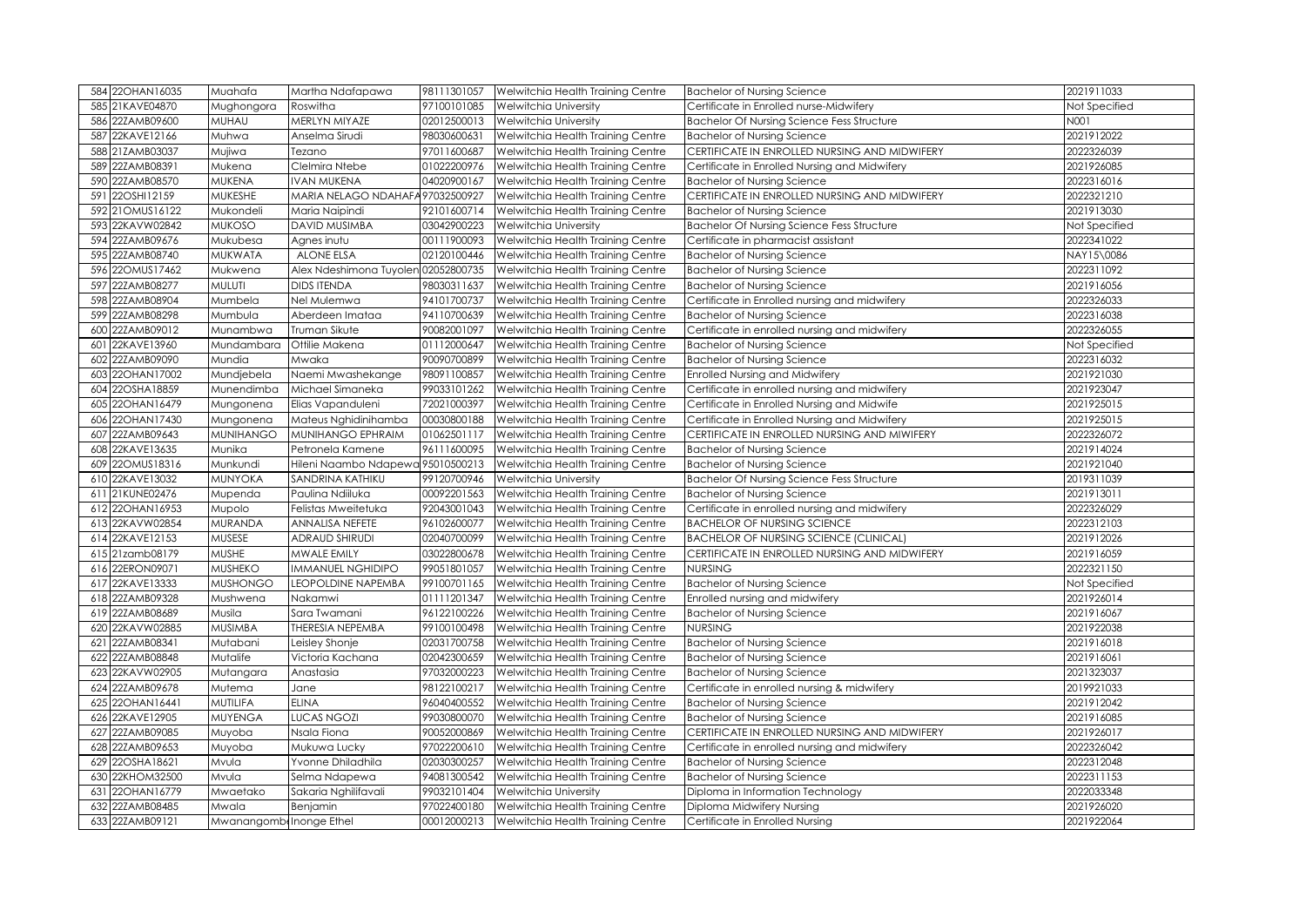| 584 22OHAN16035                    | Muahafa                          | Martha Ndafapawa                    | 98111301057 | Welwitchia Health Training Centre                                                  | <b>Bachelor of Nursing Science</b>                           | 2021911033               |
|------------------------------------|----------------------------------|-------------------------------------|-------------|------------------------------------------------------------------------------------|--------------------------------------------------------------|--------------------------|
| 21KAVE04870<br>585                 | Mughongora                       | Roswitha                            | 97100101085 | <b>Welwitchia University</b>                                                       | Certificate in Enrolled nurse-Midwifery                      | Not Specified            |
| 22ZAMB09600<br>586                 | MUHAU                            | MERLYN MIYAZE                       | 02012500013 | <b>Welwitchia University</b>                                                       | <b>Bachelor Of Nursing Science Fess Structure</b>            | N001                     |
| 22KAVE12166<br>587                 | Muhwa                            | Anselma Sirudi                      | 98030600631 | Welwitchia Health Training Centre                                                  | <b>Bachelor of Nursing Science</b>                           | 2021912022               |
| 21ZAMB03037<br>588                 | Mujiwa                           | Tezano                              | 97011600687 | Welwitchia Health Training Centre                                                  | CERTIFICATE IN ENROLLED NURSING AND MIDWIFERY                | 2022326039               |
| 22ZAMB08391<br>589                 | Mukena                           | Clelmira Ntebe                      | 01022200976 | Welwitchia Health Training Centre                                                  | Certificate in Enrolled Nursing and Midwifery                | 2021926085               |
| 22ZAMB08570<br>590                 | <b>MUKENA</b>                    | <b>IVAN MUKENA</b>                  | 04020900167 | Welwitchia Health Training Centre                                                  | <b>Bachelor of Nursing Science</b>                           | 2022316016               |
| 22OSHI12159<br>591                 | MUKESHE                          | MARIA NELAGO NDAHAFA 97032500927    |             | Welwitchia Health Training Centre                                                  | CERTIFICATE IN ENROLLED NURSING AND MIDWIFERY                | 2022321210               |
| 21OMUS16122<br>592                 | Mukondeli                        | Maria Naipindi                      | 92101600714 | Welwitchia Health Training Centre                                                  | <b>Bachelor of Nursing Science</b>                           | 2021913030               |
| 593<br>22KAVW02842                 | <b>MUKOSO</b>                    | DAVID MUSIMBA                       | 03042900223 | <b>Welwitchia University</b>                                                       | <b>Bachelor Of Nursing Science Fess Structure</b>            | Not Specified            |
| 22ZAMB09676<br>594                 | Mukubesa                         | Agnes inutu                         | 00111900093 | Welwitchia Health Training Centre                                                  | Certificate in pharmacist assistant                          | 2022341022               |
| 22ZAMB08740<br>595                 | <b>MUKWATA</b>                   | <b>ALONE ELSA</b>                   | 02120100446 | Welwitchia Health Training Centre                                                  | <b>Bachelor of Nursing Science</b>                           | NAY15\0086               |
| 22OMUS17462<br>596                 | Mukwena                          | Alex Ndeshimona Tuyolen 02052800735 |             | Welwitchia Health Training Centre                                                  | <b>Bachelor of Nursing Science</b>                           | 2022311092               |
| 22ZAMB08277<br>597                 | MULUTI                           | <b>DIDS ITENDA</b>                  | 98030311637 | Welwitchia Health Training Centre                                                  | <b>Bachelor of Nursing Science</b>                           | 2021916056               |
| 22ZAMB08904<br>598                 | Mumbela                          | Nel Mulemwa                         | 94101700737 | Welwitchia Health Training Centre                                                  | Certificate in Enrolled nursing and midwifery                | 2022326033               |
| 599 22ZAMB08298                    | Mumbula                          | Aberdeen Imataa                     | 94110700639 | Welwitchia Health Training Centre                                                  | <b>Bachelor of Nursing Science</b>                           | 2022316038               |
| 22ZAMB09012<br>600                 | Munambwa                         | Truman Sikute                       | 90082001097 | Welwitchia Health Training Centre                                                  | Certificate in enrolled nursing and midwifery                | 2022326055               |
| 22KAVE13960<br>601                 | Mundambara                       | Ottilie Makena                      | 01112000647 | Welwitchia Health Training Centre                                                  | <b>Bachelor of Nursing Science</b>                           | Not Specified            |
| 22ZAMB09090<br>602                 | Mundia                           | Mwaka                               | 90090700899 | Welwitchia Health Training Centre                                                  | <b>Bachelor of Nursing Science</b>                           | 2022316032               |
| 22OHAN17002<br>603                 | Mundjebela                       | Naemi Mwashekange                   | 98091100857 | Welwitchia Health Training Centre                                                  | <b>Enrolled Nursing and Midwifery</b>                        | 2021921030               |
| 22OSHA18859<br>604                 | Munendimba                       | Michael Simaneka                    | 99033101262 | Welwitchia Health Training Centre                                                  | Certificate in enrolled nursing and midwifery                | 2021923047               |
| 22OHAN16479<br>605                 | Mungonena                        | Elias Vapanduleni                   | 72021000397 | Welwitchia Health Training Centre                                                  | Certificate in Enrolled Nursing and Midwife                  | 2021925015               |
| 22OHAN17430<br>606                 | Mungonena                        | Mateus Nghidinihamba                | 00030800188 | Welwitchia Health Training Centre                                                  | Certificate in Enrolled Nursing and Midwifery                | 2021925015               |
| 22ZAMB09643<br>607                 | <b>MUNIHANGO</b>                 | MUNIHANGO EPHRAIM                   | 01062501117 | Welwitchia Health Training Centre                                                  | CERTIFICATE IN ENROLLED NURSING AND MIWIFERY                 | 2022326072               |
| 22KAVE13635<br>608                 | Munika                           | Petronela Kamene                    | 96111600095 | Welwitchia Health Training Centre                                                  | <b>Bachelor of Nursing Science</b>                           | 2021914024               |
|                                    |                                  |                                     |             |                                                                                    |                                                              |                          |
| 609 22OMUS18316                    | Munkundi                         | Hileni Naambo Ndapewa 95010500213   |             | Welwitchia Health Training Centre                                                  | <b>Bachelor of Nursing Science</b>                           | 2021921040               |
| 22KAVE13032<br>610                 | <b>MUNYOKA</b>                   | SANDRINA KATHIKU                    | 99120700946 | Welwitchia University                                                              | <b>Bachelor Of Nursing Science Fess Structure</b>            | 2019311039               |
| 21KUNE02476<br>611                 | Mupenda                          | Paulina Ndiiluka                    | 00092201563 | Welwitchia Health Training Centre                                                  | <b>Bachelor of Nursing Science</b>                           | 2021913011               |
| 22OHAN16953<br>612                 | Mupolo                           | Felistas Mweitetuka                 | 92043001043 | Welwitchia Health Training Centre                                                  | Certificate in enrolled nursing and midwifery                | 2022326029               |
| 613 22KAVW02854                    | <b>MURANDA</b>                   | <b>ANNALISA NEFETE</b>              | 96102600077 | Welwitchia Health Training Centre                                                  | <b>BACHELOR OF NURSING SCIENCE</b>                           | 2022312103               |
| 22KAVE12153<br>614I                | MUSESE                           | <b>ADRAUD SHIRUDI</b>               | 02040700099 | Welwitchia Health Training Centre                                                  | <b>BACHELOR OF NURSING SCIENCE (CLINICAL)</b>                | 2021912026               |
| 615 21zamb08179                    | <b>MUSHE</b>                     | MWALE EMILY                         | 03022800678 | Welwitchia Health Training Centre                                                  | CERTIFICATE IN ENROLLED NURSING AND MIDWIFERY                | 2021916059               |
| 22ERON09071<br>616                 | <b>MUSHEKO</b>                   | <b>IMMANUEL NGHIDIPO</b>            | 99051801057 | Welwitchia Health Training Centre                                                  | <b>NURSING</b>                                               | 2022321150               |
| 22KAVE13333<br>617                 | <b>MUSHONGO</b>                  | LEOPOLDINE NAPEMBA                  | 99100701165 | Welwitchia Health Training Centre                                                  | <b>Bachelor of Nursing Science</b>                           | Not Specified            |
| 22ZAMB09328<br>618                 | Mushwena                         | Nakamwi                             | 01111201347 | Welwitchia Health Training Centre                                                  | Enrolled nursing and midwifery                               | 2021926014               |
| 22ZAMB08689<br>619                 | Musila                           | Sara Twamani                        | 96122100226 | Welwitchia Health Training Centre                                                  | <b>Bachelor of Nursing Science</b>                           | 2021916067               |
| 22KAVW02885<br>620                 | <b>MUSIMBA</b>                   | THERESIA NEPEMBA                    | 99100100498 | Welwitchia Health Training Centre                                                  | <b>NURSING</b>                                               | 2021922038               |
| 22ZAMB08341<br>621                 | Mutabani                         | Leisley Shonje                      | 02031700758 | Welwitchia Health Training Centre                                                  | <b>Bachelor of Nursing Science</b>                           | 2021916018               |
| 22ZAMB08848<br>622                 | Mutalife                         | Victoria Kachana                    | 02042300659 | Welwitchia Health Training Centre                                                  | <b>Bachelor of Nursing Science</b>                           | 2021916061               |
| 22KAVW02905<br>623                 | Mutangara                        | Anastasia                           | 97032000223 | Welwitchia Health Training Centre                                                  | <b>Bachelor of Nursing Science</b>                           | 2021323037               |
| 22ZAMB09678<br>624                 | Mutema                           | Jane                                | 98122100217 | Welwitchia Health Training Centre                                                  | Certificate in enrolled nursing & midwifery                  | 2019921033               |
| 22OHAN16441<br>625                 | <b>MUTILIFA</b>                  | <b>ELINA</b>                        | 96040400552 | Welwitchia Health Training Centre                                                  | <b>Bachelor of Nursing Science</b>                           | 2021912042               |
| 22KAVE12905<br>626                 | <b>MUYENGA</b>                   | <b>LUCAS NGOZI</b>                  | 99030800070 | Welwitchia Health Training Centre                                                  | <b>Bachelor of Nursing Science</b>                           | 2021916085               |
| 22ZAMB09085<br>627                 | Muyoba                           | Nsala Fiona                         | 90052000869 | Welwitchia Health Training Centre                                                  | CERTIFICATE IN ENROLLED NURSING AND MIDWIFERY                | 2021926017               |
| 628 22ZAMB09653                    | Muyoba                           | Mukuwa Lucky                        | 97022200610 | Welwitchia Health Training Centre                                                  | Certificate in enrolled nursing and midwifery                | 2022326042               |
| 629 22OSHA18621                    | Mvula                            | Yvonne Dhiladhila                   | 02030300257 | Welwitchia Health Training Centre                                                  | <b>Bachelor of Nursing Science</b>                           | 2022312048               |
| 22KHOM32500<br>630                 | Mvula                            | Selma Ndapewa                       | 94081300542 | Welwitchia Health Training Centre                                                  | <b>Bachelor of Nursing Science</b>                           | 2022311153               |
| 631 22OHAN16779                    | Mwaetako                         | Sakaria Nghilifavali                | 99032101404 | Welwitchia University                                                              | Diploma in Information Technology                            | 2022033348               |
| 632 22ZAMB08485<br>633 22ZAMB09121 | Mwala<br>Mwanangomb Inonge Ethel | Benjamin                            | 97022400180 | Welwitchia Health Training Centre<br>00012000213 Welwitchia Health Training Centre | Diploma Midwifery Nursing<br>Certificate in Enrolled Nursing | 2021926020<br>2021922064 |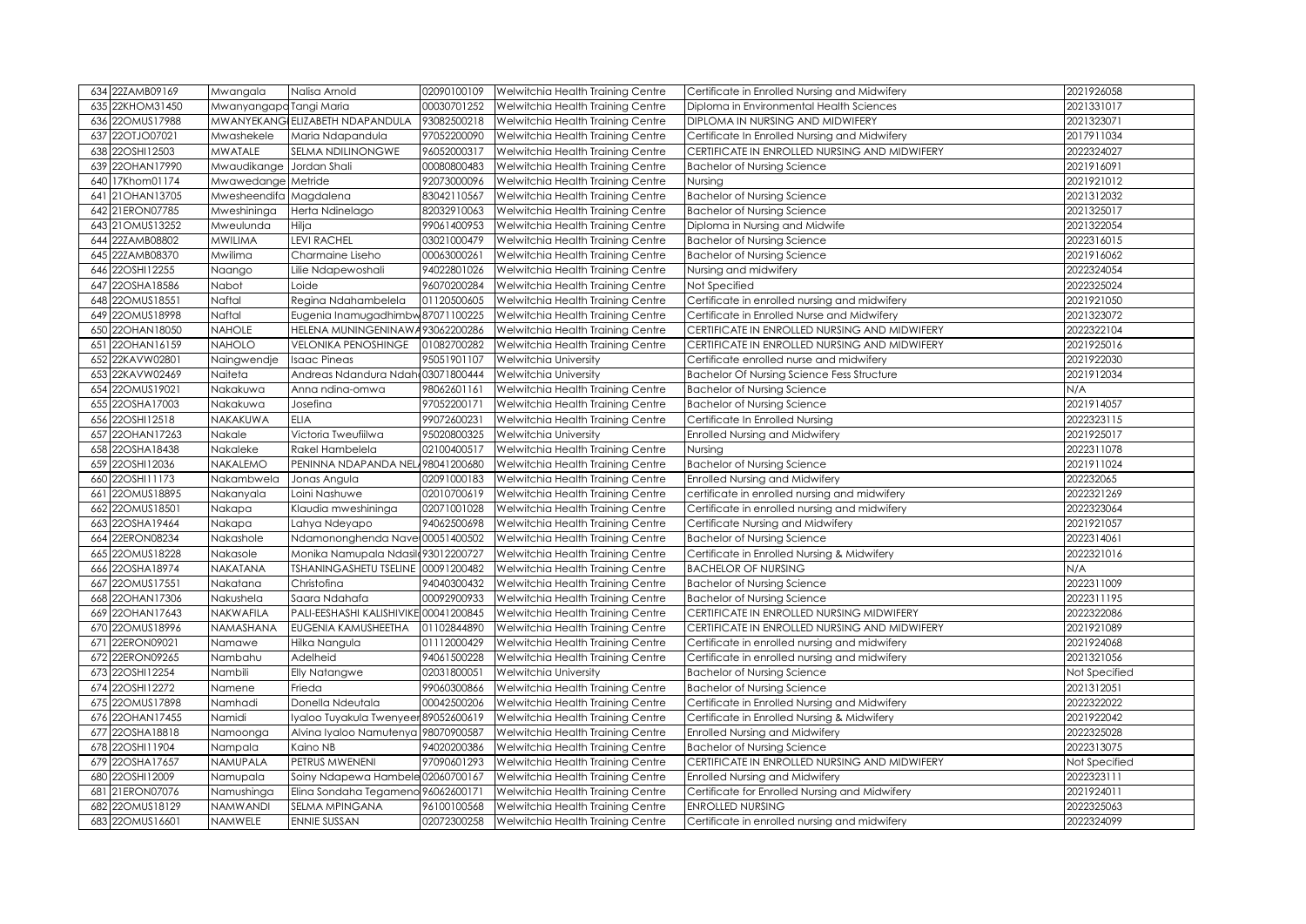| 634 22ZAMB09169     | Mwangala                | Nalisa Arnold                         | 02090100109 | Welwitchia Health Training Centre | Certificate in Enrolled Nursing and Midwifery     | 2021926058    |
|---------------------|-------------------------|---------------------------------------|-------------|-----------------------------------|---------------------------------------------------|---------------|
| 22KHOM31450<br>635  | Mwanyangapo Tangi Maria |                                       | 00030701252 | Welwitchia Health Training Centre | Diploma in Environmental Health Sciences          | 2021331017    |
| 22OMUS17988<br>636  |                         | MWANYEKANGI ELIZABETH NDAPANDULA      | 93082500218 | Welwitchia Health Training Centre | DIPLOMA IN NURSING AND MIDWIFERY                  | 2021323071    |
| 22OTJO07021<br>637  | Mwashekele              | Maria Ndapandula                      | 97052200090 | Welwitchia Health Training Centre | Certificate In Enrolled Nursing and Midwifery     | 2017911034    |
| 22OSHI12503<br>638  | <b>MWATALE</b>          | SELMA NDILINONGWE                     | 96052000317 | Welwitchia Health Training Centre | CERTIFICATE IN ENROLLED NURSING AND MIDWIFERY     | 2022324027    |
| 22OHAN17990<br>639  | Mwaudikange             | Jordan Shali                          | 00080800483 | Welwitchia Health Training Centre | <b>Bachelor of Nursing Science</b>                | 2021916091    |
| 17Khom01174<br>640  | Mwawedange Metride      |                                       | 92073000096 | Welwitchia Health Training Centre | Nursing                                           | 2021921012    |
| 21OHAN13705<br>641  | Mwesheendifa Magdalena  |                                       | 83042110567 | Welwitchia Health Training Centre | <b>Bachelor of Nursing Science</b>                | 2021312032    |
| 21ERON07785<br>642  | Mweshininga             | Herta Ndinelago                       | 82032910063 | Welwitchia Health Training Centre | <b>Bachelor of Nursing Science</b>                | 2021325017    |
| 21OMUS13252<br>643  | Mweulunda               | Hilja                                 | 99061400953 | Welwitchia Health Training Centre | Diploma in Nursing and Midwife                    | 2021322054    |
| 22ZAMB08802<br>644  | MWILIMA                 | <b>LEVI RACHEL</b>                    | 03021000479 | Welwitchia Health Training Centre | <b>Bachelor of Nursing Science</b>                | 2022316015    |
| 22ZAMB08370<br>645  | Mwilima                 | Charmaine Liseho                      | 00063000261 | Welwitchia Health Training Centre | <b>Bachelor of Nursing Science</b>                | 2021916062    |
| 22OSHI12255<br>646  | Naango                  | Lilie Ndapewoshali                    | 94022801026 | Welwitchia Health Training Centre | Nursing and midwifery                             | 2022324054    |
| 22OSHA18586<br>647  | Nabot                   | Loide                                 | 96070200284 | Welwitchia Health Training Centre | Not Specified                                     | 2022325024    |
| 22OMUS18551<br>648  | Naftal                  | Regina Ndahambelela                   | 01120500605 | Welwitchia Health Training Centre | Certificate in enrolled nursing and midwifery     | 2021921050    |
| 22OMUS18998<br>649  | Naftal                  | Eugenia Inamugadhimbw 87071100225     |             | Welwitchia Health Training Centre | Certificate in Enrolled Nurse and Midwifery       | 2021323072    |
| 22OHAN18050<br>650  | <b>NAHOLE</b>           | HELENA MUNINGENINAWA93062200286       |             | Welwitchia Health Training Centre | CERTIFICATE IN ENROLLED NURSING AND MIDWIFERY     | 2022322104    |
| 22OHAN16159<br>651  | <b>NAHOLO</b>           | <b>VELONIKA PENOSHINGE</b>            | 01082700282 | Welwitchia Health Training Centre | CERTIFICATE IN ENROLLED NURSING AND MIDWIFERY     | 2021925016    |
| 22KAVW02801<br>652  | Naingwendje             | <b>Isaac Pineas</b>                   | 95051901107 | Welwitchia University             | Certificate enrolled nurse and midwifery          | 2021922030    |
| 22KAVW02469<br>653  | Naiteta                 | Andreas Ndandura Ndah: 03071800444    |             | <b>Welwitchia University</b>      | <b>Bachelor Of Nursing Science Fess Structure</b> | 2021912034    |
| 22OMUS19021<br>654  | Nakakuwa                | Anna ndina-omwa                       | 98062601161 | Welwitchia Health Training Centre | <b>Bachelor of Nursing Science</b>                | N/A           |
| 655 22OSHA17003     | Nakakuwa                | Josefina                              | 97052200171 | Welwitchia Health Training Centre | <b>Bachelor of Nursing Science</b>                | 2021914057    |
| 22OSHI12518<br>656  | NAKAKUWA                | <b>ELIA</b>                           | 99072600231 | Welwitchia Health Training Centre | Certificate In Enrolled Nursing                   | 2022323115    |
| 22OHAN17263<br>657  | Nakale                  | Victoria Tweufiilwa                   | 95020800325 | Welwitchia University             | Enrolled Nursing and Midwifery                    | 2021925017    |
| 658 22OSHA18438     | Nakaleke                | Rakel Hambelela                       | 02100400517 | Welwitchia Health Training Centre | Nursing                                           | 2022311078    |
| 659 22OSHI12036     | NAKALEMO                | PENINNA NDAPANDA NEL 98041200680      |             | Welwitchia Health Training Centre | <b>Bachelor of Nursing Science</b>                | 2021911024    |
| 22OSHI1173<br>660   | Nakambwela              | Jonas Angula                          | 02091000183 | Welwitchia Health Training Centre | <b>Enrolled Nursing and Midwifery</b>             | 202232065     |
| 22OMUS18895<br>661  | Nakanyala               | Loini Nashuwe                         | 02010700619 | Welwitchia Health Training Centre | certificate in enrolled nursing and midwifery     | 2022321269    |
| 22OMUS18501<br>662  | Nakapa                  | Klaudia mweshininga                   | 02071001028 | Welwitchia Health Training Centre | Certificate in enrolled nursing and midwifery     | 2022323064    |
| 22OSHA19464<br>663I | Nakapa                  | Lahya Ndeyapo                         | 94062500698 | Welwitchia Health Training Centre | Certificate Nursing and Midwifery                 | 2021921057    |
| 22ERON08234<br>664  | Nakashole               | Ndamononghenda Nave 00051400502       |             | Welwitchia Health Training Centre | <b>Bachelor of Nursing Science</b>                | 2022314061    |
| 22OMUS18228<br>665  | Nakasole                | Monika Namupala Ndasil(93012200727    |             | Welwitchia Health Training Centre | Certificate in Enrolled Nursing & Midwifery       | 2022321016    |
| 22OSHA18974<br>666  | NAKATANA                | TSHANINGASHETU TSELINE 00091200482    |             | Welwitchia Health Training Centre | <b>BACHELOR OF NURSING</b>                        | N/A           |
| 22OMUS17551<br>667  | Nakatana                | Christofina                           | 94040300432 | Welwitchia Health Training Centre | <b>Bachelor of Nursing Science</b>                | 2022311009    |
| 22OHAN17306<br>668  | Nakushela               | Saara Ndahafa                         | 00092900933 | Welwitchia Health Training Centre | <b>Bachelor of Nursing Science</b>                | 2022311195    |
| 669 22OHAN17643     | NAKWAFILA               | PALI-EESHASHI KALISHIVIKE 00041200845 |             | Welwitchia Health Training Centre | CERTIFICATE IN ENROLLED NURSING MIDWIFERY         | 2022322086    |
| 22OMUS18996<br>670  | NAMASHANA               | EUGENIA KAMUSHEETHA                   | 01102844890 | Welwitchia Health Training Centre | CERTIFICATE IN ENROLLED NURSING AND MIDWIFERY     | 2021921089    |
| 22ERON09021<br>671  | Namawe                  | Hilka Nangula                         | 01112000429 | Welwitchia Health Training Centre | Certificate in enrolled nursing and midwifery     | 2021924068    |
| 22ERON09265<br>672  | Nambahu                 | Adelheid                              | 94061500228 | Welwitchia Health Training Centre | Certificate in enrolled nursing and midwifery     | 2021321056    |
| 22OSHI12254<br>673  | Nambili                 | <b>Elly Natangwe</b>                  | 02031800051 | Welwitchia University             | <b>Bachelor of Nursing Science</b>                | Not Specified |
| 22OSHI12272<br>674  | Namene                  | Frieda                                | 99060300866 | Welwitchia Health Training Centre | <b>Bachelor of Nursing Science</b>                | 2021312051    |
| 675 22OMUS17898     | Namhadi                 | Donella Ndeutala                      | 00042500206 | Welwitchia Health Training Centre | Certificate in Enrolled Nursing and Midwifery     | 2022322022    |
| 22OHAN17455<br>676  | Namidi                  | Iyaloo Tuyakula Twenyeer89052600619   |             | Welwitchia Health Training Centre | Certificate in Enrolled Nursing & Midwifery       | 2021922042    |
| 22OSHA18818<br>677  | Namoonga                | Alvina Iyaloo Namutenya 98070900587   |             | Welwitchia Health Training Centre | Enrolled Nursing and Midwifery                    | 2022325028    |
| 678 22OSHI11904     | Nampala                 | Kaino NB                              | 94020200386 | Welwitchia Health Training Centre | <b>Bachelor of Nursing Science</b>                | 2022313075    |
| 679 22OSHA17657     | NAMUPALA                | PETRUS MWENENI                        | 97090601293 | Welwitchia Health Training Centre | CERTIFICATE IN ENROLLED NURSING AND MIDWIFERY     | Not Specified |
| 680 22OSHI12009     | Namupala                | Soiny Ndapewa Hambele 02060700167     |             | Welwitchia Health Training Centre | Enrolled Nursing and Midwifery                    | 2022323111    |
| 681 21ERON07076     | Namushinga              | Elina Sondaha Tegameno 96062600171    |             | Welwitchia Health Training Centre | Certificate for Enrolled Nursing and Midwifery    | 2021924011    |
| 682 22OMUS18129     | <b>NAMWANDI</b>         | <b>SELMA MPINGANA</b>                 | 96100100568 | Welwitchia Health Training Centre | <b>ENROLLED NURSING</b>                           | 2022325063    |
| 683 22OMUS16601     | NAMWELE                 | <b>ENNIE SUSSAN</b>                   | 02072300258 | Welwitchia Health Training Centre | Certificate in enrolled nursing and midwifery     | 2022324099    |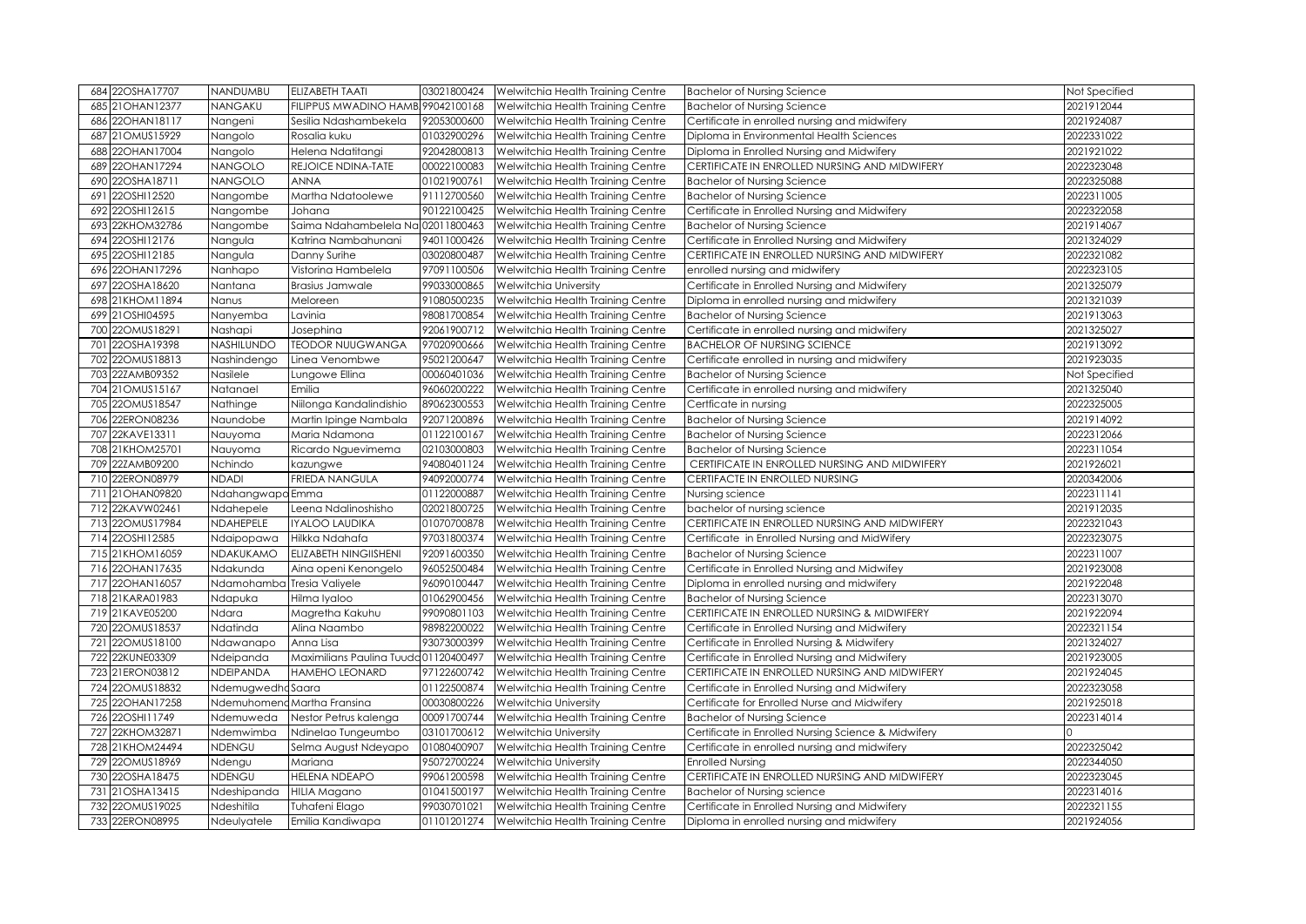| 684 22OSHA17707    | <b>NANDUMBU</b>            | ELIZABETH TAATI                      | 03021800424 | Welwitchia Health Training Centre | <b>Bachelor of Nursing Science</b>                  | Not Specified |
|--------------------|----------------------------|--------------------------------------|-------------|-----------------------------------|-----------------------------------------------------|---------------|
| 685 21 OHAN 12377  | NANGAKU                    | FILIPPUS MWADINO HAMB 99042100168    |             | Welwitchia Health Training Centre | <b>Bachelor of Nursing Science</b>                  | 2021912044    |
| 22OHAN18117<br>686 | Nangeni                    | Sesilia Ndashambekela                | 92053000600 | Welwitchia Health Training Centre | Certificate in enrolled nursing and midwifery       | 2021924087    |
| 21OMUS15929<br>687 | Nangolo                    | Rosalia kuku                         | 01032900296 | Welwitchia Health Training Centre | Diploma in Environmental Health Sciences            | 2022331022    |
| 22OHAN17004<br>688 | Nangolo                    | Helena Ndatitangi                    | 92042800813 | Welwitchia Health Training Centre | Diploma in Enrolled Nursing and Midwifery           | 2021921022    |
| 689<br>22OHAN17294 | <b>NANGOLO</b>             | REJOICE NDINA-TATE                   | 00022100083 | Welwitchia Health Training Centre | CERTIFICATE IN ENROLLED NURSING AND MIDWIFERY       | 2022323048    |
| 22OSHA18711<br>690 | <b>NANGOLO</b>             | <b>ANNA</b>                          | 01021900761 | Welwitchia Health Training Centre | <b>Bachelor of Nursing Science</b>                  | 2022325088    |
| 22OSHI12520<br>691 | Nangombe                   | Martha Ndatoolewe                    | 91112700560 | Welwitchia Health Training Centre | <b>Bachelor of Nursing Science</b>                  | 2022311005    |
| 22OSHI12615<br>692 | Nangombe                   | Johana                               | 90122100425 | Welwitchia Health Training Centre | Certificate in Enrolled Nursing and Midwifery       | 2022322058    |
| 22KHOM32786<br>693 | Nangombe                   | Saima Ndahambelela Na                | 02011800463 | Welwitchia Health Training Centre | <b>Bachelor of Nursing Science</b>                  | 2021914067    |
| 22OSHI12176<br>694 | Nangula                    | Katrina Nambahunani                  | 94011000426 | Welwitchia Health Training Centre | Certificate in Enrolled Nursing and Midwifery       | 2021324029    |
| 22OSHI12185<br>695 | Nangula                    | Danny Surihe                         | 03020800487 | Welwitchia Health Training Centre | CERTIFICATE IN ENROLLED NURSING AND MIDWIFERY       | 2022321082    |
| 22OHAN17296<br>696 | Nanhapo                    | Vistorina Hambelela                  | 97091100506 | Welwitchia Health Training Centre | enrolled nursing and midwifery                      | 2022323105    |
| 22OSHA18620<br>697 | Nantana                    | <b>Brasius Jamwale</b>               | 99033000865 | Welwitchia University             | Certificate in Enrolled Nursing and Midwifery       | 2021325079    |
| 21KHOM11894<br>698 | Nanus                      | Meloreen                             | 91080500235 | Welwitchia Health Training Centre | Diploma in enrolled nursing and midwifery           | 2021321039    |
| 699 21OSHI04595    | Nanyemba                   | Lavinia                              | 98081700854 | Welwitchia Health Training Centre | <b>Bachelor of Nursing Science</b>                  | 2021913063    |
| 22OMUS18291<br>700 | Nashapi                    | Josephina                            | 92061900712 | Welwitchia Health Training Centre | Certificate in enrolled nursing and midwifery       | 2021325027    |
| 22OSHA19398<br>701 | NASHILUNDO                 | <b>TEODOR NUUGWANGA</b>              | 97020900666 | Welwitchia Health Training Centre | <b>BACHELOR OF NURSING SCIENCE</b>                  | 2021913092    |
| 22OMUS18813<br>702 | Nashindengo                | Linea Venombwe                       | 95021200647 | Welwitchia Health Training Centre | Certificate enrolled in nursing and midwifery       | 2021923035    |
| 22ZAMB09352<br>703 | Nasilele                   | Lungowe Ellina                       | 00060401036 | Welwitchia Health Training Centre | <b>Bachelor of Nursing Science</b>                  | Not Specified |
| 704 21 OMUS15167   | Natanael                   | Emilia                               | 96060200222 | Welwitchia Health Training Centre | Certificate in enrolled nursing and midwifery       | 2021325040    |
| 705 22OMUS18547    | Nathinge                   | Niilonga Kandalindishio              | 89062300553 | Welwitchia Health Training Centre | Certficate in nursing                               | 2022325005    |
| 22ERON08236<br>706 | Naundobe                   | Martin Ipinge Nambala                | 92071200896 | Welwitchia Health Training Centre | <b>Bachelor of Nursing Science</b>                  | 2021914092    |
| 22KAVE13311<br>707 | Nauyoma                    | Maria Ndamona                        | 01122100167 | Welwitchia Health Training Centre | <b>Bachelor of Nursing Science</b>                  | 2022312066    |
| 708 21KHOM25701    | Nauyoma                    | Ricardo Nguevimema                   | 02103000803 | Welwitchia Health Training Centre | <b>Bachelor of Nursing Science</b>                  | 2022311054    |
| 22ZAMB09200<br>709 | Nchindo                    | kazungwe                             | 94080401124 | Welwitchia Health Training Centre | CERTIFICATE IN ENROLLED NURSING AND MIDWIFERY       | 2021926021    |
| 22ERON08979<br>710 | <b>NDADI</b>               | FRIEDA NANGULA                       | 94092000774 | Welwitchia Health Training Centre | CERTIFACTE IN ENROLLED NURSING                      | 2020342006    |
| 711 21OHAN09820    | Ndahangwapo Emma           |                                      | 01122000887 | Welwitchia Health Training Centre | Nursing science                                     | 2022311141    |
| 22KAVW02461<br>712 | Ndahepele                  | Leena Ndalinoshisho                  | 02021800725 | Welwitchia Health Training Centre | bachelor of nursing science                         | 2021912035    |
| 713 22OMUS17984    | NDAHEPELE                  | <b>IYALOO LAUDIKA</b>                | 01070700878 | Welwitchia Health Training Centre | CERTIFICATE IN ENROLLED NURSING AND MIDWIFERY       | 2022321043    |
| 22OSHI12585<br>714 | Ndaipopawa                 | Hilkka Ndahafa                       | 97031800374 | Welwitchia Health Training Centre | Certificate in Enrolled Nursing and MidWifery       | 2022323075    |
| 715 21KHOM16059    | NDAKUKAMO                  | <b>ELIZABETH NINGIISHENI</b>         | 92091600350 | Welwitchia Health Training Centre | <b>Bachelor of Nursing Science</b>                  | 2022311007    |
| 716 22OHAN17635    | Ndakunda                   | Aina openi Kenongelo                 | 96052500484 | Welwitchia Health Training Centre | Certificate in Enrolled Nursing and Midwifey        | 2021923008    |
| 22OHAN16057<br>717 | Ndamohamba Tresia Valiyele |                                      | 96090100447 | Welwitchia Health Training Centre | Diploma in enrolled nursing and midwifery           | 2021922048    |
| 718 21KARA01983    | Ndapuka                    | Hilma Iyaloo                         | 01062900456 | Welwitchia Health Training Centre | <b>Bachelor of Nursing Science</b>                  | 2022313070    |
| 719 21KAVE05200    | Ndara                      | Magretha Kakuhu                      | 99090801103 | Welwitchia Health Training Centre | CERTIFICATE IN ENROLLED NURSING & MIDWIFERY         | 2021922094    |
| 22OMUS18537<br>720 | Ndatinda                   | Alina Naambo                         | 98982200022 | Welwitchia Health Training Centre | Certificate in Enrolled Nursing and Midwifery       | 2022321154    |
| 721 22OMUS18100    | Ndawanapo                  | Anna Lisa                            | 93073000399 | Welwitchia Health Training Centre | Certificate in Enrolled Nursing & Midwifery         | 2021324027    |
| 22KUNE03309<br>722 | Ndeipanda                  | Maximilians Paulina Tuuda01120400497 |             | Welwitchia Health Training Centre | Certificate in Enrolled Nursing and Midwifery       | 2021923005    |
| 723 21ERON03812    | NDEIPANDA                  | <b>HAMEHO LEONARD</b>                | 97122600742 | Welwitchia Health Training Centre | CERTIFICATE IN ENROLLED NURSING AND MIDWIFERY       | 2021924045    |
| 724 22OMUS18832    | NdemugwedhaSaara           |                                      | 01122500874 | Welwitchia Health Training Centre | Certificate in Enrolled Nursing and Midwifery       | 2022323058    |
| 725 22OHAN17258    |                            | Ndemuhomeng Martha Fransina          | 00030800226 | Welwitchia University             | Certificate for Enrolled Nurse and Midwifery        | 2021925018    |
| 726 22OSHI11749    | Ndemuweda                  | Nestor Petrus kalenga                | 00091700744 | Welwitchia Health Training Centre | <b>Bachelor of Nursing Science</b>                  | 2022314014    |
| 22KHOM32871<br>727 | Ndemwimba                  | Ndinelao Tungeumbo                   | 03101700612 | Welwitchia University             | Certificate in Enrolled Nursing Science & Midwifery |               |
| 728 21KHOM24494    | NDENGU                     | Selma August Ndeyapo                 | 01080400907 | Welwitchia Health Training Centre | Certificate in enrolled nursing and midwifery       | 2022325042    |
| 729 22OMUS18969    | Ndengu                     | Mariana                              | 95072700224 | Welwitchia University             | <b>Enrolled Nursing</b>                             | 2022344050    |
| 730 22OSHA18475    | NDENGU                     | HELENA NDEAPO                        | 99061200598 | Welwitchia Health Training Centre | CERTIFICATE IN ENROLLED NURSING AND MIDWIFERY       | 2022323045    |
| 731 21OSHA13415    | Ndeshipanda                | <b>HILIA Magano</b>                  | 01041500197 | Welwitchia Health Training Centre | <b>Bachelor of Nursing science</b>                  | 2022314016    |
| 732 22OMUS19025    | Ndeshitila                 | Tuhafeni Elago                       | 99030701021 | Welwitchia Health Training Centre | Certificate in Enrolled Nursing and Midwifery       | 2022321155    |
| 733 22ERON08995    | Ndeulyatele                | Emilia Kandiwapa                     | 01101201274 | Welwitchia Health Training Centre | Diploma in enrolled nursing and midwifery           | 2021924056    |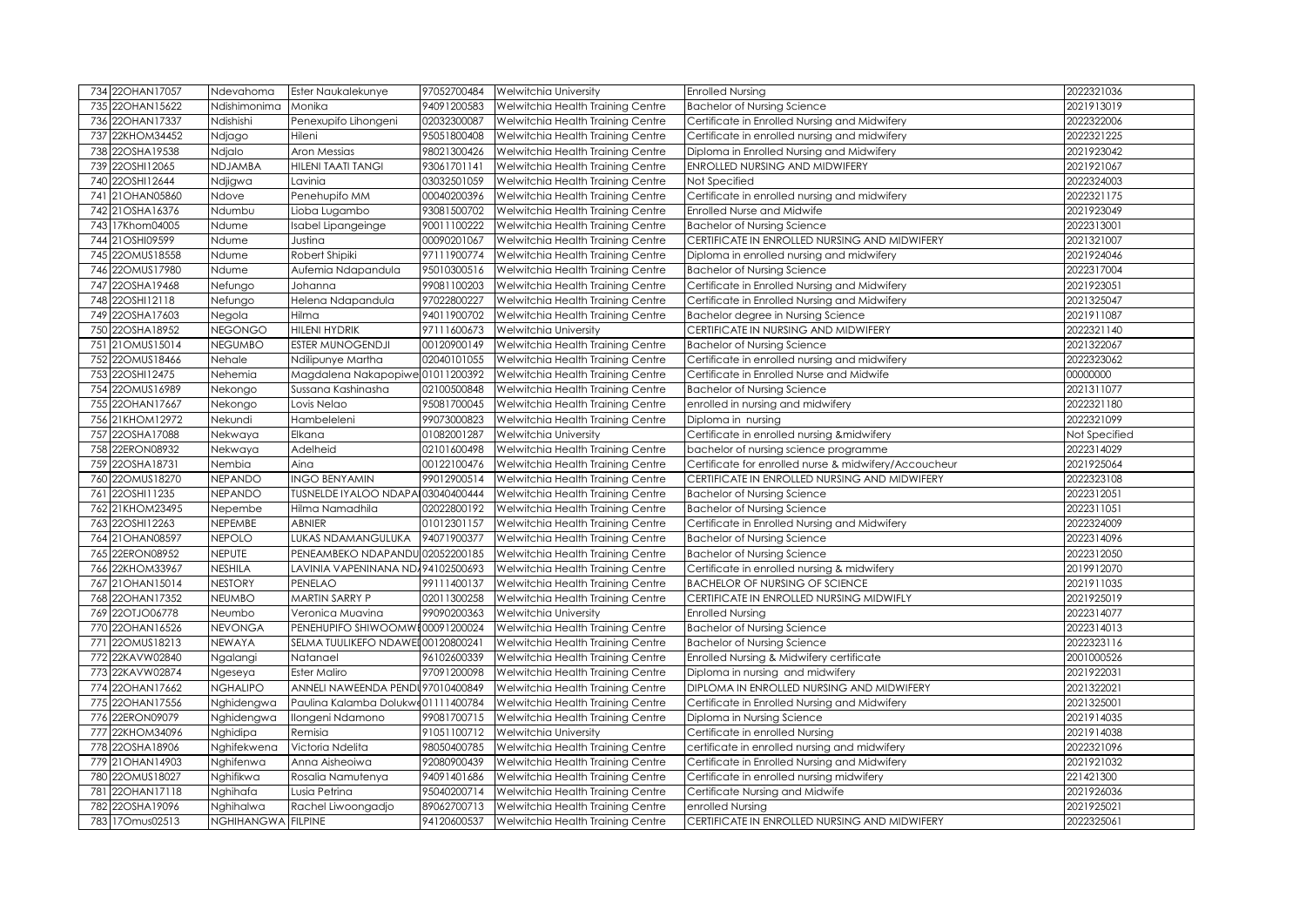|     | 734 22OHAN17057                | Ndevahoma                       | Ester Naukalekunye                 | 97052700484 | <b>Welwitchia University</b>                                                       | <b>Enrolled Nursing</b>                                           | 2022321036               |
|-----|--------------------------------|---------------------------------|------------------------------------|-------------|------------------------------------------------------------------------------------|-------------------------------------------------------------------|--------------------------|
|     | 735 22OHAN15622                | Ndishimonima                    | Monika                             | 94091200583 | Welwitchia Health Training Centre                                                  | <b>Bachelor of Nursing Science</b>                                | 2021913019               |
|     | 736 22OHAN17337                | Ndishishi                       | Penexupifo Lihongeni               | 02032300087 | Welwitchia Health Training Centre                                                  | Certificate in Enrolled Nursing and Midwifery                     | 2022322006               |
|     | 737 22KHOM34452                | Ndjago                          | Hileni                             | 95051800408 | Welwitchia Health Training Centre                                                  | Certificate in enrolled nursing and midwifery                     | 2022321225               |
|     | 738 22OSHA19538                | Ndjalo                          | Aron Messias                       | 98021300426 | Welwitchia Health Training Centre                                                  | Diploma in Enrolled Nursing and Midwifery                         | 2021923042               |
|     | 739 22OSHI12065                | <b>NDJAMBA</b>                  | HILENI TAATI TANGI                 | 93061701141 | Welwitchia Health Training Centre                                                  | ENROLLED NURSING AND MIDWIFERY                                    | 2021921067               |
|     | 740 22OSHI12644                | Ndjigwa                         | Lavinia                            | 03032501059 | Welwitchia Health Training Centre                                                  | Not Specified                                                     | 2022324003               |
|     | 741 21 OHAN 05860              | Ndove                           | Penehupifo MM                      | 00040200396 | Welwitchia Health Training Centre                                                  | Certificate in enrolled nursing and midwifery                     | 2022321175               |
|     | 742 21OSHA16376                | Ndumbu                          | Lioba Lugambo                      | 93081500702 | Welwitchia Health Training Centre                                                  | Enrolled Nurse and Midwife                                        | 2021923049               |
|     | 743 17Khom04005                | Ndume                           | Isabel Lipangeinge                 | 90011100222 | Welwitchia Health Training Centre                                                  | <b>Bachelor of Nursing Science</b>                                | 2022313001               |
|     | 744 21 OSHI09599               | Ndume                           | Justina                            | 00090201067 | Welwitchia Health Training Centre                                                  | CERTIFICATE IN ENROLLED NURSING AND MIDWIFERY                     | 2021321007               |
|     | 745 22OMUS18558                | Ndume                           | Robert Shipiki                     | 97111900774 | Welwitchia Health Training Centre                                                  | Diploma in enrolled nursing and midwifery                         | 2021924046               |
|     | 746 22OMUS17980                | Ndume                           | Aufemia Ndapandula                 | 95010300516 | Welwitchia Health Training Centre                                                  | <b>Bachelor of Nursing Science</b>                                | 2022317004               |
|     | 747 22OSHA19468                | Nefungo                         | Johanna                            | 99081100203 | Welwitchia Health Training Centre                                                  | Certificate in Enrolled Nursing and Midwifery                     | 2021923051               |
|     | 748 22OSHI12118                | Nefungo                         | Helena Ndapandula                  | 97022800227 | Welwitchia Health Training Centre                                                  | Certificate in Enrolled Nursing and Midwifery                     | 2021325047               |
|     | 749 22OSHA17603                | Negola                          | Hilma                              | 94011900702 | Welwitchia Health Training Centre                                                  | Bachelor degree in Nursing Science                                | 2021911087               |
|     | 750 22OSHA18952                | <b>NEGONGO</b>                  | HILENI HYDRIK                      | 97111600673 | Welwitchia University                                                              | CERTIFICATE IN NURSING AND MIDWIFERY                              | 2022321140               |
|     | 751 21OMUS15014                | <b>NEGUMBO</b>                  | ESTER MUNOGENDJI                   | 00120900149 | Welwitchia Health Training Centre                                                  | <b>Bachelor of Nursing Science</b>                                | 2021322067               |
|     | 752 22OMUS18466                | Nehale                          | Ndilipunye Martha                  | 02040101055 | Welwitchia Health Training Centre                                                  | Certificate in enrolled nursing and midwifery                     | 2022323062               |
|     | 753 22OSHI12475                | Nehemia                         | Magdalena Nakapopiwe 01011200392   |             | Welwitchia Health Training Centre                                                  | Certificate in Enrolled Nurse and Midwife                         | 00000000                 |
|     | 754 22OMUS16989                | Nekongo                         | Sussana Kashinasha                 | 02100500848 | Welwitchia Health Training Centre                                                  | <b>Bachelor of Nursing Science</b>                                | 2021311077               |
|     | 755 22OHAN17667                | Nekongo                         | Lovis Nelao                        | 95081700045 | Welwitchia Health Training Centre                                                  | enrolled in nursing and midwifery                                 | 2022321180               |
|     | 756 21KHOM12972                | Nekundi                         | Hambeleleni                        | 99073000823 | Welwitchia Health Training Centre                                                  | Diploma in nursing                                                | 2022321099               |
|     | 757 22OSHA17088                | Nekwaya                         | Elkana                             | 01082001287 | Welwitchia University                                                              | Certificate in enrolled nursing &midwifery                        | Not Specified            |
|     | 758 22ERON08932                | Nekwaya                         | Adelheid                           | 02101600498 | Welwitchia Health Training Centre                                                  | bachelor of nursing science programme                             | 2022314029               |
|     |                                |                                 |                                    |             |                                                                                    |                                                                   |                          |
|     | 759 22OSHA18731                | Nembia                          | Aina                               | 00122100476 | Welwitchia Health Training Centre                                                  | Certificate for enrolled nurse & midwifery/Accoucheur             | 2021925064               |
|     | 760 22OMUS18270                | NEPANDO                         | <b>INGO BENYAMIN</b>               | 99012900514 | Welwitchia Health Training Centre                                                  | CERTIFICATE IN ENROLLED NURSING AND MIDWIFERY                     | 2022323108               |
| 761 | 22OSHI11235                    | NEPANDO                         | TUSNELDE IYALOO NDAPAI03040400444  |             | Welwitchia Health Training Centre                                                  | <b>Bachelor of Nursing Science</b>                                | 2022312051               |
|     | 762 21KHOM23495                | Nepembe                         | Hilma Namadhila                    | 02022800192 | Welwitchia Health Training Centre                                                  | <b>Bachelor of Nursing Science</b>                                | 2022311051               |
|     | 763 22OSHI12263                | NEPEMBE                         | <b>ABNIER</b>                      | 01012301157 | Welwitchia Health Training Centre                                                  | Certificate in Enrolled Nursing and Midwifery                     | 2022324009               |
|     | 764 21 OHAN 08597              | <b>NEPOLO</b>                   | LUKAS NDAMANGULUKA                 | 94071900377 | Welwitchia Health Training Centre                                                  | <b>Bachelor of Nursing Science</b>                                | 2022314096               |
|     | 765 22ERON08952                | NEPUTE                          | PENEAMBEKO NDAPANDU 02052200185    |             | Welwitchia Health Training Centre                                                  | <b>Bachelor of Nursing Science</b>                                | 2022312050               |
|     | 766 22KHOM33967                | VESHILA                         | LAVINIA VAPENINANA ND/94102500693  |             | Welwitchia Health Training Centre                                                  | Certificate in enrolled nursing & midwifery                       | 2019912070               |
|     | 767 21 OHAN 15014              | <b>NESTORY</b>                  | PENELAO                            | 99111400137 | Welwitchia Health Training Centre                                                  | <b>BACHELOR OF NURSING OF SCIENCE</b>                             | 2021911035               |
|     | 768 22OHAN17352                | NEUMBO                          | MARTIN SARRY P                     | 02011300258 | Welwitchia Health Training Centre                                                  | CERTIFICATE IN ENROLLED NURSING MIDWIFLY                          | 2021925019               |
|     | 769 22OTJO06778                | Neumbo                          | Veronica Muavina                   | 99090200363 | Welwitchia University                                                              | <b>Enrolled Nursing</b>                                           | 2022314077               |
|     | 770 22OHAN16526                | NEVONGA                         | PENEHUPIFO SHIWOOMWE00091200024    |             | Welwitchia Health Training Centre                                                  | <b>Bachelor of Nursing Science</b>                                | 2022314013               |
|     | 771 22OMUS18213                | NEWAYA                          | SELMA TUULIKEFO NDAWEI 00120800241 |             | Welwitchia Health Training Centre                                                  | <b>Bachelor of Nursing Science</b>                                | 2022323116               |
|     | 772 22KAVW02840                | Ngalangi                        | Natanael                           | 96102600339 | Welwitchia Health Training Centre                                                  | Enrolled Nursing & Midwifery certificate                          | 2001000526               |
|     | 773 22KAVW02874                | Ngeseya                         | Ester Maliro                       | 97091200098 | Welwitchia Health Training Centre                                                  | Diploma in nursing and midwifery                                  | 2021922031               |
|     | 774 22OHAN17662                | <b>NGHALIPO</b>                 | ANNELI NAWEENDA PENDU97010400849   |             | Welwitchia Health Training Centre                                                  | DIPLOMA IN ENROLLED NURSING AND MIDWIFERY                         | 2021322021               |
|     | 775 22OHAN17556                | Nghidengwa                      | Paulina Kalamba Dolukwe01111400784 |             | Welwitchia Health Training Centre                                                  | Certificate in Enrolled Nursing and Midwifery                     | 2021325001               |
|     | 776 22ERON09079                | Nghidengwa                      | llongeni Ndamono                   | 99081700715 | Welwitchia Health Training Centre                                                  | Diploma in Nursing Science                                        | 2021914035               |
|     | 777 22KHOM34096                | Nghidipa                        | Remisia                            | 91051100712 | Welwitchia University                                                              | Certificate in enrolled Nursing                                   | 2021914038               |
|     | 778 22OSHA18906                | Nghifekwena                     | Victoria Ndelita                   | 98050400785 | Welwitchia Health Training Centre                                                  | certificate in enrolled nursing and midwifery                     | 2022321096               |
|     | 779 21 OHAN 14903              | Nghifenwa                       | Anna Aisheoiwa                     | 92080900439 | Welwitchia Health Training Centre                                                  | Certificate in Enrolled Nursing and Midwifery                     | 2021921032               |
|     | 780 22OMUS18027                | Nghifikwa                       | Rosalia Namutenya                  | 94091401686 | Welwitchia Health Training Centre                                                  | Certificate in enrolled nursing midwifery                         | 221421300                |
|     | 781 22OHAN17118                | Nghihafa                        | Lusia Petrina                      | 95040200714 | Welwitchia Health Training Centre                                                  | Certificate Nursing and Midwife                                   | 2021926036               |
| 782 | 22OSHA19096<br>783 170mus02513 | Nghihalwa<br>NGHIHANGWA FILPINE | Rachel Liwoongadjo                 | 89062700713 | Welwitchia Health Training Centre<br>94120600537 Welwitchia Health Training Centre | enrolled Nursing<br>CERTIFICATE IN ENROLLED NURSING AND MIDWIFERY | 2021925021<br>2022325061 |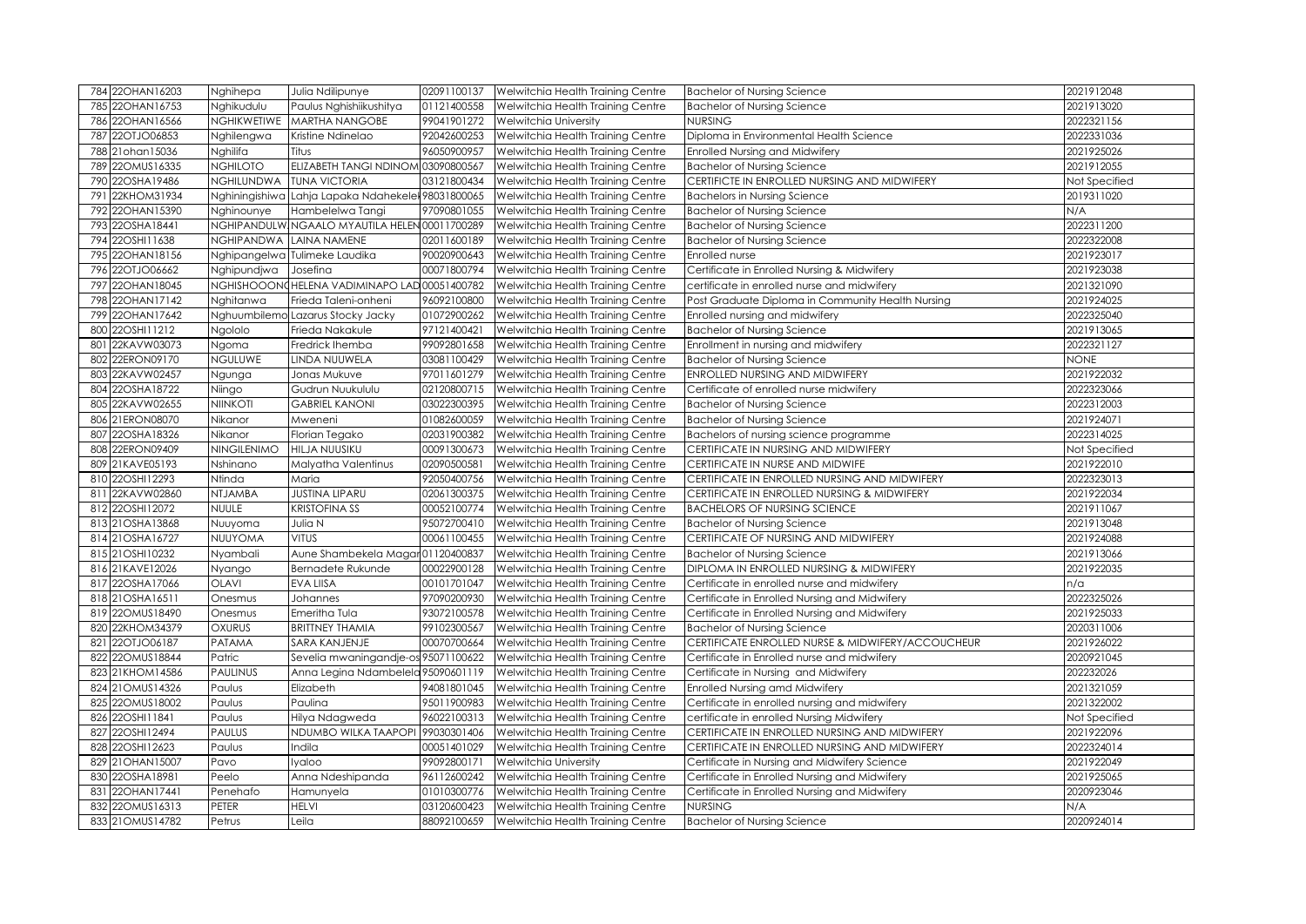|     | 784 22OHAN16203   | Nghihepa           | Julia Ndilipunye                    | 02091100137 | Welwitchia Health Training Centre | <b>Bachelor of Nursing Science</b>                | 2021912048    |
|-----|-------------------|--------------------|-------------------------------------|-------------|-----------------------------------|---------------------------------------------------|---------------|
|     | 785 22OHAN16753   | Nghikudulu         | Paulus Nghishiikushitya             | 01121400558 | Welwitchia Health Training Centre | <b>Bachelor of Nursing Science</b>                | 2021913020    |
|     | 786 22OHAN16566   | <b>NGHIKWETIWE</b> | MARTHA NANGOBE                      | 99041901272 | Welwitchia University             | NURSING                                           | 2022321156    |
|     | 787 22OTJO06853   | Nghilengwa         | Kristine Ndinelao                   | 92042600253 | Welwitchia Health Training Centre | Diploma in Environmental Health Science           | 2022331036    |
|     | 788 21 ohan 15036 | Nghilifa           | Titus                               | 96050900957 | Welwitchia Health Training Centre | <b>Enrolled Nursing and Midwifery</b>             | 2021925026    |
|     | 789 22OMUS16335   | <b>NGHILOTO</b>    | ELIZABETH TANGI NDINOM              | 03090800567 | Welwitchia Health Training Centre | <b>Bachelor of Nursing Science</b>                | 2021912055    |
|     | 790 22OSHA19486   | NGHILUNDWA         | <b>TUNA VICTORIA</b>                | 03121800434 | Welwitchia Health Training Centre | CERTIFICTE IN ENROLLED NURSING AND MIDWIFERY      | Not Specified |
|     | 791 22KHOM31934   | Nghiningishiwa     | Lahja Lapaka Ndahekelel 98031800065 |             | Welwitchia Health Training Centre | <b>Bachelors in Nursing Science</b>               | 2019311020    |
|     | 792 22OHAN15390   | Nghinounye         | Hambelelwa Tangi                    | 97090801055 | Welwitchia Health Training Centre | <b>Bachelor of Nursing Science</b>                | N/A           |
|     | 793 22OSHA18441   | NGHIPANDULW        | NGAALO MYAUTILA HELEN 00011700289   |             | Welwitchia Health Training Centre | <b>Bachelor of Nursing Science</b>                | 2022311200    |
|     | 794 22OSHI11638   | NGHIPANDWA         | LAINA NAMENE                        | 02011600189 | Welwitchia Health Training Centre | <b>Bachelor of Nursing Science</b>                | 2022322008    |
|     | 795 22OHAN18156   | Nghipangelwa       | Tulimeke Laudika                    | 90020900643 | Welwitchia Health Training Centre | Enrolled nurse                                    | 2021923017    |
|     | 796 22OTJO06662   | Nghipundjwa        | Josefina                            | 00071800794 | Welwitchia Health Training Centre | Certificate in Enrolled Nursing & Midwifery       | 2021923038    |
|     | 797 22OHAN18045   | NGHISHOOON         | HELENA VADIMINAPO LAD 00051400782   |             | Welwitchia Health Training Centre | certificate in enrolled nurse and midwifery       | 2021321090    |
|     | 798 22OHAN17142   | Nghitanwa          | Frieda Taleni-onheni                | 96092100800 | Welwitchia Health Training Centre | Post Graduate Diploma in Community Health Nursing | 2021924025    |
|     | 799 22OHAN17642   | Nghuumbilemo       | Lazarus Stocky Jacky                | 01072900262 | Welwitchia Health Training Centre | Enrolled nursing and midwifery                    | 2022325040    |
|     | 800 22OSHI11212   | Ngololo            | Frieda Nakakule                     | 97121400421 | Welwitchia Health Training Centre | <b>Bachelor of Nursing Science</b>                | 2021913065    |
| 801 | 22KAVW03073       | Ngoma              | Fredrick Ihemba                     | 99092801658 | Welwitchia Health Training Centre | Enrollment in nursing and midwifery               | 2022321127    |
| 802 | 22ERON09170       | <b>NGULUWE</b>     | LINDA NUUWELA                       | 03081100429 | Welwitchia Health Training Centre | <b>Bachelor of Nursing Science</b>                | <b>NONE</b>   |
|     | 803 22KAVW02457   | Ngunga             | Jonas Mukuve                        | 97011601279 | Welwitchia Health Training Centre | ENROLLED NURSING AND MIDWIFERY                    | 2021922032    |
|     | 804 22OSHA18722   | Niingo             | Gudrun Nuukululu                    | 02120800715 | Welwitchia Health Training Centre | Certificate of enrolled nurse midwifery           | 2022323066    |
|     | 805 22KAVW02655   | <b>NIINKOTI</b>    | <b>GABRIEL KANONI</b>               | 03022300395 | Welwitchia Health Training Centre | <b>Bachelor of Nursing Science</b>                | 2022312003    |
|     | 806 21ERON08070   | Nikanor            | Mweneni                             | 01082600059 | Welwitchia Health Training Centre | <b>Bachelor of Nursing Science</b>                | 2021924071    |
| 807 | 22OSHA18326       | Nikanor            | Florian Tegako                      | 02031900382 | Welwitchia Health Training Centre | Bachelors of nursing science programme            | 2022314025    |
|     | 808 22ERON09409   | <b>NINGILENIMO</b> | HILJA NUUSIKU                       | 00091300673 | Welwitchia Health Training Centre | CERTIFICATE IN NURSING AND MIDWIFERY              | Not Specified |
|     | 809 21KAVE05193   | Nshinano           | Malyatha Valentinus                 | 02090500581 | Welwitchia Health Training Centre | CERTIFICATE IN NURSE AND MIDWIFE                  | 2021922010    |
|     | 810 22OSHI12293   | Ntinda             | Maria                               | 92050400756 | Welwitchia Health Training Centre | CERTIFICATE IN ENROLLED NURSING AND MIDWIFERY     | 2022323013    |
|     | 811 22KAVW02860   | NTJAMBA            | <b>JUSTINA LIPARU</b>               | 02061300375 | Welwitchia Health Training Centre | CERTIFICATE IN ENROLLED NURSING & MIDWIFERY       | 2021922034    |
|     | 812 22OSHI12072   | <b>NUULE</b>       | <b>KRISTOFINA SS</b>                | 00052100774 | Welwitchia Health Training Centre | <b>BACHELORS OF NURSING SCIENCE</b>               | 2021911067    |
|     | 813 21 OSHA13868  | Nuuyoma            | Julia N                             | 95072700410 | Welwitchia Health Training Centre | <b>Bachelor of Nursing Science</b>                | 2021913048    |
|     | 814 21OSHA16727   | <b>NUUYOMA</b>     | <b>VITUS</b>                        | 00061100455 | Welwitchia Health Training Centre | CERTIFICATE OF NURSING AND MIDWIFERY              | 2021924088    |
|     | 815 21OSHI10232   | Nyambali           | Aune Shambekela Magar01120400837    |             | Welwitchia Health Training Centre | <b>Bachelor of Nursing Science</b>                | 2021913066    |
|     | 816 21KAVE12026   | Nyango             | Bernadete Rukunde                   | 00022900128 | Welwitchia Health Training Centre | DIPLOMA IN ENROLLED NURSING & MIDWIFERY           | 2021922035    |
|     | 817 22OSHA17066   | <b>OLAVI</b>       | EVA LIISA                           | 00101701047 | Welwitchia Health Training Centre | Certificate in enrolled nurse and midwifery       | n/a           |
|     | 818 21OSHA16511   | Onesmus            | Johannes                            | 97090200930 | Welwitchia Health Training Centre | Certificate in Enrolled Nursing and Midwifery     | 2022325026    |
|     | 819 220MUS18490   | Onesmus            | Emeritha Tula                       | 93072100578 | Welwitchia Health Training Centre | Certificate in Enrolled Nursing and Midwifery     | 2021925033    |
|     | 820 22KHOM34379   | <b>OXURUS</b>      | <b>BRITTNEY THAMIA</b>              | 99102300567 | Welwitchia Health Training Centre | <b>Bachelor of Nursing Science</b>                | 2020311006    |
|     | 821 22OTJO06187   | PATAMA             | SARA KANJENJE                       | 00070700664 | Welwitchia Health Training Centre | CERTIFICATE ENROLLED NURSE & MIDWIFERY/ACCOUCHEUR | 2021926022    |
|     | 822 22OMUS18844   | Patric             | Sevelia mwaningandje-os 95071100622 |             | Welwitchia Health Training Centre | Certificate in Enrolled nurse and midwifery       | 2020921045    |
|     | 823 21KHOM14586   | <b>PAULINUS</b>    | Anna Legina Ndambelela 95090601119  |             | Welwitchia Health Training Centre | Certificate in Nursing and Midwifery              | 202232026     |
|     | 824 21 OMUS14326  | Paulus             | Elizabeth                           | 94081801045 | Welwitchia Health Training Centre | Enrolled Nursing amd Midwifery                    | 2021321059    |
|     | 825 22OMUS18002   | Paulus             | Paulina                             | 95011900983 | Welwitchia Health Training Centre | Certificate in enrolled nursing and midwifery     | 2021322002    |
|     | 826 22OSHI11841   | Paulus             | Hilya Ndagweda                      | 96022100313 | Welwitchia Health Training Centre | certificate in enrolled Nursing Midwifery         | Not Specified |
|     | 827 22OSHI12494   | <b>PAULUS</b>      | NDUMBO WILKA TAAPOPI 99030301406    |             | Welwitchia Health Training Centre | CERTIFICATE IN ENROLLED NURSING AND MIDWIFERY     | 2021922096    |
|     | 828 22OSHI12623   | Paulus             | Indila                              | 00051401029 | Welwitchia Health Training Centre | CERTIFICATE IN ENROLLED NURSING AND MIDWIFERY     | 2022324014    |
|     | 829 21 OHAN 15007 | Pavo               | lyaloo                              | 99092800171 | Welwitchia University             | Certificate in Nursing and Midwifery Science      | 2021922049    |
|     | 830 22OSHA18981   | Peelo              | Anna Ndeshipanda                    | 96112600242 | Welwitchia Health Training Centre | Certificate in Enrolled Nursing and Midwifery     | 2021925065    |
|     | 831 22OHAN17441   | Penehafo           | Hamunyela                           | 01010300776 | Welwitchia Health Training Centre | Certificate in Enrolled Nursing and Midwifery     | 2020923046    |
|     | 832 22OMUS16313   | PETER              | HELVI                               | 03120600423 | Welwitchia Health Training Centre | <b>NURSING</b>                                    | N/A           |
|     | 833 21 OMUS14782  | Petrus             | Leila                               | 88092100659 | Welwitchia Health Training Centre | <b>Bachelor of Nursing Science</b>                | 2020924014    |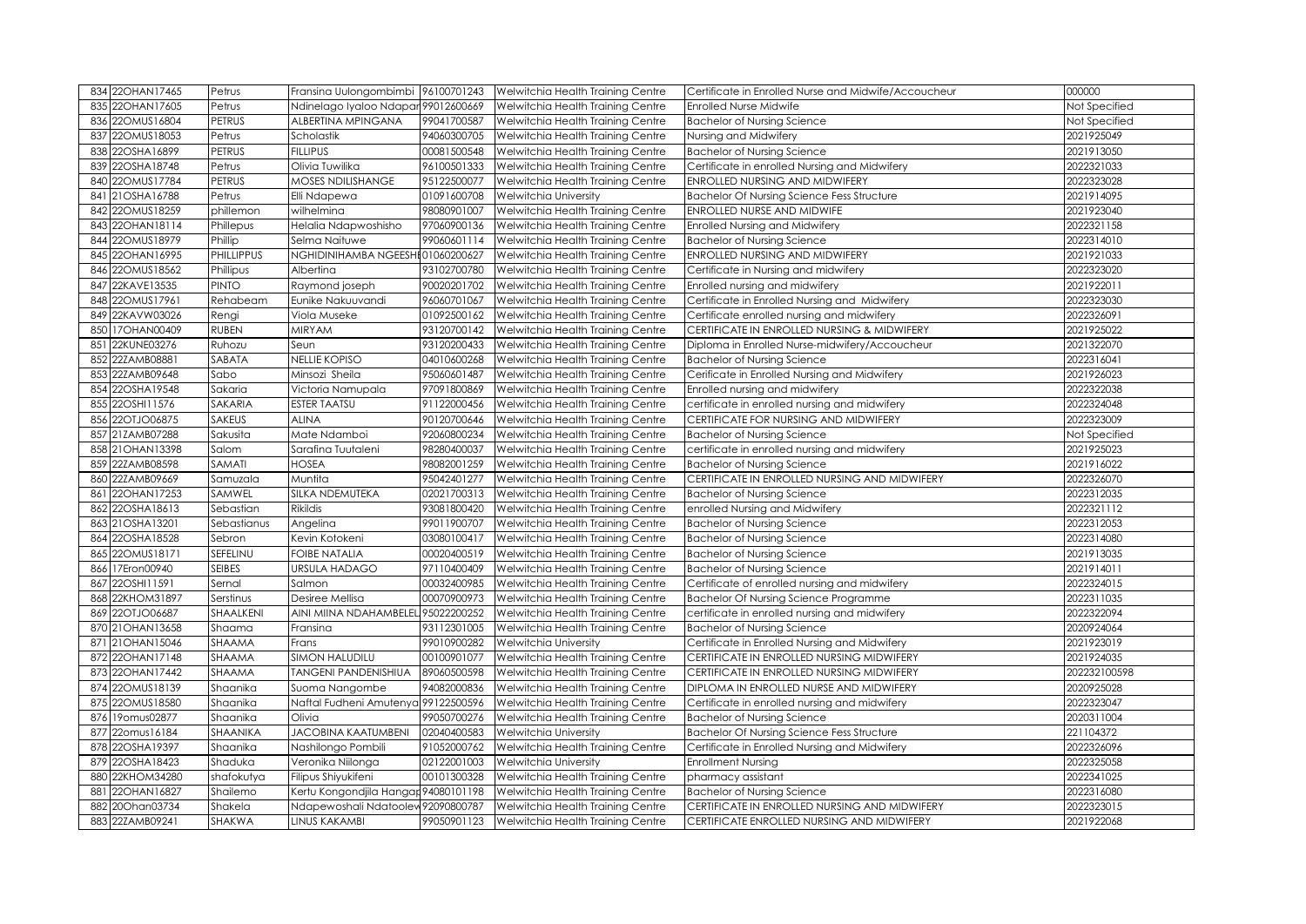| 834 22OHAN17465     | Petrus            | Fransina Uulongombimbi 96100701243   |             | Welwitchia Health Training Centre             | Certificate in Enrolled Nurse and Midwife/Accoucheur | 000000        |
|---------------------|-------------------|--------------------------------------|-------------|-----------------------------------------------|------------------------------------------------------|---------------|
| 22OHAN17605<br>835  | Petrus            | Ndinelago Iyaloo Ndapar 99012600669  |             | Welwitchia Health Training Centre             | <b>Enrolled Nurse Midwife</b>                        | Not Specified |
| 22OMUS16804<br>836  | <b>PETRUS</b>     | ALBERTINA MPINGANA                   | 99041700587 | Welwitchia Health Training Centre             | <b>Bachelor of Nursing Science</b>                   | Not Specified |
| 22OMUS18053<br>837  | Petrus            | Scholastik                           | 94060300705 | Welwitchia Health Training Centre             | Nursing and Midwifery                                | 2021925049    |
| 22OSHA16899<br>838  | <b>PETRUS</b>     | <b>FILLIPUS</b>                      | 00081500548 | Welwitchia Health Training Centre             | <b>Bachelor of Nursing Science</b>                   | 2021913050    |
| 22OSHA18748<br>839  | Petrus            | Olivia Tuwilika                      | 96100501333 | Welwitchia Health Training Centre             | Certificate in enrolled Nursing and Midwifery        | 2022321033    |
| 22OMUS17784<br>840  | PETRUS            | <b>MOSES NDILISHANGE</b>             | 95122500077 | Welwitchia Health Training Centre             | ENROLLED NURSING AND MIDWIFERY                       | 2022323028    |
| 21OSHA16788<br>841  | Petrus            | Elli Ndapewa                         | 01091600708 | <b>Welwitchia University</b>                  | <b>Bachelor Of Nursing Science Fess Structure</b>    | 2021914095    |
| 22OMUS18259<br>842  | phillemon         | wilhelmina                           | 98080901007 | Welwitchia Health Training Centre             | ENROLLED NURSE AND MIDWIFE                           | 2021923040    |
| 22OHAN18114<br>843  | Phillepus         | Helalia Ndapwoshisho                 | 97060900136 | Welwitchia Health Training Centre             | <b>Enrolled Nursing and Midwifery</b>                | 2022321158    |
| 22OMUS18979<br>844  | Phillip           | Selma Naituwe                        | 99060601114 | Welwitchia Health Training Centre             | <b>Bachelor of Nursing Science</b>                   | 2022314010    |
| 22OHAN16995<br>845  | <b>PHILLIPPUS</b> | NGHIDINIHAMBA NGEESHI 01060200627    |             | Welwitchia Health Training Centre             | ENROLLED NURSING AND MIDWIFERY                       | 2021921033    |
| 22OMUS18562<br>846  | Phillipus         | Albertina                            | 93102700780 | Welwitchia Health Training Centre             | Certificate in Nursing and midwifery                 | 2022323020    |
| 22KAVE13535<br>847  | PINTO             | Raymond joseph                       | 90020201702 | Welwitchia Health Training Centre             | Enrolled nursing and midwifery                       | 2021922011    |
| 22OMUS17961<br>848  | Rehabeam          | Eunike Nakuuvandi                    | 96060701067 | Welwitchia Health Training Centre             | Certificate in Enrolled Nursing and Midwifery        | 2022323030    |
| 22KAVW03026<br>849  | Rengi             | Viola Museke                         | 01092500162 | Welwitchia Health Training Centre             | Certificate enrolled nursing and midwifery           | 2022326091    |
| 17OHAN00409<br>850  | <b>RUBEN</b>      | <b>MIRYAM</b>                        | 93120700142 | Welwitchia Health Training Centre             | CERTIFICATE IN ENROLLED NURSING & MIDWIFERY          | 2021925022    |
| 22KUNE03276<br>851  | Ruhozu            | Seun                                 | 93120200433 | Welwitchia Health Training Centre             | Diploma in Enrolled Nurse-midwifery/Accoucheur       | 2021322070    |
| 22ZAMB08881<br>852  | SABATA            | <b>NELLIE KOPISO</b>                 | 04010600268 | Welwitchia Health Training Centre             | <b>Bachelor of Nursing Science</b>                   | 2022316041    |
| 22ZAMB09648<br>853  | Sabo              | Minsozi Sheila                       | 95060601487 | Welwitchia Health Training Centre             | Cerificate in Enrolled Nursing and Midwifery         | 2021926023    |
| 22OSHA19548<br>854  | Sakaria           | Victoria Namupala                    | 97091800869 | Welwitchia Health Training Centre             | Enrolled nursing and midwifery                       | 2022322038    |
| 855 22OSHI11576     | <b>SAKARIA</b>    | <b>ESTER TAATSU</b>                  | 91122000456 | Welwitchia Health Training Centre             | certificate in enrolled nursing and midwifery        | 2022324048    |
| 22OTJO06875<br>856  | <b>SAKEUS</b>     | <b>ALINA</b>                         | 90120700646 | Welwitchia Health Training Centre             | CERTIFICATE FOR NURSING AND MIDWIFERY                | 2022323009    |
| 21ZAMB07288<br>857  | Sakusita          | Mate Ndamboi                         | 92060800234 | Welwitchia Health Training Centre             | <b>Bachelor of Nursing Science</b>                   | Not Specified |
| 858 21 OHAN 13398   | Salom             | Sarafina Tuutaleni                   | 98280400037 | Welwitchia Health Training Centre             | certificate in enrolled nursing and midwifery        | 2021925023    |
| 22ZAMB08598<br>859  | SAMATI            | <b>HOSEA</b>                         | 98082001259 | Welwitchia Health Training Centre             | <b>Bachelor of Nursing Science</b>                   | 2021916022    |
| 22ZAMB09669<br>860  | Samuzala          | Muntita                              | 95042401277 | Welwitchia Health Training Centre             | CERTIFICATE IN ENROLLED NURSING AND MIDWIFERY        | 2022326070    |
| 22OHAN17253<br>861  | SAMWEL            | SILKA NDEMUTEKA                      | 02021700313 | Welwitchia Health Training Centre             | <b>Bachelor of Nursing Science</b>                   | 2022312035    |
| 22OSHA18613<br>8621 | Sebastian         | <b>Rikildis</b>                      | 93081800420 | Welwitchia Health Training Centre             | enrolled Nursing and Midwifery                       | 2022321112    |
| 863 21OSHA13201     | Sebastianus       | Angelina                             | 99011900707 | Welwitchia Health Training Centre             | <b>Bachelor of Nursing Science</b>                   | 2022312053    |
| 22OSHA18528<br>864  | Sebron            | Kevin Kotokeni                       | 03080100417 | Welwitchia Health Training Centre             | <b>Bachelor of Nursing Science</b>                   | 2022314080    |
| 865 22OMUS18171     | SEFELINU          | <b>FOIBE NATALIA</b>                 | 00020400519 | Welwitchia Health Training Centre             | <b>Bachelor of Nursing Science</b>                   | 2021913035    |
| 17Eron00940<br>866  | <b>SEIBES</b>     | <b>URSULA HADAGO</b>                 | 97110400409 | Welwitchia Health Training Centre             | <b>Bachelor of Nursing Science</b>                   | 2021914011    |
| 22OSHI11591<br>867  | Sernal            | Salmon                               | 00032400985 | Welwitchia Health Training Centre             | Certificate of enrolled nursing and midwifery        | 2022324015    |
| 22KHOM31897<br>868  | Serstinus         | Desiree Mellisa                      | 00070900973 | Welwitchia Health Training Centre             | <b>Bachelor Of Nursing Science Programme</b>         | 2022311035    |
| 22OTJO06687<br>8691 | SHAALKENI         | AINI MIINA NDAHAMBELEL 95022200252   |             | Welwitchia Health Training Centre             | certificate in enrolled nursing and midwifery        | 2022322094    |
| 21OHAN13658<br>870  | Shaama            | Fransina                             | 93112301005 | Welwitchia Health Training Centre             | <b>Bachelor of Nursing Science</b>                   | 2020924064    |
| 871 21 OHAN 15046   | SHAAMA            | Frans                                | 99010900282 | <b>Welwitchia University</b>                  | Certificate in Enrolled Nursing and Midwifery        | 2021923019    |
| 872 22OHAN17148     | SHAAMA            | <b>SIMON HALUDILU</b>                | 00100901077 | Welwitchia Health Training Centre             | CERTIFICATE IN ENROLLED NURSING MIDWIFERY            | 2021924035    |
| 873 22OHAN17442     | SHAAMA            | <b>TANGENI PANDENISHIUA</b>          | 89060500598 | Welwitchia Health Training Centre             | CERTIFICATE IN ENROLLED NURSING MIDWIFERY            | 202232100598  |
| 874 220MUS18139     | Shaanika          | Suoma Nangombe                       | 94082000836 | Welwitchia Health Training Centre             | DIPLOMA IN ENROLLED NURSE AND MIDWIFERY              | 2020925028    |
| 22OMUS18580<br>875  | Shaanika          | Naftal Fudheni Amutenya 99122500596  |             | Welwitchia Health Training Centre             | Certificate in enrolled nursing and midwifery        | 2022323047    |
| 19omus02877<br>876  | Shaanika          | Olivia                               | 99050700276 | Welwitchia Health Training Centre             | <b>Bachelor of Nursing Science</b>                   | 2020311004    |
| 877 22omus16184     | SHAANIKA          | <b>JACOBINA KAATUMBENI</b>           | 02040400583 | Welwitchia University                         | <b>Bachelor Of Nursing Science Fess Structure</b>    | 221104372     |
| 878 22OSHA19397     | Shaanika          | Nashilongo Pombili                   | 91052000762 | Welwitchia Health Training Centre             | Certificate in Enrolled Nursing and Midwifery        | 2022326096    |
| 879 22OSHA18423     | Shaduka           | Veronika Niilonga                    | 02122001003 | <b>Welwitchia University</b>                  | <b>Enrollment Nursing</b>                            | 2022325058    |
| 22KHOM34280<br>880  | shafokutya        | Filipus Shiyukifeni                  | 00101300328 | Welwitchia Health Training Centre             | pharmacy assistant                                   | 2022341025    |
| 22OHAN16827<br>881  | Shailemo          | Kertu Kongondjila Hangar 94080101198 |             | Welwitchia Health Training Centre             | <b>Bachelor of Nursing Science</b>                   | 2022316080    |
| 20Ohan03734<br>882  | Shakela           | Ndapewoshali Ndatoolew 92090800787   |             | Welwitchia Health Training Centre             | CERTIFICATE IN ENROLLED NURSING AND MIDWIFERY        | 2022323015    |
| 883 22ZAMB09241     | <b>SHAKWA</b>     | <b>LINUS KAKAMBI</b>                 |             | 99050901123 Welwitchia Health Training Centre | CERTIFICATE ENROLLED NURSING AND MIDWIFERY           | 2021922068    |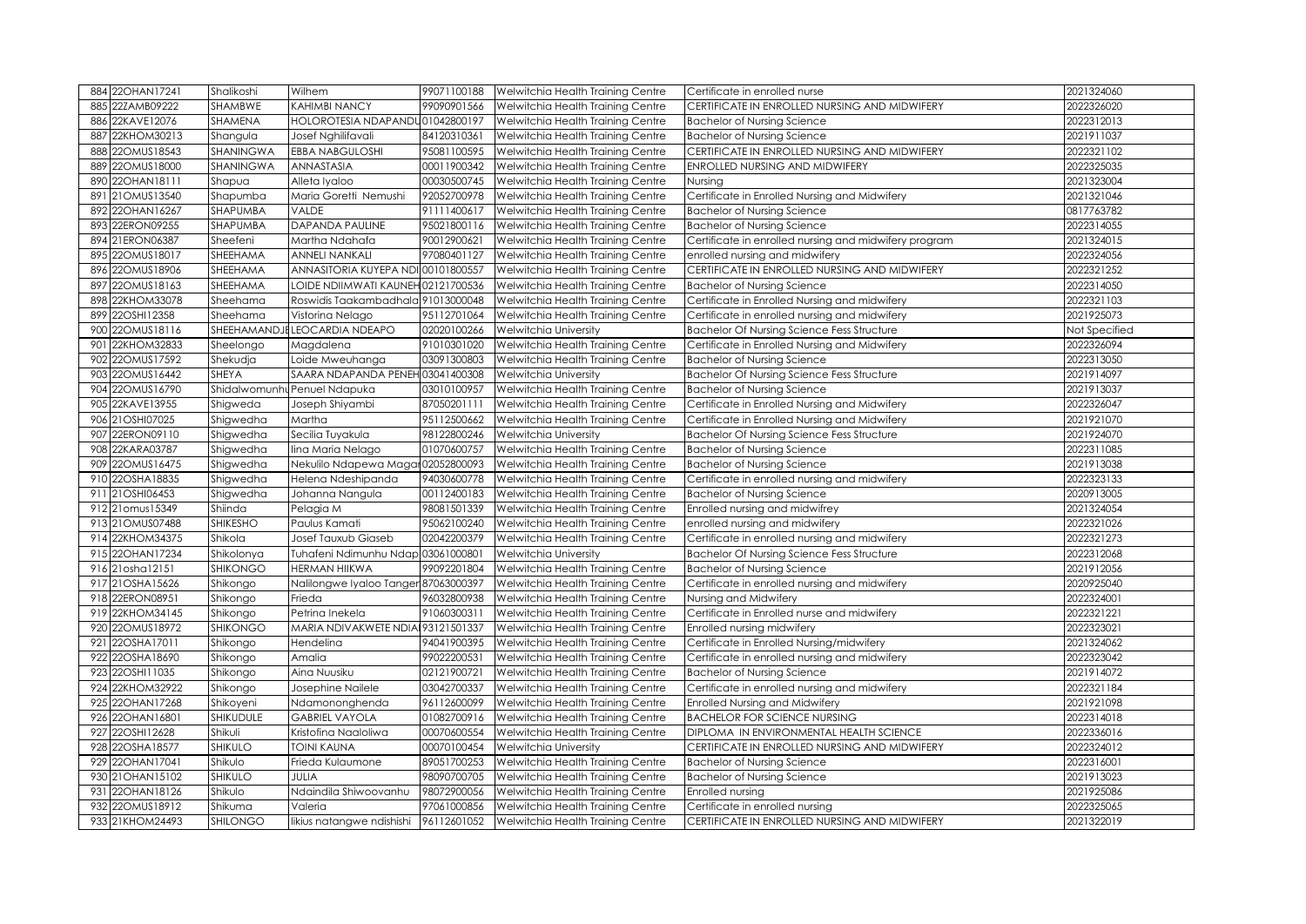| 884 22OHAN17241    | Shalikoshi      | Wilhem                               | 99071100188 | Welwitchia Health Training Centre                                           | Certificate in enrolled nurse                         | 2021324060    |
|--------------------|-----------------|--------------------------------------|-------------|-----------------------------------------------------------------------------|-------------------------------------------------------|---------------|
| 22ZAMB09222<br>885 | SHAMBWE         | <b>KAHIMBI NANCY</b>                 | 99090901566 | Welwitchia Health Training Centre                                           | CERTIFICATE IN ENROLLED NURSING AND MIDWIFERY         | 2022326020    |
| 22KAVE12076<br>886 | SHAMENA         | HOLOROTESIA NDAPANDU01042800197      |             | Welwitchia Health Training Centre                                           | <b>Bachelor of Nursing Science</b>                    | 2022312013    |
| 22KHOM30213<br>887 | Shangula        | Josef Nghilifavali                   | 84120310361 | Welwitchia Health Training Centre                                           | <b>Bachelor of Nursing Science</b>                    | 2021911037    |
| 22OMUS18543<br>888 | SHANINGWA       | <b>EBBA NABGULOSHI</b>               | 95081100595 | Welwitchia Health Training Centre                                           | CERTIFICATE IN ENROLLED NURSING AND MIDWIFERY         | 2022321102    |
| 22OMUS18000<br>889 | SHANINGWA       | ANNASTASIA                           | 00011900342 | Welwitchia Health Training Centre                                           | ENROLLED NURSING AND MIDWIFERY                        | 2022325035    |
| 22OHAN18111<br>890 | Shapua          | Alleta Iyaloo                        | 00030500745 | Welwitchia Health Training Centre                                           | Nursing                                               | 2021323004    |
| 21OMUS13540<br>891 | Shapumba        | Maria Goretti Nemushi                | 92052700978 | Welwitchia Health Training Centre                                           | Certificate in Enrolled Nursing and Midwifery         | 2021321046    |
| 22OHAN16267<br>892 | SHAPUMBA        | <b>VALDE</b>                         | 91111400617 | Welwitchia Health Training Centre                                           | <b>Bachelor of Nursing Science</b>                    | 0817763782    |
| 22ERON09255<br>893 | SHAPUMBA        | <b>DAPANDA PAULINE</b>               | 95021800116 | Welwitchia Health Training Centre                                           | <b>Bachelor of Nursing Science</b>                    | 2022314055    |
| 21ERON06387<br>894 | Sheefeni        | Martha Ndahafa                       | 90012900621 | Welwitchia Health Training Centre                                           | Certificate in enrolled nursing and midwifery program | 2021324015    |
| 22OMUS18017<br>895 | SHEEHAMA        | <b>ANNELI NANKALI</b>                | 97080401127 | Welwitchia Health Training Centre                                           | enrolled nursing and midwifery                        | 2022324056    |
| 22OMUS18906<br>896 | SHEEHAMA        | ANNASITORIA KUYEPA NDI 00101800557   |             | Welwitchia Health Training Centre                                           | CERTIFICATE IN ENROLLED NURSING AND MIDWIFERY         | 2022321252    |
| 22OMUS18163<br>897 | SHEEHAMA        | LOIDE NDIIMWATI KAUNEH 02121700536   |             | Welwitchia Health Training Centre                                           | <b>Bachelor of Nursing Science</b>                    | 2022314050    |
| 22KHOM33078<br>898 | Sheehama        | Roswidis Taakambadhala 91013000048   |             | Welwitchia Health Training Centre                                           | Certificate in Enrolled Nursing and midwifery         | 2022321103    |
| 22OSHI12358<br>899 | Sheehama        | Vistorina Nelago                     | 95112701064 | Welwitchia Health Training Centre                                           | Certificate in enrolled nursing and midwifery         | 2021925073    |
| 22OMUS18116<br>900 |                 | SHEEHAMANDJE LEOCARDIA NDEAPO        | 02020100266 | Welwitchia University                                                       | <b>Bachelor Of Nursing Science Fess Structure</b>     | Not Specified |
| 22KHOM32833<br>901 | Sheelongo       | Magdalena                            | 91010301020 | Welwitchia Health Training Centre                                           | Certificate in Enrolled Nursing and Midwifery         | 2022326094    |
| 22OMUS17592<br>902 | Shekudja        | Loide Mweuhanga                      | 03091300803 | Welwitchia Health Training Centre                                           | <b>Bachelor of Nursing Science</b>                    | 2022313050    |
| 22OMUS16442<br>903 | SHEYA           | SAARA NDAPANDA PENEH 03041400308     |             | Welwitchia University                                                       | <b>Bachelor Of Nursing Science Fess Structure</b>     | 2021914097    |
| 22OMUS16790<br>904 |                 | Shidalwomunhu Penuel Ndapuka         | 03010100957 | Welwitchia Health Training Centre                                           | <b>Bachelor of Nursing Science</b>                    | 2021913037    |
| 905 22KAVE13955    | Shigweda        | Joseph Shiyambi                      | 87050201111 | Welwitchia Health Training Centre                                           | Certificate in Enrolled Nursing and Midwifery         | 2022326047    |
| 906 21OSHI07025    | Shigwedha       | Martha                               | 95112500662 | Welwitchia Health Training Centre                                           | Certificate in Enrolled Nursing and Midwifery         | 2021921070    |
| 22ERON09110<br>907 | Shigwedha       | Secilia Tuyakula                     | 98122800246 | Welwitchia University                                                       | <b>Bachelor Of Nursing Science Fess Structure</b>     | 2021924070    |
| 22KARA03787<br>908 | Shigwedha       | lina Maria Nelago                    | 01070600757 | Welwitchia Health Training Centre                                           | <b>Bachelor of Nursing Science</b>                    | 2022311085    |
| 22OMUS16475<br>909 | Shigwedha       | Nekulilo Ndapewa Magar02052800093    |             | Welwitchia Health Training Centre                                           | <b>Bachelor of Nursing Science</b>                    | 2021913038    |
| 22OSHA18835<br>910 | Shigwedha       | Helena Ndeshipanda                   | 94030600778 | Welwitchia Health Training Centre                                           | Certificate in enrolled nursing and midwifery         | 2022323133    |
| 911 21OSHI06453    | Shigwedha       | Johanna Nangula                      | 00112400183 | Welwitchia Health Training Centre                                           | <b>Bachelor of Nursing Science</b>                    | 2020913005    |
| 912 21 omus 15349  | Shiinda         | Pelagia M                            | 98081501339 | Welwitchia Health Training Centre                                           | Enrolled nursing and midwifrey                        | 2021324054    |
| 913 21 OMUS07488   | SHIKESHO        | Paulus Kamati                        | 95062100240 | Welwitchia Health Training Centre                                           | enrolled nursing and midwifery                        | 2022321026    |
| 914 22KHOM34375    | Shikola         | Josef Tauxub Giaseb                  | 02042200379 | Welwitchia Health Training Centre                                           | Certificate in enrolled nursing and midwifery         | 2022321273    |
| 915 22OHAN17234    | Shikolonya      | Tuhafeni Ndimunhu Ndap 03061000801   |             | Welwitchia University                                                       | <b>Bachelor Of Nursing Science Fess Structure</b>     | 2022312068    |
| 916 21osha12151    | <b>SHIKONGO</b> | <b>HERMAN HIIKWA</b>                 | 99092201804 | Welwitchia Health Training Centre                                           | <b>Bachelor of Nursing Science</b>                    | 2021912056    |
| 917 21 OSHA15626   | Shikongo        | Nalilongwe Iyaloo Tanger 87063000397 |             | Welwitchia Health Training Centre                                           | Certificate in enrolled nursing and midwifery         | 2020925040    |
| 22ERON08951<br>918 | Shikongo        | Frieda                               | 96032800938 | Welwitchia Health Training Centre                                           | Nursing and Midwifery                                 | 2022324001    |
| 919 22KHOM34145    | Shikongo        | Petrina Inekela                      | 91060300311 | Welwitchia Health Training Centre                                           | Certificate in Enrolled nurse and midwifery           | 2022321221    |
| 22OMUS18972<br>920 | SHIKONGO        | MARIA NDIVAKWETE NDIA 93121501337    |             | Welwitchia Health Training Centre                                           | Enrolled nursing midwifery                            | 2022323021    |
| 921 22OSHA17011    | Shikongo        | Hendelina                            | 94041900395 | Welwitchia Health Training Centre                                           | Certificate in Enrolled Nursing/midwifery             | 2021324062    |
| 22OSHA18690<br>922 | Shikongo        | Amalia                               | 99022200531 | Welwitchia Health Training Centre                                           | Certificate in enrolled nursing and midwifery         | 2022323042    |
| 923 22OSHI11035    | Shikongo        | Aina Nuusiku                         | 02121900721 | Welwitchia Health Training Centre                                           | <b>Bachelor of Nursing Science</b>                    | 2021914072    |
| 924 22KHOM32922    | Shikongo        | Josephine Nailele                    | 03042700337 | Welwitchia Health Training Centre                                           | Certificate in enrolled nursing and midwifery         | 2022321184    |
| 925 22OHAN17268    | Shikoyeni       | Ndamononghenda                       | 96112600099 | Welwitchia Health Training Centre                                           | <b>Enrolled Nursing and Midwifery</b>                 | 2021921098    |
| 926 22OHAN16801    | SHIKUDULE       | <b>GABRIEL VAYOLA</b>                | 01082700916 | Welwitchia Health Training Centre                                           | <b>BACHELOR FOR SCIENCE NURSING</b>                   | 2022314018    |
| 927 22OSHI12628    | Shikuli         | Kristofina Naaloliwa                 | 00070600554 | Welwitchia Health Training Centre                                           | DIPLOMA IN ENVIRONMENTAL HEALTH SCIENCE               | 2022336016    |
| 928<br>22OSHA18577 | SHIKULO         | <b>TOINI KAUNA</b>                   | 00070100454 | Welwitchia University                                                       | CERTIFICATE IN ENROLLED NURSING AND MIDWIFERY         | 2022324012    |
| 929 22OHAN17041    | Shikulo         | Frieda Kulaumone                     | 89051700253 | Welwitchia Health Training Centre                                           | <b>Bachelor of Nursing Science</b>                    | 2022316001    |
| 930 21 OHAN 15102  | SHIKULO         | JULIA                                | 98090700705 | Welwitchia Health Training Centre                                           | <b>Bachelor of Nursing Science</b>                    | 2021913023    |
| 22OHAN18126<br>931 | Shikulo         | Ndaindila Shiwoovanhu                | 98072900056 | Welwitchia Health Training Centre                                           | Enrolled nursing                                      | 2021925086    |
| 932 22OMUS18912    | Shikuma         | Valeria                              | 97061000856 | Welwitchia Health Training Centre                                           | Certificate in enrolled nursing                       | 2022325065    |
| 933 21KHOM24493    | <b>SHILONGO</b> |                                      |             | likius natangwe ndishishi   96112601052   Welwitchia Health Training Centre | CERTIFICATE IN ENROLLED NURSING AND MIDWIFERY         | 2021322019    |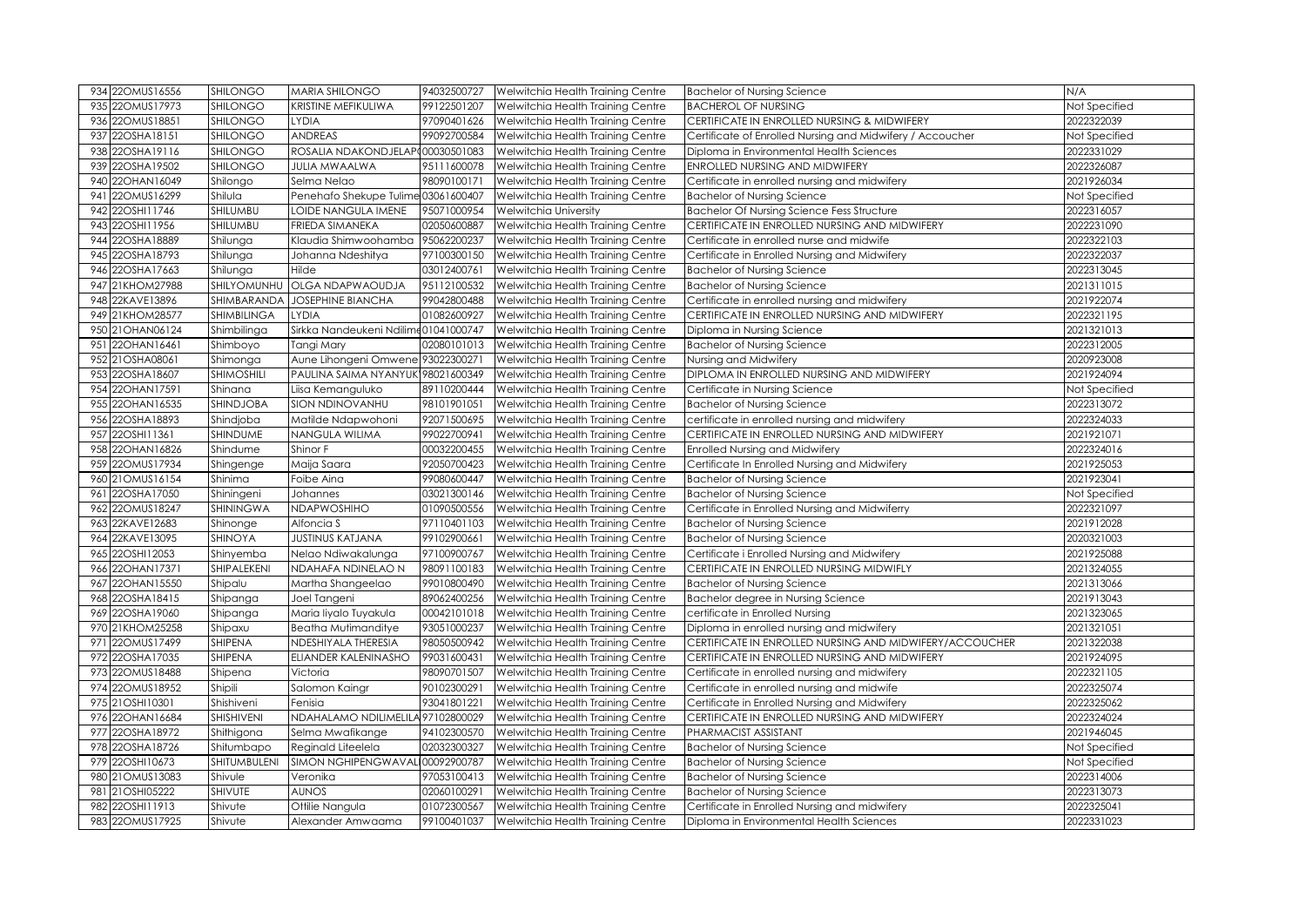| 934 22OMUS16556    | <b>SHILONGO</b>   | MARIA SHILONGO                       | 94032500727 | Welwitchia Health Training Centre | <b>Bachelor of Nursing Science</b>                        | N/A           |
|--------------------|-------------------|--------------------------------------|-------------|-----------------------------------|-----------------------------------------------------------|---------------|
| 935 22OMUS17973    | SHILONGO          | KRISTINE MEFIKULIWA                  | 99122501207 | Welwitchia Health Training Centre | <b>BACHEROL OF NURSING</b>                                | Not Specified |
| 22OMUS18851<br>936 | SHILONGO          | <b>LYDIA</b>                         | 97090401626 | Welwitchia Health Training Centre | CERTIFICATE IN ENROLLED NURSING & MIDWIFERY               | 2022322039    |
| 22OSHA18151<br>937 | SHILONGO          | <b>ANDREAS</b>                       | 99092700584 | Welwitchia Health Training Centre | Certificate of Enrolled Nursing and Midwifery / Accoucher | Not Specified |
| 22OSHA19116<br>938 | SHILONGO          | ROSALIA NDAKONDJELAP000030501083     |             | Welwitchia Health Training Centre | Diploma in Environmental Health Sciences                  | 2022331029    |
| 939 22OSHA19502    | SHILONGO          | <b>JULIA MWAALWA</b>                 | 95111600078 | Welwitchia Health Training Centre | ENROLLED NURSING AND MIDWIFERY                            | 2022326087    |
| 22OHAN16049<br>940 | Shilongo          | Selma Nelao                          | 98090100171 | Welwitchia Health Training Centre | Certificate in enrolled nursing and midwifery             | 2021926034    |
| 22OMUS16299<br>941 | Shilula           | Penehafo Shekupe Tulime 03061600407  |             | Welwitchia Health Training Centre | <b>Bachelor of Nursing Science</b>                        | Not Specified |
| 22OSHI11746<br>942 | SHILUMBU          | LOIDE NANGULA IMENE                  | 95071000954 | <b>Welwitchia University</b>      | <b>Bachelor Of Nursing Science Fess Structure</b>         | 2022316057    |
| 22OSHI11956<br>943 | SHILUMBU          | <b>FRIEDA SIMANEKA</b>               | 02050600887 | Welwitchia Health Training Centre | CERTIFICATE IN ENROLLED NURSING AND MIDWIFERY             | 2022231090    |
| 22OSHA18889<br>944 | Shilunga          | Klaudia Shimwoohamba                 | 95062200237 | Welwitchia Health Training Centre | Certificate in enrolled nurse and midwife                 | 2022322103    |
| 945 22OSHA18793    | Shilunga          | Johanna Ndeshitya                    | 97100300150 | Welwitchia Health Training Centre | Certificate in Enrolled Nursing and Midwifery             | 2022322037    |
| 946 22OSHA17663    | Shilunga          | Hilde                                | 03012400761 | Welwitchia Health Training Centre | <b>Bachelor of Nursing Science</b>                        | 2022313045    |
| 947 21KHOM27988    | SHILYOMUNHU       | OLGA NDAPWAOUDJA                     | 95112100532 | Welwitchia Health Training Centre | <b>Bachelor of Nursing Science</b>                        | 2021311015    |
| 948 22KAVE13896    | SHIMBARANDA       | <b>JOSEPHINE BIANCHA</b>             | 99042800488 | Welwitchia Health Training Centre | Certificate in enrolled nursing and midwifery             | 2021922074    |
| 949 21KHOM28577    | SHIMBILINGA       | <b>LYDIA</b>                         | 01082600927 | Welwitchia Health Training Centre | CERTIFICATE IN ENROLLED NURSING AND MIDWIFERY             | 2022321195    |
| 950 21 OHAN 06124  | Shimbilinga       | Sirkka Nandeukeni Ndilimc01041000747 |             | Welwitchia Health Training Centre | Diploma in Nursing Science                                | 2021321013    |
| 951 22OHAN16461    | Shimboyo          | Tangi Mary                           | 02080101013 | Welwitchia Health Training Centre | <b>Bachelor of Nursing Science</b>                        | 2022312005    |
| 952 21OSHA08061    | Shimonga          | Aune Lihongeni Omwene 93022300271    |             | Welwitchia Health Training Centre | Nursing and Midwifery                                     | 2020923008    |
| 953 22OSHA18607    | <b>SHIMOSHILI</b> | PAULINA SAIMA NYANYUK 98021600349    |             | Welwitchia Health Training Centre | DIPLOMA IN ENROLLED NURSING AND MIDWIFERY                 | 2021924094    |
| 22OHAN17591<br>954 | Shinana           | Liisa Kemanguluko                    | 89110200444 | Welwitchia Health Training Centre | Certificate in Nursing Science                            | Not Specified |
| 955 22OHAN16535    | SHINDJOBA         | <b>SION NDINOVANHU</b>               | 98101901051 | Welwitchia Health Training Centre | <b>Bachelor of Nursing Science</b>                        | 2022313072    |
| 956 22OSHA18893    | Shindjoba         | Matilde Ndapwohoni                   | 92071500695 | Welwitchia Health Training Centre | certificate in enrolled nursing and midwifery             | 2022324033    |
| 957 22OSHI11361    | SHINDUME          | <b>NANGULA WILIMA</b>                | 99022700941 | Welwitchia Health Training Centre | CERTIFICATE IN ENROLLED NURSING AND MIDWIFERY             | 2021921071    |
| 958 22OHAN16826    | Shindume          | Shinor F                             | 00032200455 | Welwitchia Health Training Centre | Enrolled Nursing and Midwifery                            | 2022324016    |
| 959 22OMUS17934    | Shingenge         | Maija Saara                          | 92050700423 | Welwitchia Health Training Centre | Certificate In Enrolled Nursing and Midwifery             | 2021925053    |
| 960 21 OMUS16154   | Shinima           | Foibe Aina                           | 99080600447 | Welwitchia Health Training Centre | <b>Bachelor of Nursing Science</b>                        | 2021923041    |
| 961 22OSHA17050    | Shiningeni        | Johannes                             | 03021300146 | Welwitchia Health Training Centre | <b>Bachelor of Nursing Science</b>                        | Not Specified |
| 962 22OMUS18247    | SHININGWA         | NDAPWOSHIHO                          | 01090500556 | Welwitchia Health Training Centre | Certificate in Enrolled Nursing and Midwiferry            | 2022321097    |
| 963 22KAVE12683    | Shinonge          | Alfoncia S                           | 97110401103 | Welwitchia Health Training Centre | <b>Bachelor of Nursing Science</b>                        | 2021912028    |
| 964 22KAVE13095    | SHINOYA           | <b>JUSTINUS KATJANA</b>              | 99102900661 | Welwitchia Health Training Centre | <b>Bachelor of Nursing Science</b>                        | 2020321003    |
| 22OSHI12053<br>965 | Shinyemba         | Nelao Ndiwakalunga                   | 97100900767 | Welwitchia Health Training Centre | Certificate i Enrolled Nursing and Midwifery              | 2021925088    |
| 966 22OHAN17371    | SHIPALEKENI       | NDAHAFA NDINELAO N                   | 98091100183 | Welwitchia Health Training Centre | CERTIFICATE IN ENROLLED NURSING MIDWIFLY                  | 2021324055    |
| 22OHAN15550<br>967 | Shipalu           | Martha Shangeelao                    | 99010800490 | Welwitchia Health Training Centre | <b>Bachelor of Nursing Science</b>                        | 2021313066    |
| 22OSHA18415<br>968 | Shipanga          | Joel Tangeni                         | 89062400256 | Welwitchia Health Training Centre | Bachelor degree in Nursing Science                        | 2021913043    |
| 969 22OSHA19060    | Shipanga          | Maria liyalo Tuyakula                | 00042101018 | Welwitchia Health Training Centre | certificate in Enrolled Nursing                           | 2021323065    |
| 21KHOM25258<br>970 | Shipaxu           | <b>Beatha Mutimanditye</b>           | 93051000237 | Welwitchia Health Training Centre | Diploma in enrolled nursing and midwifery                 | 2021321051    |
| 971 22OMUS17499    | SHIPENA           | NDESHIYALA THERESIA                  | 98050500942 | Welwitchia Health Training Centre | CERTIFICATE IN ENROLLED NURSING AND MIDWIFERY/ACCOUCHER   | 2021322038    |
| 22OSHA17035<br>972 | SHIPENA           | ELIANDER KALENINASHO                 | 99031600431 | Welwitchia Health Training Centre | CERTIFICATE IN ENROLLED NURSING AND MIDWIFERY             | 2021924095    |
| 973 22OMUS18488    | Shipena           | Victoria                             | 98090701507 | Welwitchia Health Training Centre | Certificate in enrolled nursing and midwifery             | 2022321105    |
| 974 22OMUS18952    | Shipili           | Salomon Kaingr                       | 90102300291 | Welwitchia Health Training Centre | Certificate in enrolled nursing and midwife               | 2022325074    |
| 975 21OSHI10301    | Shishiveni        | Fenisia                              | 93041801221 | Welwitchia Health Training Centre | Certificate in Enrolled Nursing and Midwifery             | 2022325062    |
| 976 22OHAN16684    | SHISHIVENI        | NDAHALAMO NDILIMELILA 97102800029    |             | Welwitchia Health Training Centre | CERTIFICATE IN ENROLLED NURSING AND MIDWIFERY             | 2022324024    |
| 22OSHA18972<br>977 | Shithigona        | Selma Mwafikange                     | 94102300570 | Welwitchia Health Training Centre | PHARMACIST ASSISTANT                                      | 2021946045    |
| 978 22OSHA18726    | Shitumbapo        | Reginald Liteelela                   | 02032300327 | Welwitchia Health Training Centre | <b>Bachelor of Nursing Science</b>                        | Not Specified |
| 22OSHI10673<br>979 | SHITUMBULENI      | SIMON NGHIPENGWAVALI00092900787      |             | Welwitchia Health Training Centre | <b>Bachelor of Nursing Science</b>                        | Not Specified |
| 980 21 OMUS13083   | Shivule           | Veronika                             | 97053100413 | Welwitchia Health Training Centre | <b>Bachelor of Nursing Science</b>                        | 2022314006    |
| 21OSHI05222<br>981 | <b>SHIVUTE</b>    | <b>AUNOS</b>                         | 02060100291 | Welwitchia Health Training Centre | <b>Bachelor of Nursing Science</b>                        | 2022313073    |
| 982 22OSHI11913    | Shivute           | Ottilie Nangula                      | 01072300567 | Welwitchia Health Training Centre | Certificate in Enrolled Nursing and midwifery             | 2022325041    |
| 983 22OMUS17925    | Shivute           | Alexander Amwaama                    | 99100401037 | Welwitchia Health Training Centre | Diploma in Environmental Health Sciences                  | 2022331023    |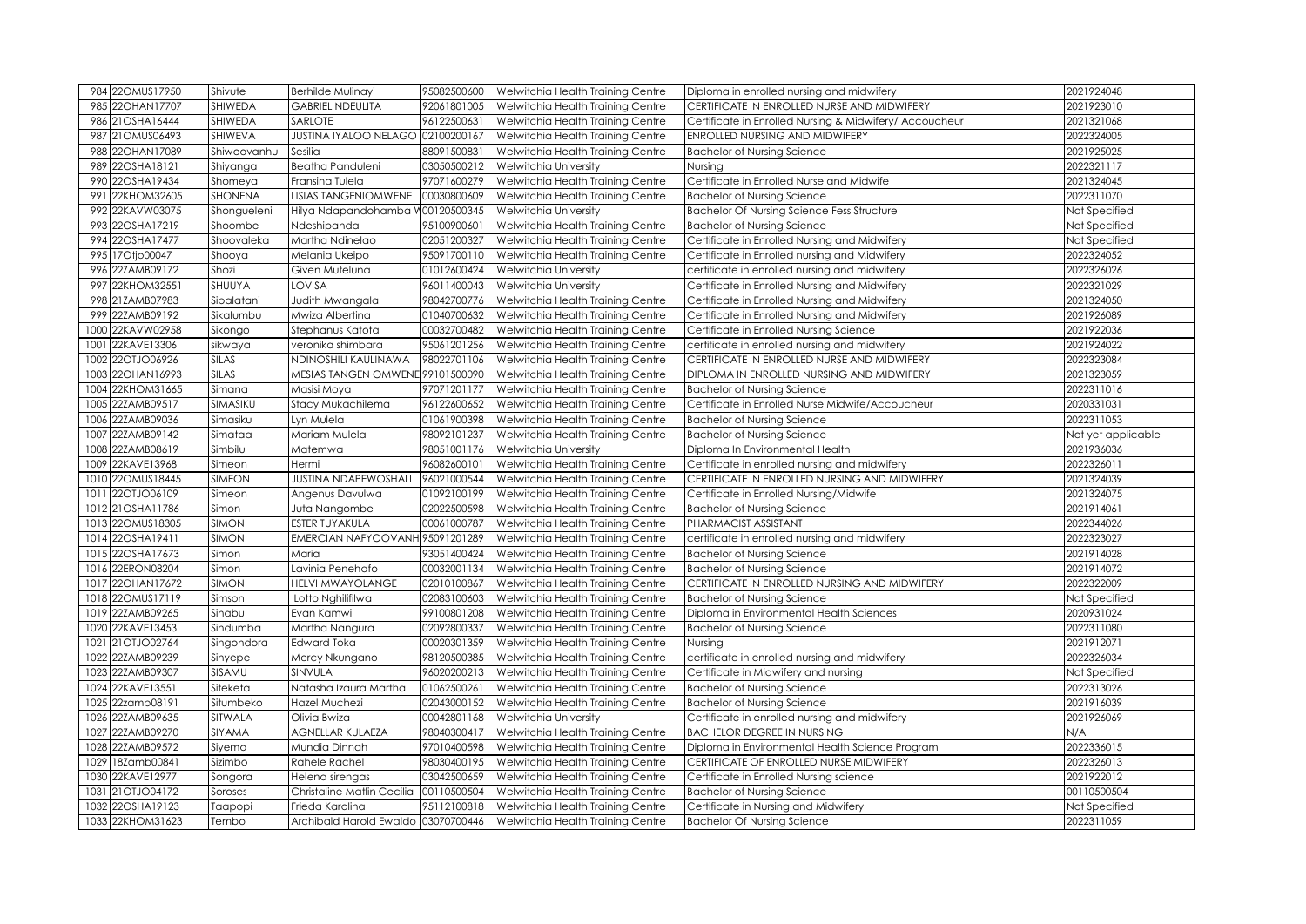| 984 22OMUS17950     | Shivute        | Berhilde Mulinayi                        | 95082500600 | Welwitchia Health Training Centre                                     | Diploma in enrolled nursing and midwifery               | 2021924048         |
|---------------------|----------------|------------------------------------------|-------------|-----------------------------------------------------------------------|---------------------------------------------------------|--------------------|
| 22OHAN17707<br>985  | <b>SHIWEDA</b> | <b>GABRIEL NDEULITA</b>                  | 92061801005 | Welwitchia Health Training Centre                                     | CERTIFICATE IN ENROLLED NURSE AND MIDWIFERY             | 2021923010         |
| 21OSHA16444<br>986  | SHIWEDA        | SARLOTE                                  | 96122500631 | Welwitchia Health Training Centre                                     | Certificate in Enrolled Nursing & Midwifery/ Accoucheur | 2021321068         |
| 987 21 OMUS 06493   | SHIWEVA        | <b>JUSTINA IYALOO NELAGO 02100200167</b> |             | Welwitchia Health Training Centre                                     | ENROLLED NURSING AND MIDWIFERY                          | 2022324005         |
| 22OHAN17089<br>988  | Shiwoovanhu    | Sesilia                                  | 88091500831 | Welwitchia Health Training Centre                                     | <b>Bachelor of Nursing Science</b>                      | 2021925025         |
| 22OSHA18121<br>989  | Shiyanga       | <b>Beatha Panduleni</b>                  | 03050500212 | Welwitchia University                                                 | Nursing                                                 | 2022321117         |
| 22OSHA19434<br>990  | Shomeya        | Fransina Tulela                          | 97071600279 | Welwitchia Health Training Centre                                     | Certificate in Enrolled Nurse and Midwife               | 2021324045         |
| 22KHOM32605<br>991  | <b>SHONENA</b> | <b>LISIAS TANGENIOMWENE</b>              | 00030800609 | Welwitchia Health Training Centre                                     | <b>Bachelor of Nursing Science</b>                      | 2022311070         |
| 22KAVW03075<br>992  | Shongueleni    | Hilya Ndapandohamba V00120500345         |             | Welwitchia University                                                 | <b>Bachelor Of Nursing Science Fess Structure</b>       | Not Specified      |
| 993 22OSHA17219     | Shoombe        | Ndeshipanda                              | 95100900601 | Welwitchia Health Training Centre                                     | <b>Bachelor of Nursing Science</b>                      | Not Specified      |
| 994 22OSHA17477     | Shoovaleka     | Martha Ndinelao                          | 02051200327 | Welwitchia Health Training Centre                                     | Certificate in Enrolled Nursing and Midwifery           | Not Specified      |
| 995 17Otjo00047     | Shooya         | Melania Ukeipo                           | 95091700110 | Welwitchia Health Training Centre                                     | Certificate in Enrolled nursing and Midwifery           | 2022324052         |
| 996 22ZAMB09172     | Shozi          | Given Mufeluna                           | 01012600424 | Welwitchia University                                                 | certificate in enrolled nursing and midwifery           | 2022326026         |
| 997 22KHOM32551     | SHUUYA         | LOVISA                                   | 96011400043 | Welwitchia University                                                 | Certificate in Enrolled Nursing and Midwifery           | 2022321029         |
| 998 21ZAMB07983     | Sibalatani     | Judith Mwangala                          | 98042700776 | Welwitchia Health Training Centre                                     | Certificate in Enrolled Nursing and Midwifery           | 2021324050         |
| 999 22ZAMB09192     | Sikalumbu      | Mwiza Albertina                          | 01040700632 | Welwitchia Health Training Centre                                     | Certificate in Enrolled Nursing and Midwifery           | 2021926089         |
| 22KAVW02958<br>1000 | Sikongo        | Stephanus Katota                         | 00032700482 | Welwitchia Health Training Centre                                     | Certificate in Enrolled Nursing Science                 | 2021922036         |
| 22KAVE13306<br>1001 | sikwaya        | veronika shimbara                        | 95061201256 | Welwitchia Health Training Centre                                     | certificate in enrolled nursing and midwifery           | 2021924022         |
| 22OTJO06926<br>1002 | <b>SILAS</b>   | NDINOSHILI KAULINAWA                     | 98022701106 | Welwitchia Health Training Centre                                     | CERTIFICATE IN ENROLLED NURSE AND MIDWIFERY             | 2022323084         |
| 1003 22OHAN16993    | <b>SILAS</b>   | MESIAS TANGEN OMWENE 99101500090         |             | Welwitchia Health Training Centre                                     | DIPLOMA IN ENROLLED NURSING AND MIDWIFERY               | 2021323059         |
| 22KHOM31665<br>1004 | Simana         | Masisi Moya                              | 97071201177 | Welwitchia Health Training Centre                                     | <b>Bachelor of Nursing Science</b>                      | 2022311016         |
| 1005 22ZAMB09517    | SIMASIKU       | Stacy Mukachilema                        | 96122600652 | Welwitchia Health Training Centre                                     | Certificate in Enrolled Nurse Midwife/Accoucheur        | 2020331031         |
| 22ZAMB09036<br>1006 | Simasiku       | Lyn Mulela                               | 01061900398 | Welwitchia Health Training Centre                                     | <b>Bachelor of Nursing Science</b>                      | 2022311053         |
| 22ZAMB09142<br>1007 | Simataa        | Mariam Mulela                            | 98092101237 | Welwitchia Health Training Centre                                     | <b>Bachelor of Nursing Science</b>                      | Not yet applicable |
| 22ZAMB08619<br>1008 | Simbilu        | Matemwa                                  | 98051001176 | Welwitchia University                                                 | Diploma In Environmental Health                         | 2021936036         |
| 1009 22KAVE13968    | Simeon         | Hermi                                    | 96082600101 | Welwitchia Health Training Centre                                     | Certificate in enrolled nursing and midwifery           | 2022326011         |
| 22OMUS18445<br>1010 | <b>SIMEON</b>  | <b>JUSTINA NDAPEWOSHALI</b>              | 96021000544 | Welwitchia Health Training Centre                                     | CERTIFICATE IN ENROLLED NURSING AND MIDWIFERY           | 2021324039         |
| 1011 22OTJO06109    | Simeon         | Angenus Davulwa                          | 01092100199 | Welwitchia Health Training Centre                                     | Certificate in Enrolled Nursing/Midwife                 | 2021324075         |
| 1012 21 OSHA11786   | Simon          | Juta Nangombe                            | 02022500598 | Welwitchia Health Training Centre                                     | <b>Bachelor of Nursing Science</b>                      | 2021914061         |
| 1013 22OMUS18305    | SIMON          | <b>ESTER TUYAKULA</b>                    | 00061000787 | Welwitchia Health Training Centre                                     | PHARMACIST ASSISTANT                                    | 2022344026         |
| 1014 22OSHA19411    | SIMON          | EMERCIAN NAFYOOVANH 95091201289          |             | Welwitchia Health Training Centre                                     | certificate in enrolled nursing and midwifery           | 2022323027         |
| 1015 22OSHA17673    | Simon          | Maria                                    | 93051400424 | Welwitchia Health Training Centre                                     | <b>Bachelor of Nursing Science</b>                      | 2021914028         |
| 1016 22ERON08204    | Simon          | Lavinia Penehafo                         | 00032001134 | Welwitchia Health Training Centre                                     | <b>Bachelor of Nursing Science</b>                      | 2021914072         |
| 1017 22OHAN17672    | SIMON          | <b>HELVI MWAYOLANGE</b>                  | 02010100867 | Welwitchia Health Training Centre                                     | CERTIFICATE IN ENROLLED NURSING AND MIDWIFERY           | 2022322009         |
| 1018 22OMUS17119    | Simson         | Lotto Nghilifilwa                        | 02083100603 | Welwitchia Health Training Centre                                     | <b>Bachelor of Nursing Science</b>                      | Not Specified      |
| 1019 22ZAMB09265    | Sinabu         | Evan Kamwi                               | 99100801208 | Welwitchia Health Training Centre                                     | Diploma in Environmental Health Sciences                | 2020931024         |
| 22KAVE13453<br>1020 | Sindumba       | Martha Nangura                           | 02092800337 | Welwitchia Health Training Centre                                     | <b>Bachelor of Nursing Science</b>                      | 2022311080         |
| 1021 21OTJO02764    | Singondora     | Edward Toka                              | 00020301359 | Welwitchia Health Training Centre                                     | Nursing                                                 | 2021912071         |
| 22ZAMB09239<br>1022 | Sinyepe        | Mercy Nkungano                           | 98120500385 | Welwitchia Health Training Centre                                     | certificate in enrolled nursing and midwifery           | 2022326034         |
| 1023 22ZAMB09307    | SISAMU         | SINVULA                                  | 96020200213 | Welwitchia Health Training Centre                                     | Certificate in Midwifery and nursing                    | Not Specified      |
| 1024 22KAVE13551    | Siteketa       | Natasha Izaura Martha                    | 01062500261 | Welwitchia Health Training Centre                                     | <b>Bachelor of Nursing Science</b>                      | 2022313026         |
| 1025 22zamb08191    | Situmbeko      | Hazel Muchezi                            | 02043000152 | Welwitchia Health Training Centre                                     | <b>Bachelor of Nursing Science</b>                      | 2021916039         |
| 1026 22ZAMB09635    | SITWALA        | Olivia Bwiza                             | 00042801168 | Welwitchia University                                                 | Certificate in enrolled nursing and midwifery           | 2021926069         |
| 1027 22ZAMB09270    | SIYAMA         | AGNELLAR KULAEZA                         | 98040300417 | Welwitchia Health Training Centre                                     | <b>BACHELOR DEGREE IN NURSING</b>                       | N/A                |
| 1028 22ZAMB09572    | Siyemo         | Mundia Dinnah                            | 97010400598 | Welwitchia Health Training Centre                                     | Diploma in Environmental Health Science Program         | 2022336015         |
| 1029 18Zamb00841    | Sizimbo        | <b>Rahele Rachel</b>                     | 98030400195 | Welwitchia Health Training Centre                                     | CERTIFICATE OF ENROLLED NURSE MIDWIFERY                 | 2022326013         |
| 1030 22KAVE12977    | Songora        | Helena sirengas                          | 03042500659 | Welwitchia Health Training Centre                                     | Certificate in Enrolled Nursing science                 | 2021922012         |
| 1031 21OTJO04172    | Soroses        | Christaline Matlin Cecilia 00110500504   |             | Welwitchia Health Training Centre                                     | <b>Bachelor of Nursing Science</b>                      | 00110500504        |
| 1032 22OSHA19123    | Taapopi        | Frieda Karolina                          | 95112100818 | Welwitchia Health Training Centre                                     | Certificate in Nursing and Midwifery                    | Not Specified      |
| 1033 22KHOM31623    | Tembo          |                                          |             | Archibald Harold Ewaldo 03070700446 Welwitchia Health Training Centre | <b>Bachelor Of Nursing Science</b>                      | 2022311059         |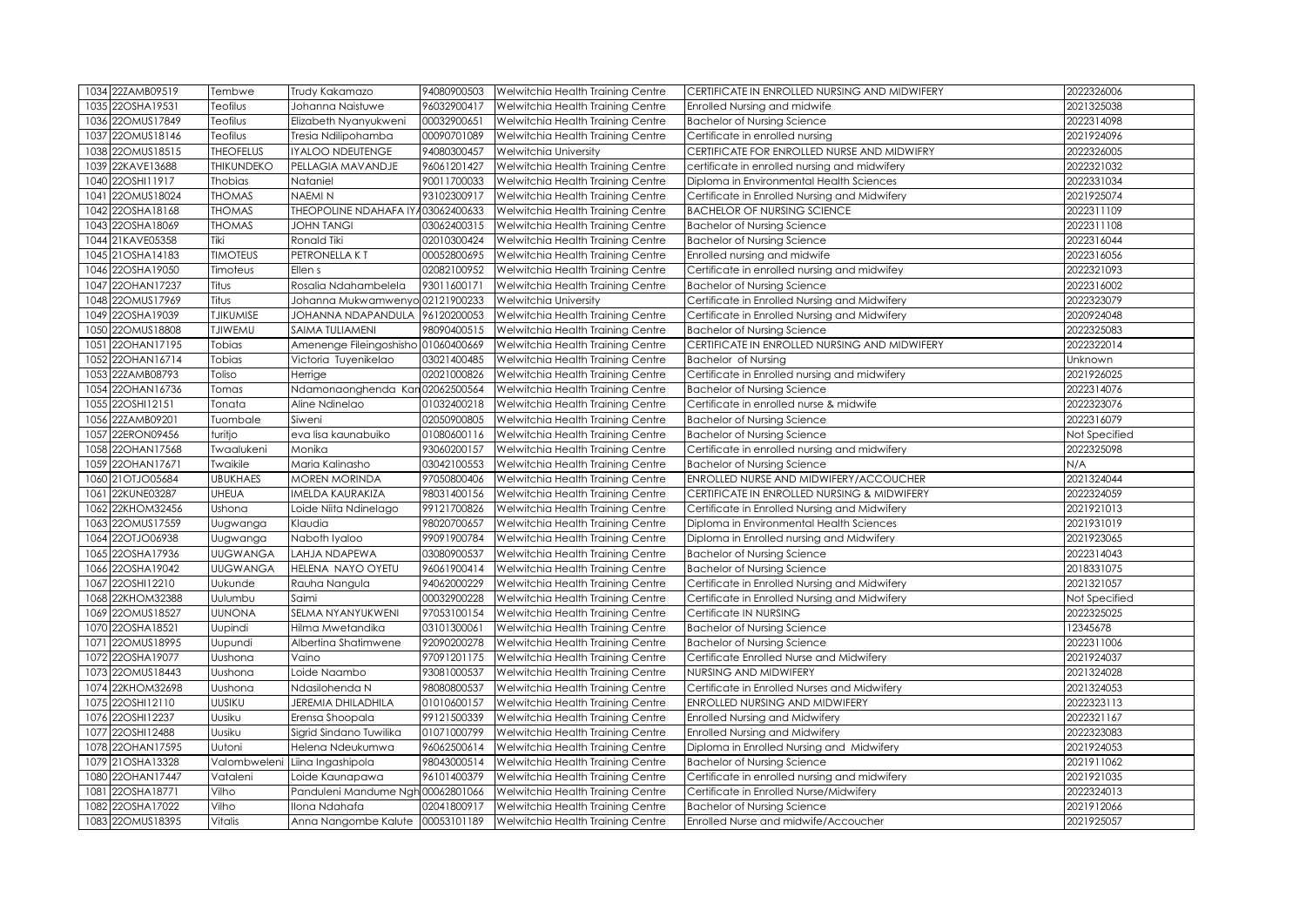| 1034 22ZAMB09519                        | Tembwe           | Trudy Kakamazo                                    | 94080900503 | Welwitchia Health Training Centre                                      | CERTIFICATE IN ENROLLED NURSING AND MIDWIFERY                              | 2022326006               |
|-----------------------------------------|------------------|---------------------------------------------------|-------------|------------------------------------------------------------------------|----------------------------------------------------------------------------|--------------------------|
| 22OSHA19531<br>1035                     | Teofilus         | Johanna Naistuwe                                  | 96032900417 | Welwitchia Health Training Centre                                      | Enrolled Nursing and midwife                                               | 2021325038               |
| 22OMUS17849<br>1036                     | Teofilus         | Elizabeth Nyanyukweni                             | 00032900651 | Welwitchia Health Training Centre                                      | <b>Bachelor of Nursing Science</b>                                         | 2022314098               |
| 22OMUS18146<br>1037                     | Teofilus         | Tresia Ndilipohamba                               | 00090701089 | Welwitchia Health Training Centre                                      | Certificate in enrolled nursing                                            | 2021924096               |
| 22OMUS18515<br>1038                     | <b>THEOFELUS</b> | IYALOO NDEUTENGE                                  | 94080300457 | Welwitchia University                                                  | CERTIFICATE FOR ENROLLED NURSE AND MIDWIFRY                                | 2022326005               |
| 1039<br>22KAVE13688                     | THIKUNDEKO       | PELLAGIA MAVANDJE                                 | 96061201427 | Welwitchia Health Training Centre                                      | certificate in enrolled nursing and midwifery                              | 2022321032               |
| 22OSHI11917<br>1040                     | <b>Thobias</b>   | Nataniel                                          | 90011700033 | Welwitchia Health Training Centre                                      | Diploma in Environmental Health Sciences                                   | 2022331034               |
| 22OMUS18024<br>1041                     | <b>THOMAS</b>    | <b>NAEMIN</b>                                     | 93102300917 | Welwitchia Health Training Centre                                      | Certificate in Enrolled Nursing and Midwifery                              | 2021925074               |
| 22OSHA18168<br>1042                     | <b>THOMAS</b>    | THEOPOLINE NDAHAFA IY 403062400633                |             | Welwitchia Health Training Centre                                      | <b>BACHELOR OF NURSING SCIENCE</b>                                         | 2022311109               |
| 22OSHA18069<br>1043                     | <b>THOMAS</b>    | <b>JOHN TANGI</b>                                 | 03062400315 | Welwitchia Health Training Centre                                      | <b>Bachelor of Nursing Science</b>                                         | 2022311108               |
| 21KAVE05358<br>1044                     | Tiki             | Ronald Tiki                                       | 02010300424 | Welwitchia Health Training Centre                                      | <b>Bachelor of Nursing Science</b>                                         | 2022316044               |
| 21OSHA14183<br>1045                     | <b>TIMOTEUS</b>  | PETRONELLA KT                                     | 00052800695 | Welwitchia Health Training Centre                                      | Enrolled nursing and midwife                                               | 2022316056               |
| 22OSHA19050<br>1046                     | Timoteus         | Ellen s                                           | 02082100952 | Welwitchia Health Training Centre                                      | Certificate in enrolled nursing and midwifey                               | 2022321093               |
| 1047<br>22OHAN17237                     | Titus            | Rosalia Ndahambelela                              | 93011600171 | Welwitchia Health Training Centre                                      | <b>Bachelor of Nursing Science</b>                                         | 2022316002               |
| 22OMUS17969<br>1048                     | Titus            | Johanna Mukwamwenyo 02121900233                   |             | <b>Welwitchia University</b>                                           | Certificate in Enrolled Nursing and Midwifery                              | 2022323079               |
| 22OSHA19039<br>1049                     | <b>TJIKUMISE</b> | JOHANNA NDAPANDULA                                | 96120200053 | Welwitchia Health Training Centre                                      | Certificate in Enrolled Nursing and Midwifery                              | 2020924048               |
| 22OMUS18808<br>1050                     | <b>TJIWEMU</b>   | SAIMA TULIAMENI                                   | 98090400515 | Welwitchia Health Training Centre                                      | <b>Bachelor of Nursing Science</b>                                         | 2022325083               |
| 22OHAN17195<br>1051                     | Tobias           | Amenenge Fileingoshisho 01060400669               |             | Welwitchia Health Training Centre                                      | CERTIFICATE IN ENROLLED NURSING AND MIDWIFERY                              | 2022322014               |
| 22OHAN16714<br>1052                     | Tobias           | Victoria Tuyenikelao                              | 03021400485 | Welwitchia Health Training Centre                                      | <b>Bachelor of Nursing</b>                                                 | Unknown                  |
| 22ZAMB08793<br>1053                     | Toliso           | Herrige                                           | 02021000826 | Welwitchia Health Training Centre                                      | Certificate in Enrolled nursing and midwifery                              | 2021926025               |
| 22OHAN16736<br>1054                     | Tomas            | Ndamonaonghenda Kan 02062500564                   |             | Welwitchia Health Training Centre                                      | <b>Bachelor of Nursing Science</b>                                         | 2022314076               |
| 22OSHI12151<br>1055                     | Tonata           | Aline Ndinelao                                    | 01032400218 | Welwitchia Health Training Centre                                      | Certificate in enrolled nurse & midwife                                    | 2022323076               |
| 22ZAMB09201<br>1056                     | Tuombale         | Siweni                                            | 02050900805 | Welwitchia Health Training Centre                                      | <b>Bachelor of Nursing Science</b>                                         | 2022316079               |
| 22ERON09456<br>1057                     | turitjo          | eva lisa kaunabuiko                               | 01080600116 | Welwitchia Health Training Centre                                      | <b>Bachelor of Nursing Science</b>                                         | Not Specified            |
| 22OHAN17568<br>1058                     | Twaalukeni       | Monika                                            | 93060200157 | Welwitchia Health Training Centre                                      | Certificate in enrolled nursing and midwifery                              | 2022325098               |
|                                         |                  |                                                   |             |                                                                        |                                                                            |                          |
| 22OHAN17671<br>1059                     | Twaikile         | Maria Kalinasho                                   | 03042100553 | Welwitchia Health Training Centre                                      | <b>Bachelor of Nursing Science</b>                                         | N/A                      |
| 21OTJO05684<br>1060                     | <b>UBUKHAES</b>  | <b>MOREN MORINDA</b>                              | 97050800406 | Welwitchia Health Training Centre                                      | ENROLLED NURSE AND MIDWIFERY/ACCOUCHER                                     | 2021324044               |
| 22KUNE03287<br>1061                     | UHEUA            | <b>IMELDA KAURAKIZA</b>                           | 98031400156 | Welwitchia Health Training Centre                                      | CERTIFICATE IN ENROLLED NURSING & MIDWIFERY                                | 2022324059               |
| 22KHOM32456<br>1062                     | Ushona           | Loide Niita Ndinelago                             | 99121700826 | Welwitchia Health Training Centre                                      | Certificate in Enrolled Nursing and Midwifery                              | 2021921013               |
| 22OMUS17559<br>1063                     | Uugwanga         | Klaudia                                           | 98020700657 | Welwitchia Health Training Centre                                      | Diploma in Environmental Health Sciences                                   | 2021931019               |
| 22OTJO06938<br>1064                     | Uugwanga         | Naboth Iyaloo                                     | 99091900784 | Welwitchia Health Training Centre                                      | Diploma in Enrolled nursing and Midwifery                                  | 2021923065               |
| 22OSHA17936<br>1065                     | <b>UUGWANGA</b>  | LAHJA NDAPEWA                                     | 03080900537 | Welwitchia Health Training Centre                                      | <b>Bachelor of Nursing Science</b>                                         | 2022314043               |
| 22OSHA19042<br>1066                     | <b>UUGWANGA</b>  | HELENA NAYO OYETU                                 | 96061900414 | Welwitchia Health Training Centre                                      | <b>Bachelor of Nursing Science</b>                                         | 2018331075               |
| 22OSHI12210<br>1067                     | Uukunde          | Rauha Nangula                                     | 94062000229 | Welwitchia Health Training Centre                                      | Certificate in Enrolled Nursing and Midwifery                              | 2021321057               |
| 22KHOM32388<br>1068                     | Uulumbu          | Saimi                                             | 00032900228 | Welwitchia Health Training Centre                                      | Certificate in Enrolled Nursing and Midwifery                              | Not Specified            |
| 22OMUS18527<br>1069                     | <b>UUNONA</b>    | SELMA NYANYUKWENI                                 | 97053100154 | Welwitchia Health Training Centre                                      | Certificate IN NURSING                                                     | 2022325025               |
| 22OSHA18521<br>1070                     | Uupindi          | Hilma Mwetandika                                  | 03101300061 | Welwitchia Health Training Centre                                      | <b>Bachelor of Nursing Science</b>                                         | 12345678                 |
| 22OMUS18995<br>1071                     | Uupundi          | Albertina Shatimwene                              | 92090200278 | Welwitchia Health Training Centre                                      | <b>Bachelor of Nursing Science</b>                                         | 2022311006               |
| 22OSHA19077<br>1072                     | Uushona          | Vaino                                             | 97091201175 | Welwitchia Health Training Centre                                      | Certificate Enrolled Nurse and Midwifery                                   | 2021924037               |
| 22OMUS18443<br>1073                     | Uushona          | Loide Naambo                                      | 93081000537 | Welwitchia Health Training Centre                                      | NURSING AND MIDWIFERY                                                      | 2021324028               |
| 22KHOM32698<br>1074                     | Uushona          | Ndasilohenda N                                    | 98080800537 | Welwitchia Health Training Centre                                      | Certificate in Enrolled Nurses and Midwifery                               | 2021324053               |
| 22OSHI12110<br>1075                     | <b>UUSIKU</b>    | JEREMIA DHILADHILA                                | 01010600157 | Welwitchia Health Training Centre                                      | ENROLLED NURSING AND MIDWIFERY                                             | 2022323113               |
| 22OSHI12237<br>1076                     | Uusiku           | Erensa Shoopala                                   | 99121500339 | Welwitchia Health Training Centre                                      | Enrolled Nursing and Midwifery                                             | 2022321167               |
| 22OSHI12488<br>1077                     | Uusiku           | Sigrid Sindano Tuwilika                           | 01071000799 | Welwitchia Health Training Centre                                      | Enrolled Nursing and Midwifery                                             | 2022323083               |
| 22OHAN17595<br>1078                     | Uutoni           | Helena Ndeukumwa                                  | 96062500614 | Welwitchia Health Training Centre                                      | Diploma in Enrolled Nursing and Midwifery                                  | 2021924053               |
| 1079 21 OSHA13328                       | Valombweleni     | Liina Ingashipola                                 | 98043000514 | Welwitchia Health Training Centre                                      | <b>Bachelor of Nursing Science</b>                                         | 2021911062               |
| 22OHAN17447<br>1080                     | Vataleni         | Loide Kaunapawa                                   | 96101400379 | Welwitchia Health Training Centre                                      | Certificate in enrolled nursing and midwifery                              | 2021921035               |
| 1081 22OSHA18771                        | Vilho            | Panduleni Mandume Ngh 00062801066                 |             | Welwitchia Health Training Centre                                      | Certificate in Enrolled Nurse/Midwifery                                    | 2022324013               |
| 1082<br>22OSHA17022<br>1083 22OMUS18395 | Vilho<br>Vitalis | Ilona Ndahafa<br>Anna Nangombe Kalute 00053101189 | 02041800917 | Welwitchia Health Training Centre<br>Welwitchia Health Training Centre | <b>Bachelor of Nursing Science</b><br>Enrolled Nurse and midwife/Accoucher | 2021912066<br>2021925057 |